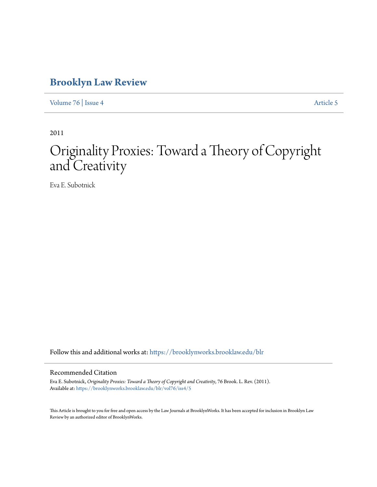# **[Brooklyn Law Review](https://brooklynworks.brooklaw.edu/blr?utm_source=brooklynworks.brooklaw.edu%2Fblr%2Fvol76%2Fiss4%2F5&utm_medium=PDF&utm_campaign=PDFCoverPages)**

[Volume 76](https://brooklynworks.brooklaw.edu/blr/vol76?utm_source=brooklynworks.brooklaw.edu%2Fblr%2Fvol76%2Fiss4%2F5&utm_medium=PDF&utm_campaign=PDFCoverPages) | [Issue 4](https://brooklynworks.brooklaw.edu/blr/vol76/iss4?utm_source=brooklynworks.brooklaw.edu%2Fblr%2Fvol76%2Fiss4%2F5&utm_medium=PDF&utm_campaign=PDFCoverPages) [Article 5](https://brooklynworks.brooklaw.edu/blr/vol76/iss4/5?utm_source=brooklynworks.brooklaw.edu%2Fblr%2Fvol76%2Fiss4%2F5&utm_medium=PDF&utm_campaign=PDFCoverPages)

2011

# Originality Proxies: Toward a Theory of Copyright and Creativity

Eva E. Subotnick

Follow this and additional works at: [https://brooklynworks.brooklaw.edu/blr](https://brooklynworks.brooklaw.edu/blr?utm_source=brooklynworks.brooklaw.edu%2Fblr%2Fvol76%2Fiss4%2F5&utm_medium=PDF&utm_campaign=PDFCoverPages)

# Recommended Citation

Eva E. Subotnick, *Originality Proxies: Toward a Theory of Copyright and Creativity*, 76 Brook. L. Rev. (2011). Available at: [https://brooklynworks.brooklaw.edu/blr/vol76/iss4/5](https://brooklynworks.brooklaw.edu/blr/vol76/iss4/5?utm_source=brooklynworks.brooklaw.edu%2Fblr%2Fvol76%2Fiss4%2F5&utm_medium=PDF&utm_campaign=PDFCoverPages)

This Article is brought to you for free and open access by the Law Journals at BrooklynWorks. It has been accepted for inclusion in Brooklyn Law Review by an authorized editor of BrooklynWorks.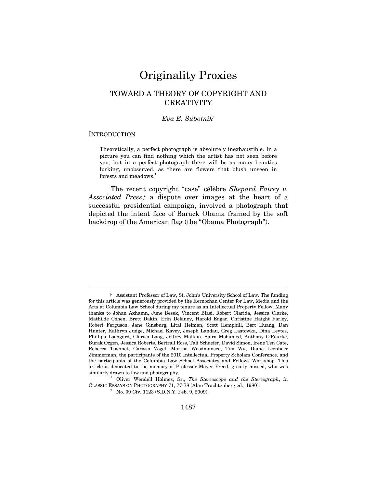# Originality Proxies

# TOWARD A THEORY OF COPYRIGHT AND **CREATIVITY**

## *Eva E. Subotnik*†

#### **INTRODUCTION**

 $\overline{a}$ 

Theoretically, a perfect photograph is absolutely inexhaustible. In a picture you can find nothing which the artist has not seen before you; but in a perfect photograph there will be as many beauties lurking, unobserved, as there are flowers that blush unseen in forests and meadows.<sup>1</sup>

The recent copyright "case" célèbre *Shepard Fairey v.*  Associated Press,<sup>2</sup> a dispute over images at the heart of a successful presidential campaign, involved a photograph that depicted the intent face of Barack Obama framed by the soft backdrop of the American flag (the "Obama Photograph").

 <sup>†</sup> Assistant Professor of Law, St. John's University School of Law. The funding for this article was generously provided by the Kernochan Center for Law, Media and the Arts at Columbia Law School during my tenure as an Intellectual Property Fellow. Many thanks to Johan Axhamn, June Besek, Vincent Blasi, Robert Clarida, Jessica Clarke, Mathilde Cohen, Brett Dakin, Erin Delaney, Harold Edgar, Christine Haight Farley, Robert Ferguson, Jane Ginsburg, Lital Helman, Scott Hemphill, Bert Huang, Dan Hunter, Kathryn Judge, Michael Kavey, Joseph Landau, Greg Lastowka, Dina Leytes, Phillipa Loengard, Clarisa Long, Jeffrey Malkan, Saira Mohamed, Anthony O'Rourke, Burak Ozgen, Jessica Roberts, Bertrall Ross, Tali Schaefer, David Simon, Irene Ten Cate, Rebecca Tushnet, Carissa Vogel, Martha Woodmansee, Tim Wu, Diane Leenheer Zimmerman, the participants of the 2010 Intellectual Property Scholars Conference, and the participants of the Columbia Law School Associates and Fellows Workshop. This article is dedicated to the memory of Professor Mayer Freed, greatly missed, who was similarly drawn to law and photography.

Oliver Wendell Holmes, Sr., *The Stereoscope and the Stereograph*, *in* CLASSIC ESSAYS ON PHOTOGRAPHY 71, 77-78 (Alan Trachtenberg ed., 1980). 2

 $N$ 0. 09 Civ. 1123 (S.D.N.Y. Feb. 9, 2009).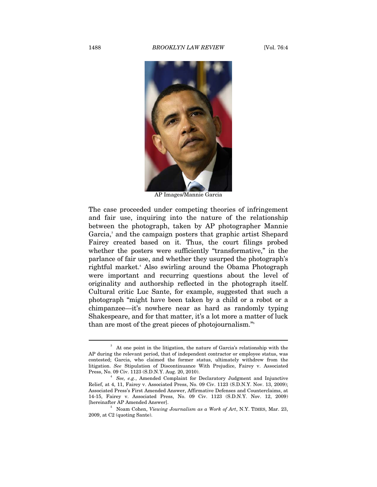#### 1488 *BROOKLYN LAW REVIEW* [Vol. 76:4



AP Images/Mannie Garcia

The case proceeded under competing theories of infringement and fair use, inquiring into the nature of the relationship between the photograph, taken by AP photographer Mannie Garcia,<sup>3</sup> and the campaign posters that graphic artist Shepard Fairey created based on it. Thus, the court filings probed whether the posters were sufficiently "transformative," in the parlance of fair use, and whether they usurped the photograph's rightful market.4 Also swirling around the Obama Photograph were important and recurring questions about the level of originality and authorship reflected in the photograph itself. Cultural critic Luc Sante, for example, suggested that such a photograph "might have been taken by a child or a robot or a chimpanzee—it's nowhere near as hard as randomly typing Shakespeare, and for that matter, it's a lot more a matter of luck than are most of the great pieces of photojournalism."5

<sup>3</sup> At one point in the litigation, the nature of Garcia's relationship with the AP during the relevant period, that of independent contractor or employee status, was contested; Garcia, who claimed the former status, ultimately withdrew from the litigation. *See* Stipulation of Discontinuance With Prejudice, Fairey v. Associated Press, No. 09 Civ. 1123 (S.D.N.Y. Aug. 20, 2010). 4

*See, e.g.*, Amended Complaint for Declaratory Judgment and Injunctive Relief, at 4, 11, Fairey v. Associated Press, No. 09 Civ. 1123 (S.D.N.Y. Nov. 13, 2009); Associated Press's First Amended Answer, Affirmative Defenses and Counterclaims, at 14-15, Fairey v. Associated Press, No. 09 Civ. 1123 (S.D.N.Y. Nov. 12, 2009) [hereinafter AP Amended Answer].

Noam Cohen, *Viewing Journalism as a Work of Art*, N.Y. TIMES, Mar. 23, 2009, at C2 (quoting Sante).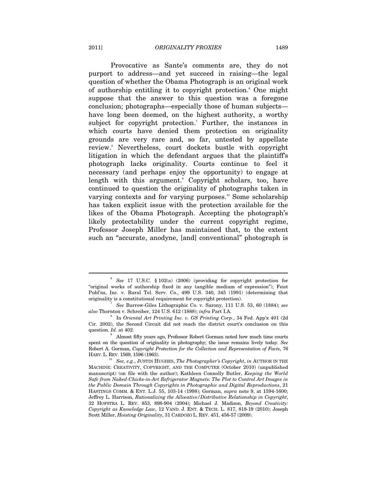Provocative as Sante's comments are, they do not purport to address—and yet succeed in raising—the legal question of whether the Obama Photograph is an original work of authorship entitling it to copyright protection.<sup>6</sup> One might suppose that the answer to this question was a foregone conclusion; photographs—especially those of human subjects have long been deemed, on the highest authority, a worthy subject for copyright protection.<sup>7</sup> Further, the instances in which courts have denied them protection on originality grounds are very rare and, so far, untested by appellate review.<sup>8</sup> Nevertheless, court dockets bustle with copyright litigation in which the defendant argues that the plaintiff's photograph lacks originality. Courts continue to feel it necessary (and perhaps enjoy the opportunity) to engage at length with this argument.<sup>9</sup> Copyright scholars, too, have continued to question the originality of photographs taken in varying contexts and for varying purposes.<sup>10</sup> Some scholarship has taken explicit issue with the protection available for the likes of the Obama Photograph. Accepting the photograph's likely protectability under the current copyright regime, Professor Joseph Miller has maintained that, to the extent such an "accurate, anodyne, [and] conventional" photograph is

<sup>6</sup>  *See* 17 U.S.C. § 102(a) (2006) (providing for copyright protection for "original works of authorship fixed in any tangible medium of expression"); Feist Publ'ns, Inc. v. Rural Tel. Serv. Co., 499 U.S. 340, 345 (1991) (determining that originality is a constitutional requirement for copyright protection). 7

*See* Burrow-Giles Lithographic Co. v. Sarony, 111 U.S. 53, 60 (1884); *see also* Thornton v. Schreiber, 124 U.S. 612 (1888); *infra* Part I.A. 8

In *Oriental Art Printing Inc. v. GS Printing Corp*., 34 Fed. App'x 401 (2d Cir. 2002), the Second Circuit did not reach the district court's conclusion on this question.  $Id$ , at 402.

<sup>&</sup>lt;sup>9</sup> Almost fifty years ago, Professor Robert Gorman noted how much time courts spent on the question of originality in photography; the issue remains lively today. *See* Robert A. Gorman, *Copyright Protection for the Collection and Representation of Facts*, 76

Here, e.g., JUSTIN HUGHES, *The Photographer's Copyright*, *in* AUTHOR IN THE MACHINE: CREATIVITY, COPYRIGHT, AND THE COMPUTER (October 2010) (unpublished manuscript) (on file with the author); Kathleen Connolly Butler, *Keeping the World Safe from Naked-Chicks-in-Art Refrigerator Magnets: The Plot to Control Art Images in the Public Domain Through Copyrights in Photographic and Digital Reproductions*, 21 HASTINGS COMM. & ENT. L.J. 55, 103-14 (1998); Gorman, *supra* note 9, at 1594-1600; Jeffrey L. Harrison, *Rationalizing the Allocative/Distributive Relationship in Copyright*, 32 HOFSTRA L. REV. 853, 898-904 (2004); Michael J. Madison, *Beyond Creativity: Copyright as Knowledge Law*, 12 VAND. J. ENT. & TECH. L. 817, 818-19 (2010); Joseph Scott Miller, *Hoisting Originality*, 31 CARDOZO L. REV. 451, 456-57 (2009).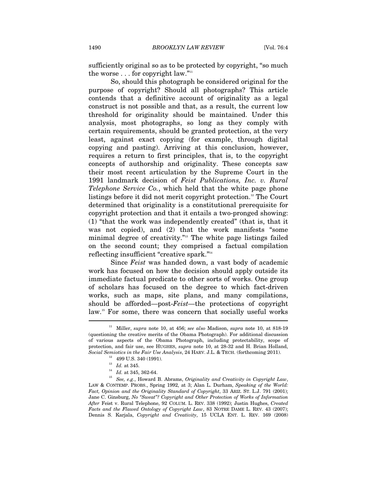sufficiently original so as to be protected by copyright, "so much the worse  $\ldots$  for copyright law."<sup>11</sup>

So, should this photograph be considered original for the purpose of copyright? Should all photographs? This article contends that a definitive account of originality as a legal construct is not possible and that, as a result, the current low threshold for originality should be maintained. Under this analysis, most photographs, so long as they comply with certain requirements, should be granted protection, at the very least, against exact copying (for example, through digital copying and pasting). Arriving at this conclusion, however, requires a return to first principles, that is, to the copyright concepts of authorship and originality. These concepts saw their most recent articulation by the Supreme Court in the 1991 landmark decision of *Feist Publications, Inc. v. Rural Telephone Service Co.*, which held that the white page phone listings before it did not merit copyright protection.<sup>12</sup> The Court determined that originality is a constitutional prerequisite for copyright protection and that it entails a two-pronged showing: (1) "that the work was independently created" (that is, that it was not copied), and (2) that the work manifests "some minimal degree of creativity."13 The white page listings failed on the second count; they comprised a factual compilation reflecting insufficient "creative spark."14

Since *Feist* was handed down, a vast body of academic work has focused on how the decision should apply outside its immediate factual predicate to other sorts of works. One group of scholars has focused on the degree to which fact-driven works, such as maps, site plans, and many compilations, should be afforded—post-*Feist—*the protections of copyright law.15 For some, there was concern that socially useful works

<sup>11</sup> Miller, *supra* note 10, at 456; *see also* Madison, *supra* note 10, at 818-19 (questioning the creative merits of the Obama Photograph). For additional discussion of various aspects of the Obama Photograph, including protectability, scope of protection, and fair use, see HUGHES, *supra* note 10, at 28-32 and H. Brian Holland, *Social Semiotics in the Fair Use Analysis*, 24 HARV. J.L. & TECH. (forthcoming 2011).<br><sup>12</sup> 499 U.S. 340 (1991).<br><sup>13</sup> Id. at 345.

<sup>&</sup>lt;sup>14</sup> Id. at 345, 362-64.<br><sup>15</sup> *See, e.g.*, Howard B. Abrams, *Originality and Creativity in Copyright Law*, LAW & CONTEMP. PROBS., Spring 1992, at 3; Alan L. Durham, *Speaking of the World: Fact, Opinion and the Originality Standard of Copyright*, 33 ARIZ. ST. L.J. 791 (2001); Jane C. Ginsburg, *No "Sweat"? Copyright and Other Protection of Works of Information After* Feist v. Rural Telephone, 92 COLUM. L. REV. 338 (1992); Justin Hughes, *Created Facts and the Flawed Ontology of Copyright Law*, 83 NOTRE DAME L. REV. 43 (2007); Dennis S. Karjala, *Copyright and Creativity*, 15 UCLA ENT. L. REV. 169 (2008)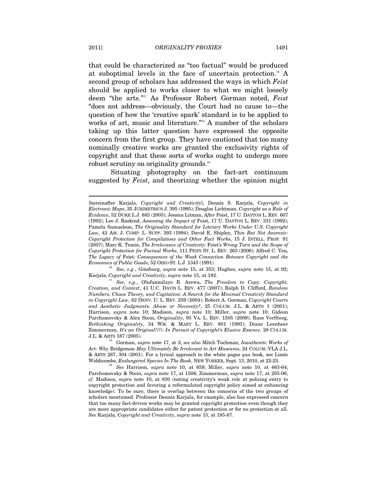that could be characterized as "too factual" would be produced at suboptimal levels in the face of uncertain protection.<sup>16</sup> A second group of scholars has addressed the ways in which *Feist* should be applied to works closer to what we might loosely deem "the arts."17 As Professor Robert Gorman noted, *Feist* "does not address—obviously, the Court had no cause to—the question of how the 'creative spark' standard is to be applied to works of art, music and literature."<sup>18</sup> A number of the scholars taking up this latter question have expressed the opposite concern from the first group. They have cautioned that too many nominally creative works are granted the exclusivity rights of copyright and that these sorts of works ought to undergo more robust scrutiny on originality grounds.<sup>19</sup>

Situating photography on the fact-art continuum suggested by *Feist*, and theorizing whether the opinion might

*Economics of Public Goods*, 52 OHIO ST. L.J. 1343 (1991).<br><sup>16</sup> *See, e.g.*, Ginsburg, *supra* note 15, at 353; Hughes, *supra* note 15, at 92;<br>Karjala, *Copyright and Creativity*, *supra* note 15, at 182.

<sup>[</sup>hereinafter Karjala, *Copyright and Creativity*]; Dennis S. Karjala, *Copyright in Electronic Maps*, 35 JURIMETRICS J. 395 (1995); Douglas Lichtman, *Copyright as a Rule of Evidence*, 52 DUKE L.J. 683 (2003); Jessica Litman, *After* Feist, 17 U. DAYTON L. REV. 607 (1992); Leo J. Raskind, *Assessing the Impact of* Feist, 17 U. DAYTON L. REV. 331 (1992); Pamela Samuelson, *The Originality Standard for Literary Works Under U.S. Copyright Law*, 42 AM. J. COMP. L. SUPP. 393 (1994); David E. Shipley, *Thin But Not Anorexic: Copyright Protection for Compilations and Other Fact Work*s, 15 J. INTELL. PROP. 91 (2007); Marc K. Temin, *The Irrelevance of Creativity:* Feist*'s Wrong Turn and the Scope of Copyright Protection for Factual Works*, 111 PENN ST. L. REV. 263 (2006); Alfred C. Yen, *The Legacy of* Feist*: Consequences of the Weak Connection Between Copyright and the* 

<sup>&</sup>lt;sup>17</sup> See, e.g., Olufunmilayo B. Arewa, *The Freedom to Copy: Copyright, Creation, and Context*, 41 U.C. DAVIS L. REV. 477 (2007); Ralph D. Clifford, *Random Numbers, Chaos Theory, and Cogitation: A Search for the Minimal Creativity Standard in Copyright Law*, 82 DENV. U. L. REV. 259 (2004); Robert A. Gorman, *Copyright Courts and Aesthetic Judgments: Abuse or Necessity?*, 25 COLUM. J.L. & ARTS 1 (2001); Harrison, *supra* note 10; Madison, *supra* note 10; Miller, *supra* note 10; Gideon Parchomovsky & Alex Stein, *Originality*, 95 VA. L. REV. 1505 (2009); Russ VerSteeg, *Rethinking Originality*, 34 WM. & MARY L. REV. 801 (1993); Diane Leenheer Zimmerman, *It's an Original!(?): In Pursuit of Copyright's Elusive Essence*, 28 COLUM. J.L. & ARTS 187 (2005). 18 Gorman, *supra* note 17, at 3; *see also* Mitch Tuchman, *Inauthentic Works of* 

*Art: Why* Bridgeman *May Ultimately Be Irrelevant to Art Museums*, 24 COLUM.-VLA J.L. & ARTS 287, 304 (2001). For a lyrical approach to the white pages *qua* book, see Lizzie Widdicombe, *Endangered Species In The Book*, NEW YORKER, Sept. 13, 2010, at 22-23. 19 *See* Harrison, *supra* note 10, at 859; Miller, *supra* note 10, at 463-64;

Parchomovsky & Stein, *supra* note 17, at 1506; Zimmerman, *supra* note 17, at 205-06; *cf.* Madison, *supra* note 10, at 830 (noting creativity's weak role at policing entry to copyright protection and favoring a reformulated copyright policy aimed at enhancing knowledge). To be sure, there is overlap between the concerns of the two groups of scholars mentioned. Professor Dennis Karjala, for example, also has expressed concern that too many fact-driven works may be granted copyright protection even though they are more appropriate candidates either for patent protection or for no protection at all. *See* Karjala, *Copyright and Creativity*, *supra* note 15, at 185-87.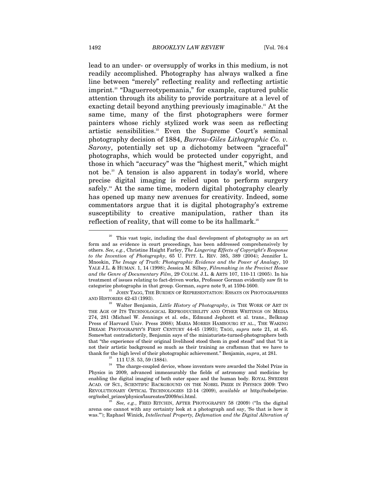lead to an under- or oversupply of works in this medium, is not readily accomplished. Photography has always walked a fine line between "merely" reflecting reality and reflecting artistic imprint.<sup>20</sup> "Daguerreotypemania," for example, captured public attention through its ability to provide portraiture at a level of exacting detail beyond anything previously imaginable.<sup>21</sup> At the same time, many of the first photographers were former painters whose richly stylized work was seen as reflecting artistic sensibilities.<sup>22</sup> Even the Supreme Court's seminal photography decision of 1884, *Burrow-Giles Lithographic Co. v. Sarony*, potentially set up a dichotomy between "graceful" photographs, which would be protected under copyright, and those in which "accuracy" was the "highest merit," which might not be.<sup>23</sup> A tension is also apparent in today's world, where precise digital imaging is relied upon to perform surgery safely.<sup>24</sup> At the same time, modern digital photography clearly has opened up many new avenues for creativity. Indeed, some commentators argue that it is digital photography's extreme susceptibility to creative manipulation, rather than its reflection of reality, that will come to be its hallmark.<sup>25</sup>

This vast topic, including the dual development of photography as an art form and as evidence in court proceedings, has been addressed comprehensively by others. *See, e.g.*, Christine Haight Farley, *The Lingering Effects of Copyright's Response to the Invention of Photography*, 65 U. PITT. L. REV. 385, 389 (2004); Jennifer L. Mnookin, *The Image of Truth: Photographic Evidence and the Power of Analogy*, 10 YALE J.L. & HUMAN. 1, 14 (1998); Jessica M. Silbey, *Filmmaking in the Precinct House and the Genre of Documentary Film*, 29 COLUM. J.L. & ARTS 107, 110-11 (2005). In his treatment of issues relating to fact-driven works, Professor Gorman evidently saw fit to categorize photographs in that group. Gorman, *supra* note 9, at 1594-1600.<br><sup>21</sup> JOHN TAGG, THE BURDEN OF REPRESENTATION: ESSAYS ON PHOTOGRAPHIES

AND HISTORIES 42-43 (1993). 22 Walter Benjamin, *Little History of Photography*, *in* THE WORK OF ART IN THE AGE OF ITS TECHNOLOGICAL REPRODUCIBILITY AND OTHER WRITINGS ON MEDIA 274, 281 (Michael W. Jennings et al. eds., Edmund Jephcott et al. trans., Belknap Press of Harvard Univ. Press 2008); MARIA MORRIS HAMBOURG ET AL., THE WAKING DREAM: PHOTOGRAPHY'S FIRST CENTURY 44-45 (1993); TAGG, *supra* note 21, at 45. Somewhat contradictorily, Benjamin says of the miniaturists-turned-photographers both that "the experience of their original livelihood stood them in good stead" and that "it is not their artistic background so much as their training as craftsman that we have to thank for the high level of their photographic achievement." Benjamin, *supra*, at 281.<br><sup>23</sup> 111 U.S. 53, 59 (1884).

The charge-coupled device, whose inventors were awarded the Nobel Prize in Physics in 2009, advanced immeasurably the fields of astronomy and medicine by enabling the digital imaging of both outer space and the human body. ROYAL SWEDISH ACAD. OF SCI., SCIENTIFIC BACKGROUND ON THE NOBEL PRIZE IN PHYSICS 2009: TWO REVOLUTIONARY OPTICAL TECHNOLOGIES 12-14 (2009), *available at* http://nobelprize. org/nobel\_prizes/physics/laureates/2009/sci.html. 25 *See, e.g.*, FRED RITCHIN, AFTER PHOTOGRAPHY 58 (2009) ("In the digital

arena one cannot with any certainty look at a photograph and say, 'So that is how it was.'"); Raphael Winick, *Intellectual Property, Defamation and the Digital Alteration of*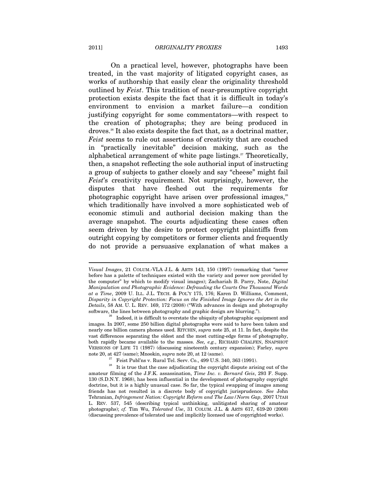On a practical level, however, photographs have been treated, in the vast majority of litigated copyright cases, as works of authorship that easily clear the originality threshold outlined by *Feist*. This tradition of near-presumptive copyright protection exists despite the fact that it is difficult in today's environment to envision a market failure—a condition justifying copyright for some commentators—with respect to the creation of photographs; they are being produced in droves.26 It also exists despite the fact that, as a doctrinal matter, *Feist* seems to rule out assertions of creativity that are couched in "practically inevitable" decision making, such as the alphabetical arrangement of white page listings.<sup>27</sup> Theoretically, then, a snapshot reflecting the sole authorial input of instructing a group of subjects to gather closely and say "cheese" might fail *Feist*'s creativity requirement. Not surprisingly, however, the disputes that have fleshed out the requirements for photographic copyright have arisen over professional images,<sup>28</sup> which traditionally have involved a more sophisticated web of economic stimuli and authorial decision making than the average snapshot. The courts adjudicating these cases often seem driven by the desire to protect copyright plaintiffs from outright copying by competitors or former clients and frequently do not provide a persuasive explanation of what makes a

*Visual Images*, 21 COLUM.-VLA J.L. & ARTS 143, 150 (1997) (remarking that "never before has a palette of techniques existed with the variety and power now provided by the computer" by which to modify visual images); Zachariah B. Parry, Note, *Digital Manipulation and Photographic Evidence: Defrauding the Courts One Thousand Words at a Time*, 2009 U. ILL. J.L. TECH. & POL'Y 175, 176; Karen D. Williams, Comment, *Disparity in Copyright Protection: Focus on the Finished Image Ignores the Art in the Details*, 58 AM. U. L. REV. 169, 172 (2008) ("With advances in design and photography software, the lines between photography and graphic design are blurring."). 26 Indeed, it is difficult to overstate the ubiquity of photographic equipment and

images. In 2007, some 250 billion digital photographs were said to have been taken and nearly one billion camera phones used. RITCHIN, *supra* note 25, at 11. In fact, despite the vast differences separating the oldest and the most cutting-edge forms of photography, both rapidly became available to the masses. *See, e.g.*, RICHARD CHALFEN, SNAPSHOT VERSIONS OF LIFE 71 (1987) (discussing nineteenth century expansion); Farley, *supra*

note 20, at 427 (same); Mnookin, *supra* note 20, at 12 (same).<br><sup>27</sup> Feist Publ'ns v. Rural Tel. Serv. Co., 499 U.S. 340, 363 (1991).<br><sup>28</sup> It is true that the case adjudicating the copyright dispute arising out of the amateur filming of the J.F.K. assassination, *Time Inc. v. Bernard Geis*, 293 F. Supp. 130 (S.D.N.Y. 1968), has been influential in the development of photography copyright doctrine, but it is a highly unusual case. So far, the typical swapping of images among friends has not resulted in a discrete body of copyright jurisprudence. *See* John Tehranian, *Infringement Nation: Copyright Reform and The Law/Norm Gap*, 2007 UTAH L. REV. 537, 545 (describing typical unthinking, unlitigated sharing of amateur photographs); *cf.* Tim Wu, *Tolerated Use*, 31 COLUM. J.L. & ARTS 617, 619-20 (2008) (discussing prevalence of tolerated use and implicitly licensed use of copyrighted works).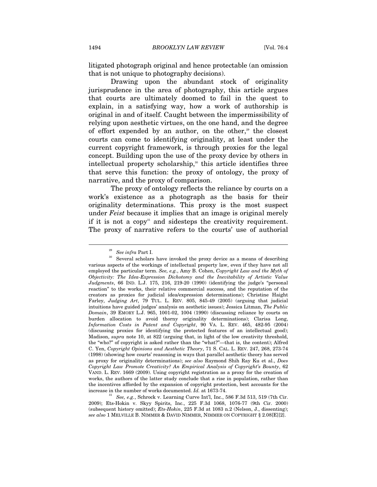litigated photograph original and hence protectable (an omission that is not unique to photography decisions).

Drawing upon the abundant stock of originality jurisprudence in the area of photography, this article argues that courts are ultimately doomed to fail in the quest to explain, in a satisfying way, how a work of authorship is original in and of itself. Caught between the impermissibility of relying upon aesthetic virtues, on the one hand, and the degree of effort expended by an author, on the other,<sup>29</sup> the closest courts can come to identifying originality, at least under the current copyright framework, is through proxies for the legal concept. Building upon the use of the proxy device by others in intellectual property scholarship, $30$  this article identifies three that serve this function: the proxy of ontology, the proxy of narrative, and the proxy of comparison.

The proxy of ontology reflects the reliance by courts on a work's existence as a photograph as the basis for their originality determinations. This proxy is the most suspect under *Feist* because it implies that an image is original merely if it is not a copy<sup>31</sup> and sidesteps the creativity requirement. The proxy of narrative refers to the courts' use of authorial

<sup>&</sup>lt;sup>29</sup> See *infra* Part I.<br><sup>30</sup> Several scholars have invoked the proxy device as a means of describing various aspects of the workings of intellectual property law, even if they have not all employed the particular term. *See, e.g.*, Amy B. Cohen, *Copyright Law and the Myth of Objectivity: The Idea-Expression Dichotomy and the Inevitability of Artistic Value Judgments*, 66 IND. L.J. 175, 216, 219-20 (1990) (identifying the judge's "personal reaction" to the works, their relative commercial success, and the reputation of the creators as proxies for judicial idea/expression determinations); Christine Haight Farley, *Judging Art*, 79 TUL. L. REV. 805, 845-49 (2005) (arguing that judicial intuitions have guided judges' analysis on aesthetic issues); Jessica Litman, *The Public Domain*, 39 EMORY L.J. 965, 1001-02, 1004 (1990) (discussing reliance by courts on burden allocation to avoid thorny originality determinations); Clarisa Long, *Information Costs in Patent and Copyright*, 90 VA. L. REV. 465, 482-95 (2004) (discussing proxies for identifying the protected features of an intellectual good); Madison, *supra* note 10, at 822 (arguing that, in light of the low creativity threshold, the "who?" of copyright is asked rather than the "what?"—that is, the content); Alfred C. Yen, *Copyright Opinions and Aesthetic Theory*, 71 S. CAL. L. REV. 247, 268, 273-74 (1998) (showing how courts' reasoning in ways that parallel aesthetic theory has served as proxy for originality determinations); *see also* Raymond Shih Ray Ku et al., *Does Copyright Law Promote Creativity? An Empirical Analysis of Copyright's Bounty*, 62 VAND. L. REV. 1669 (2009). Using copyright registration as a proxy for the creation of works, the authors of the latter study conclude that a rise in population, rather than the incentives afforded by the expansion of copyright protection, best accounts for the

<sup>%</sup> increase in the number of works documented. *Id.* at 1673-74.  $\text{See, } e.g.,$  Schrock v. Learning Curve Int'l, Inc., 586 F.3d 513, 519 (7th Cir. 2009); Ets-Hokin v. Skyy Spirits, Inc., 225 F.3d 1068, 1076-77 (9th Cir. 2000) (subsequent history omitted); *Ets-Hokin*, 225 F.3d at 1083 n.2 (Nelson, J., dissenting); *see also* 1 MELVILLE B. NIMMER & DAVID NIMMER, NIMMER ON COPYRIGHT § 2.08[E][2].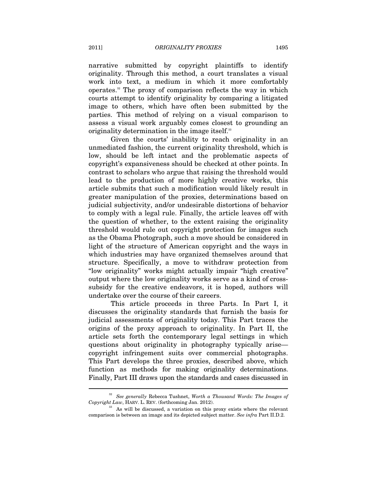narrative submitted by copyright plaintiffs to identify originality. Through this method, a court translates a visual work into text, a medium in which it more comfortably operates.32 The proxy of comparison reflects the way in which courts attempt to identify originality by comparing a litigated image to others, which have often been submitted by the parties. This method of relying on a visual comparison to assess a visual work arguably comes closest to grounding an originality determination in the image itself.<sup>33</sup>

Given the courts' inability to reach originality in an unmediated fashion, the current originality threshold, which is low, should be left intact and the problematic aspects of copyright's expansiveness should be checked at other points. In contrast to scholars who argue that raising the threshold would lead to the production of more highly creative works, this article submits that such a modification would likely result in greater manipulation of the proxies, determinations based on judicial subjectivity, and/or undesirable distortions of behavior to comply with a legal rule. Finally, the article leaves off with the question of whether, to the extent raising the originality threshold would rule out copyright protection for images such as the Obama Photograph, such a move should be considered in light of the structure of American copyright and the ways in which industries may have organized themselves around that structure. Specifically, a move to withdraw protection from "low originality" works might actually impair "high creative" output where the low originality works serve as a kind of crosssubsidy for the creative endeavors, it is hoped, authors will undertake over the course of their careers.

This article proceeds in three Parts. In Part I, it discusses the originality standards that furnish the basis for judicial assessments of originality today. This Part traces the origins of the proxy approach to originality. In Part II, the article sets forth the contemporary legal settings in which questions about originality in photography typically arise copyright infringement suits over commercial photographs. This Part develops the three proxies, described above, which function as methods for making originality determinations. Finally, Part III draws upon the standards and cases discussed in

<sup>&</sup>lt;sup>32</sup> See generally Rebecca Tushnet, *Worth a Thousand Words: The Images of Copyright Law*, HARV. L. REV. (forthcoming Jan. 2012).

<sup>&</sup>lt;sup>33</sup> As will be discussed, a variation on this proxy exists where the relevant comparison is between an image and its depicted subject matter. *See infra* Part II.D.2.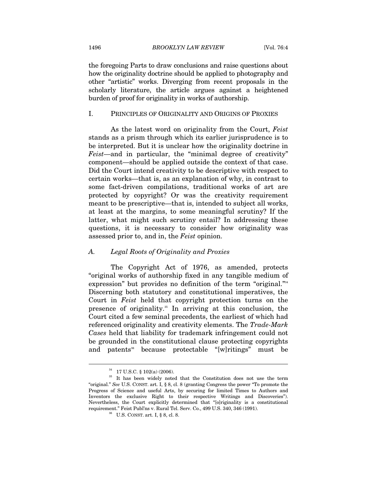the foregoing Parts to draw conclusions and raise questions about how the originality doctrine should be applied to photography and other "artistic" works. Diverging from recent proposals in the scholarly literature, the article argues against a heightened burden of proof for originality in works of authorship.

#### I. PRINCIPLES OF ORIGINALITY AND ORIGINS OF PROXIES

As the latest word on originality from the Court, *Feist* stands as a prism through which its earlier jurisprudence is to be interpreted. But it is unclear how the originality doctrine in *Feist*—and in particular, the "minimal degree of creativity" component—should be applied outside the context of that case. Did the Court intend creativity to be descriptive with respect to certain works—that is, as an explanation of why, in contrast to some fact-driven compilations, traditional works of art are protected by copyright? Or was the creativity requirement meant to be prescriptive—that is, intended to subject all works, at least at the margins, to some meaningful scrutiny? If the latter, what might such scrutiny entail? In addressing these questions, it is necessary to consider how originality was assessed prior to, and in, the *Feist* opinion.

### *A. Legal Roots of Originality and Proxies*

The Copyright Act of 1976, as amended, protects "original works of authorship fixed in any tangible medium of expression" but provides no definition of the term "original."<sup>34</sup> Discerning both statutory and constitutional imperatives, the Court in *Feist* held that copyright protection turns on the presence of originality.35 In arriving at this conclusion, the Court cited a few seminal precedents, the earliest of which had referenced originality and creativity elements. The *Trade-Mark Cases* held that liability for trademark infringement could not be grounded in the constitutional clause protecting copyrights and patents<sup>36</sup> because protectable "[w]ritings" must be

<sup>34 17</sup> U.S.C. § 102(a) (2006).

<sup>&</sup>lt;sup>35</sup> It has been widely noted that the Constitution does not use the term "original." *See* U.S. CONST. art. I, § 8, cl. 8 (granting Congress the power "To promote the Progress of Science and useful Arts, by securing for limited Times to Authors and Inventors the exclusive Right to their respective Writings and Discoveries"). Nevertheless, the Court explicitly determined that "[o]riginality is a constitutional requirement." Feist Publ'ns v. Rural Tel. Serv. Co., 499 U.S. 340, 346 (1991).  $^{36}$  U.S. CONST. art. I, § 8, cl. 8.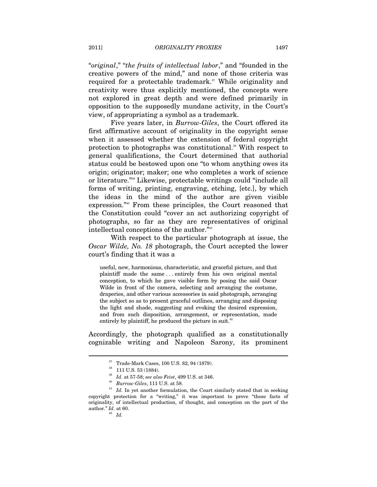"*original*," "*the fruits of intellectual labor*," and "founded in the creative powers of the mind," and none of those criteria was required for a protectable trademark.<sup>37</sup> While originality and creativity were thus explicitly mentioned, the concepts were not explored in great depth and were defined primarily in opposition to the supposedly mundane activity, in the Court's view, of appropriating a symbol as a trademark.

Five years later, in *Burrow-Giles*, the Court offered its first affirmative account of originality in the copyright sense when it assessed whether the extension of federal copyright protection to photographs was constitutional.<sup>38</sup> With respect to general qualifications, the Court determined that authorial status could be bestowed upon one "to whom anything owes its origin; originator; maker; one who completes a work of science or literature."39 Likewise, protectable writings could "include all forms of writing, printing, engraving, etching, [etc.], by which the ideas in the mind of the author are given visible expression."40 From these principles, the Court reasoned that the Constitution could "cover an act authorizing copyright of photographs, so far as they are representatives of original intellectual conceptions of the author."<sup>41</sup>

With respect to the particular photograph at issue, the *Oscar Wilde, No. 18* photograph, the Court accepted the lower court's finding that it was a

useful, new, harmonious, characteristic, and graceful picture, and that plaintiff made the same . . . entirely from his own original mental conception, to which he gave visible form by posing the said Oscar Wilde in front of the camera, selecting and arranging the costume, draperies, and other various accessories in said photograph, arranging the subject so as to present graceful outlines, arranging and disposing the light and shade, suggesting and evoking the desired expression, and from such disposition, arrangement, or representation, made entirely by plaintiff, he produced the picture in suit.<sup>42</sup>

Accordingly, the photograph qualified as a constitutionally cognizable writing and Napoleon Sarony, its prominent

 $\,^{37}_{\,38}$  Trade-Mark Cases, 100 U.S. 82, 94 (1879).<br> $\,^{38}_{\,39}$  111 U.S. 53 (1884).<br> $\,^{39}_{\,39}$  Id. at 57-58; see also Feist, 499 U.S. at 346.

 $^\mathrm{40}$   $\;Burrow\text{-}Giles,$  111 U.S. at 58.  $^\mathrm{41}$   $\;Id.$  In yet another formulation, the Court similarly stated that in seeking copyright protection for a "writing," it was important to prove "those facts of originality, of intellectual production, of thought, and conception on the part of the author."  $\frac{Id}{42}$  at 60.<br>*Id.*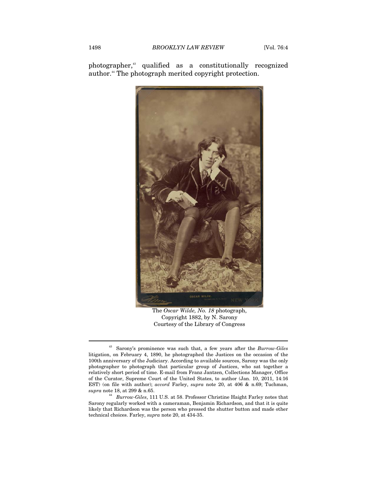photographer,43 qualified as a constitutionally recognized author.<sup>44</sup> The photograph merited copyright protection.



The *Oscar Wilde, No. 18* photograph, Copyright 1882, by N. Sarony Courtesy of the Library of Congress

<sup>43</sup> Sarony's prominence was such that, a few years after the *Burrow-Giles* litigation, on February 4, 1890, he photographed the Justices on the occasion of the 100th anniversary of the Judiciary. According to available sources, Sarony was the only photographer to photograph that particular group of Justices, who sat together a relatively short period of time. E-mail from Franz Jantzen, Collections Manager, Office of the Curator, Supreme Court of the United States, to author (Jan. 10, 2011, 14:16 EST) (on file with author); *accord* Farley, *supra* note 20, at 406 & n.69; Tuchman,

 $^{44}$   $\; Burrow\mbox{-}Giles,$  111 U.S. at 58. Professor Christine Haight Farley notes that Sarony regularly worked with a cameraman, Benjamin Richardson, and that it is quite likely that Richardson was the person who pressed the shutter button and made other technical choices. Farley, *supra* note 20, at 434-35.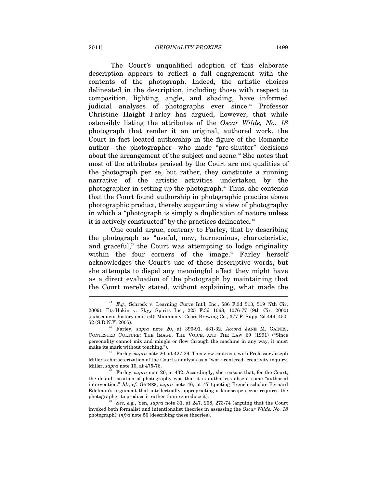The Court's unqualified adoption of this elaborate description appears to reflect a full engagement with the contents of the photograph. Indeed, the artistic choices delineated in the description, including those with respect to composition, lighting, angle, and shading, have informed judicial analyses of photographs ever since.<sup>45</sup> Professor Christine Haight Farley has argued, however, that while ostensibly listing the attributes of the *Oscar Wilde, No. 18* photograph that render it an original, authored work, the Court in fact located authorship in the figure of the Romantic author—the photographer—who made "pre-shutter" decisions about the arrangement of the subject and scene.<sup>46</sup> She notes that most of the attributes praised by the Court are not qualities of the photograph per se, but rather, they constitute a running narrative of the artistic activities undertaken by the photographer in setting up the photograph.<sup>47</sup> Thus, she contends that the Court found authorship in photographic practice above photographic product, thereby supporting a view of photography in which a "photograph is simply a duplication of nature unless it is actively constructed" by the practices delineated.<sup>48</sup>

One could argue, contrary to Farley, that by describing the photograph as "useful, new, harmonious, characteristic, and graceful," the Court was attempting to lodge originality within the four corners of the image.<sup>49</sup> Farley herself acknowledges the Court's use of those descriptive words, but she attempts to dispel any meaningful effect they might have as a direct evaluation of the photograph by maintaining that the Court merely stated, without explaining, what made the  $\overline{a}$ 

<sup>45</sup> *E.g.*, Schrock v. Learning Curve Int'l, Inc., 586 F.3d 513, 519 (7th Cir. 2009); Ets-Hokin v. Skyy Spirits Inc., 225 F.3d 1068, 1076-77 (9th Cir. 2000) (subsequent history omitted); Mannion v. Coors Brewing Co., 377 F. Supp. 2d 444, 450-

<sup>52 (</sup>S.D.N.Y. 2005). 46 Farley, *supra* note 20, at 390-91, 431-32. *Accord* JANE M. GAINES, CONTESTED CULTURE: THE IMAGE, THE VOICE, AND THE LAW 69 (1991) ("Since personality cannot mix and mingle or flow through the machine in any way, it must make its mark without touching."). 47 Farley, *supra* note 20, at 427-29. This view contrasts with Professor Joseph

Miller's characterization of the Court's analysis as a "work-centered" creativity inquiry.<br>Miller, *supra* note 10, at 475-76.

<sup>&</sup>lt;sup>18</sup> Farley, *supra* note 20, at 432. Accordingly, she reasons that, for the Court, the default position of photography was that it is authorless absent some "authorial intervention." *Id.*; *cf.* GAINES, *supra* note 46, at 47 (quoting French scholar Bernard Edelman's argument that intellectually appropriating a landscape scene requires the photographer to produce it rather than reproduce it). 49 *See, e.g.*, Yen, *supra* note 31, at 247, 268, 273-74 (arguing that the Court

invoked both formalist and intentionalist theories in assessing the *Oscar Wilde, No. 18* photograph); *infra* note 56 (describing these theories).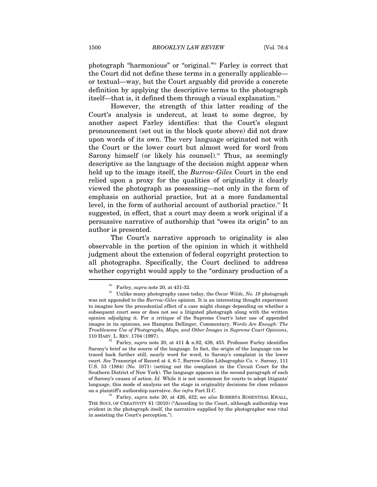photograph "harmonious" or "original."50 Farley is correct that the Court did not define these terms in a generally applicable or textual—way, but the Court arguably did provide a concrete definition by applying the descriptive terms to the photograph itself—that is, it defined them through a visual explanation.<sup>51</sup>

However, the strength of this latter reading of the Court's analysis is undercut, at least to some degree, by another aspect Farley identifies: that the Court's elegant pronouncement (set out in the block quote above) did not draw upon words of its own. The very language originated not with the Court or the lower court but almost word for word from Sarony himself (or likely his counsel).<sup>52</sup> Thus, as seemingly descriptive as the language of the decision might appear when held up to the image itself, the *Burrow-Giles* Court in the end relied upon a proxy for the qualities of originality it clearly viewed the photograph as possessing—not only in the form of emphasis on authorial practice, but at a more fundamental level, in the form of authorial account of authorial practice.<sup>53</sup> It suggested, in effect, that a court may deem a work original if a persuasive narrative of authorship that "owes its origin" to an author is presented.

The Court's narrative approach to originality is also observable in the portion of the opinion in which it withheld judgment about the extension of federal copyright protection to all photographs. Specifically, the Court declined to address whether copyright would apply to the "ordinary production of a

<sup>50</sup> Farley, *supra* note 20, at 431-32. 51 Unlike many photography cases today, the *Oscar Wilde, No. 18* photograph was not appended to the *Burrow-Giles* opinion. It is an interesting thought experiment to imagine how the precedential effect of a case might change depending on whether a subsequent court sees or does not see a litigated photograph along with the written opinion adjudging it. For a critique of the Supreme Court's later use of appended images in its opinions, see Hampton Dellinger, Commentary, *Words Are Enough: The Troublesome Use of Photographs, Maps, and Other Images in Supreme Court Opinions*,

<sup>110</sup> HARV. L. REV. 1704 (1997). 52 Farley, *supra* note 20, at 411 & n.92, 438, 455. Professor Farley identifies Sarony's brief as the source of the language. In fact, the origin of the language can be traced back further still, nearly word for word, to Sarony's complaint in the lower court. *See* Transcript of Record at 4, 6-7, Burrow-Giles Lithographic Co. v. Sarony, 111 U.S. 53 (1884) (No. 1071) (setting out the complaint in the Circuit Court for the Southern District of New York). The language appears in the second paragraph of each of Sarony's causes of action. *Id.* While it is not uncommon for courts to adopt litigants' language, this mode of analysis set the stage in originality decisions for close reliance on a plaintiff's authorship narrative. *See infra* Part II.C. 53 Farley, *supra* note 20, at 426, 432; *see also* ROBERTA ROSENTHAL KWALL,

THE SOUL OF CREATIVITY 81 (2010) ("According to the Court, although authorship was evident in the photograph itself, the narrative supplied by the photographer was vital in assisting the Court's perception.").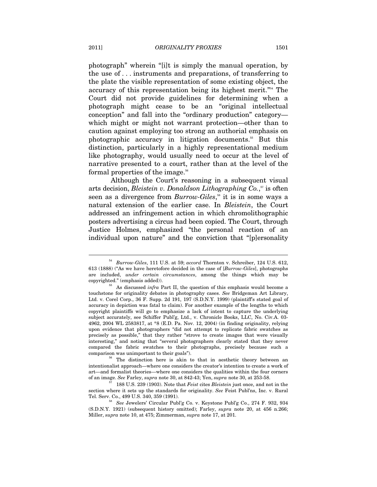photograph" wherein "[i]t is simply the manual operation, by the use of . . . instruments and preparations, of transferring to the plate the visible representation of some existing object, the accuracy of this representation being its highest merit."54 The Court did not provide guidelines for determining when a photograph might cease to be an "original intellectual conception" and fall into the "ordinary production" category which might or might not warrant protection—other than to caution against employing too strong an authorial emphasis on photographic accuracy in litigation documents.55 But this distinction, particularly in a highly representational medium like photography, would usually need to occur at the level of narrative presented to a court, rather than at the level of the formal properties of the image.<sup>56</sup>

Although the Court's reasoning in a subsequent visual arts decision, *Bleistein v. Donaldson Lithographing Co.*,<sup>57</sup> is often seen as a divergence from *Burrow-Giles*, 58 it is in some ways a natural extension of the earlier case. In *Bleistein*, the Court addressed an infringement action in which chromolithographic posters advertising a circus had been copied. The Court, through Justice Holmes, emphasized "the personal reaction of an individual upon nature" and the conviction that "[p]ersonality

<sup>54</sup> *Burrow-Giles*, 111 U.S. at 59; *accord* Thornton v. Schreiber, 124 U.S. 612, 613 (1888) ("As we have heretofore decided in the case of [*Burrow-Giles*], photographs are included, *under certain circumstances*, among the things which may be copyrighted." (emphasis added)). 55 As discussed *infra* Part II, the question of this emphasis would become a

touchstone for originality debates in photography cases. *See* Bridgeman Art Library, Ltd. v. Corel Corp., 36 F. Supp. 2d 191, 197 (S.D.N.Y. 1999) (plaintiff's stated goal of accuracy in depiction was fatal to claim). For another example of the lengths to which copyright plaintiffs will go to emphasize a lack of intent to capture the underlying subject accurately, see Schiffer Publ'g, Ltd., v. Chronicle Books, LLC, No. Civ.A. 03- 4962, 2004 WL 2583817, at \*8 (E.D. Pa. Nov. 12, 2004) (in finding originality, relying upon evidence that photographers "did not attempt to replicate fabric swatches as precisely as possible," that they rather "strove to create images that were visually interesting," and noting that "several photographers clearly stated that they never compared the fabric swatches to their photographs, precisely because such a

comparison was unimportant to their goals").<br><sup>56</sup> The distinction here is akin to that in aesthetic theory between an intentionalist approach—where one considers the creator's intention to create a work of art—and formalist theories—where one considers the qualities within the four corners of an image. *See* Farley, *supra* note 30, at 842-43; Yen, *supra* note 30, at 253-58. 57 188 U.S. 239 (1903). Note that *Feist* cites *Bleistein* just once, and not in the

section where it sets up the standards for originality. *See* Feist Publ'ns, Inc. v. Rural Tel. Serv. Co., 499 U.S. 340, 359 (1991).

<sup>&</sup>lt;sup>58</sup> See Jewelers' Circular Publ'g Co. v. Keystone Publ'g Co., 274 F. 932, 934 (S.D.N.Y. 1921) (subsequent history omitted); Farley, *supra* note 20, at 456 n.266; Miller, *supra* note 10, at 475; Zimmerman, *supra* note 17, at 201.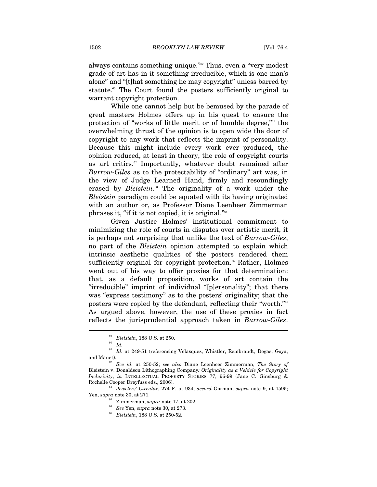always contains something unique."59 Thus, even a "very modest grade of art has in it something irreducible, which is one man's alone" and "[t]hat something he may copyright" unless barred by statute.<sup>60</sup> The Court found the posters sufficiently original to warrant copyright protection.

While one cannot help but be bemused by the parade of great masters Holmes offers up in his quest to ensure the protection of "works of little merit or of humble degree,"61 the overwhelming thrust of the opinion is to open wide the door of copyright to any work that reflects the imprint of personality. Because this might include every work ever produced, the opinion reduced, at least in theory, the role of copyright courts as art critics.<sup>62</sup> Importantly, whatever doubt remained after *Burrow-Giles* as to the protectability of "ordinary" art was, in the view of Judge Learned Hand, firmly and resoundingly erased by *Bleistein*. 63 The originality of a work under the *Bleistein* paradigm could be equated with its having originated with an author or, as Professor Diane Leenheer Zimmerman phrases it, "if it is not copied, it is original."64

Given Justice Holmes' institutional commitment to minimizing the role of courts in disputes over artistic merit, it is perhaps not surprising that unlike the text of *Burrow-Giles*, no part of the *Bleistein* opinion attempted to explain which intrinsic aesthetic qualities of the posters rendered them sufficiently original for copyright protection.<sup>65</sup> Rather, Holmes went out of his way to offer proxies for that determination: that, as a default proposition, works of art contain the "irreducible" imprint of individual "[p]ersonality"; that there was "express testimony" as to the posters' originality; that the posters were copied by the defendant, reflecting their "worth."66 As argued above, however, the use of these proxies in fact reflects the jurisprudential approach taken in *Burrow-Giles*.

 $\overline{a}$ 

Rochelle Cooper Dreyfuss eds., 2006).<br><sup>63</sup> *Jewelers' Circular*, 274 F. at 934; *accord* Gorman, *supra* note 9, at 1595;<br>Yen, *supra* note 30, at 271.

<sup>59</sup> *Bleistein*, 188 U.S. at 250. 60 *Id.*

 $^{61}\,$   $ld.$  at 249-51 (referencing Velasquez, Whistler, Rembrandt, Degas, Goya, and Manet). 62 *See id.* at 250-52; *see also* Diane Leenheer Zimmerman, *The Story of* 

Bleistein v. Donaldson Lithographing Company*: Originality as a Vehicle for Copyright Inclusivity*, *in* INTELLECTUAL PROPERTY STORIES 77, 96-99 (Jane C. Ginsburg &

Yen, *supra* note 30, at 271. 64 Zimmerman, *supra* note 17, at 202. 65 *See* Yen, *supra* note 30, at 273. 66 *Bleistein*, 188 U.S. at 250-52.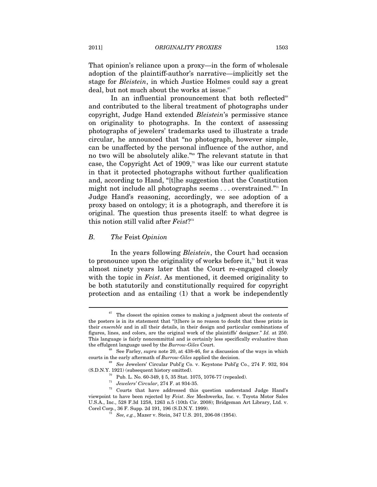That opinion's reliance upon a proxy—in the form of wholesale adoption of the plaintiff-author's narrative—implicitly set the stage for *Bleistein*, in which Justice Holmes could say a great deal, but not much about the works at issue. $67$ 

In an influential pronouncement that both reflected<sup>68</sup> and contributed to the liberal treatment of photographs under copyright, Judge Hand extended *Bleistein*'s permissive stance on originality to photographs. In the context of assessing photographs of jewelers' trademarks used to illustrate a trade circular, he announced that "no photograph, however simple, can be unaffected by the personal influence of the author, and no two will be absolutely alike."69 The relevant statute in that case, the Copyright Act of 1909, $\degree$  was like our current statute in that it protected photographs without further qualification and, according to Hand, "[t]he suggestion that the Constitution might not include all photographs seems . . . overstrained."71 In Judge Hand's reasoning, accordingly, we see adoption of a proxy based on ontology; it is a photograph, and therefore it is original. The question thus presents itself: to what degree is this notion still valid after *Feist*?72

#### *B. The* Feist *Opinion*

 $\overline{a}$ 

In the years following *Bleistein*, the Court had occasion to pronounce upon the originality of works before it,<sup> $\pi$ </sup> but it was almost ninety years later that the Court re-engaged closely with the topic in *Feist*. As mentioned, it deemed originality to be both statutorily and constitutionally required for copyright protection and as entailing (1) that a work be independently

The closest the opinion comes to making a judgment about the contents of the posters is in its statement that "[t]here is no reason to doubt that these prints in their *ensemble* and in all their details, in their design and particular combinations of figures, lines, and colors, are the original work of the plaintiffs' designer." *Id.* at 250. This language is fairly noncommittal and is certainly less specifically evaluative than the effulgent language used by the *Burrow-Giles* Court.<br><sup>68</sup> See Farley, *supra* note 20, at 438-46, for a discussion of the ways in which

courts in the early aftermath of *Burrow-Giles* applied the decision.<br><sup>69</sup> *See* Jewelers' Circular Publ'g Co. v. Keystone Publ'g Co., 274 F. 932, 934 (S.D.N.Y. 1921) (subsequent history omitted).

<sup>&</sup>lt;sup>70</sup> Pub. L. No. 60-349, § 5, 35 Stat. 1075, 1076-77 (repealed).<br><sup>71</sup> *Jewelers' Circular*, 274 F. at 934-35.

<sup>&</sup>lt;sup>72</sup> Courts that have addressed this question understand Judge Hand's viewpoint to have been rejected by *Feist*. *See* Meshwerks, Inc. v. Toyota Motor Sales U.S.A., Inc., 528 F.3d 1258, 1263 n.5 (10th Cir. 2008); Bridgeman Art Library, Ltd. v. Corel Corp., 36 F. Supp. 2d 191, 196 (S.D.N.Y. 1999). 73 *See, e.g.*, Mazer v. Stein, 347 U.S. 201, 206-08 (1954).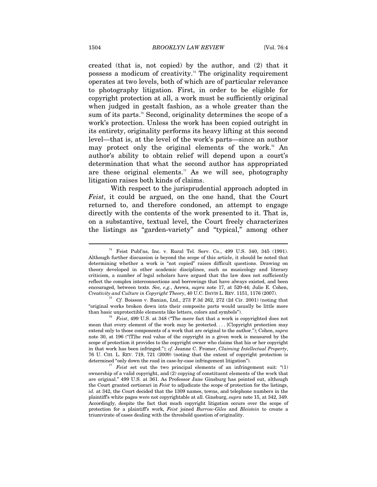created (that is, not copied) by the author, and (2) that it possess a modicum of creativity.<sup> $74$ </sup> The originality requirement operates at two levels, both of which are of particular relevance to photography litigation. First, in order to be eligible for copyright protection at all, a work must be sufficiently original when judged in gestalt fashion, as a whole greater than the sum of its parts.<sup>75</sup> Second, originality determines the scope of a work's protection. Unless the work has been copied outright in its entirety, originality performs its heavy lifting at this second level—that is, at the level of the work's parts—since an author may protect only the original elements of the work.<sup>76</sup> An author's ability to obtain relief will depend upon a court's determination that what the second author has appropriated are these original elements.<sup>77</sup> As we will see, photography litigation raises both kinds of claims.

With respect to the jurisprudential approach adopted in *Feist*, it could be argued, on the one hand, that the Court returned to, and therefore condoned, an attempt to engage directly with the contents of the work presented to it. That is, on a substantive, textual level, the Court freely characterizes the listings as "garden-variety" and "typical," among other

<sup>74</sup> Feist Publ'ns, Inc. v. Rural Tel. Serv. Co., 499 U.S. 340, 345 (1991). Although further discussion is beyond the scope of this article, it should be noted that determining whether a work is "not copied" raises difficult questions. Drawing on theory developed in other academic disciplines, such as musicology and literary criticism, a number of legal scholars have argued that the law does not sufficiently reflect the complex interconnections and borrowings that have always existed, and been encouraged, between texts. *See, e.g.*, Arewa, *supra* note 17, at 520-44; Julie E. Cohen, *Creativity and Culture in Copyright Theory*, 40 U.C. DAVIS L. REV. 1151, 1176 (2007). 75 *Cf.* Boisson v. Banian, Ltd., 273 F.3d 262, 272 (2d Cir. 2001) (noting that

<sup>&</sup>quot;original works broken down into their composite parts would usually be little more than basic unprotectible elements like letters, colors and symbols").

<sup>&</sup>lt;sup>76</sup> Feist, 499 U.S. at 348 ("The mere fact that a work is copyrighted does not mean that every element of the work may be protected. . . . [C]opyright protection may extend only to those components of a work that are original to the author."); Cohen, *supra* note 30, at 196 ("[T]he real value of the copyright in a given work is measured by the scope of protection it provides to the copyright owner who claims that his or her copyright in that work has been infringed."); *cf.* Jeanne C. Fromer, *Claiming Intellectual Property*, 76 U. CHI. L. REV. 719, 721 (2009) (noting that the extent of copyright protection is

determined "only down the road in case-by-case infringement litigation").<br><sup>77</sup> *Feist* set out the two principal elements of an infringement suit: "(1) ownership of a valid copyright, and (2) copying of constituent elements of the work that are original." 499 U.S. at 361. As Professor Jane Ginsburg has pointed out, although the Court granted certiorari in *Feist* to adjudicate the scope of protection for the listings, *id.* at 342, the Court decided that the 1309 names, towns, and telephone numbers in the plaintiff's white pages were not copyrightable at all. Ginsburg, *supra* note 15, at 342, 349. Accordingly, despite the fact that much copyright litigation occurs over the scope of protection for a plaintiff's work, *Feist* joined *Burrow-Giles* and *Bleistein* to create a triumvirate of cases dealing with the threshold question of originality.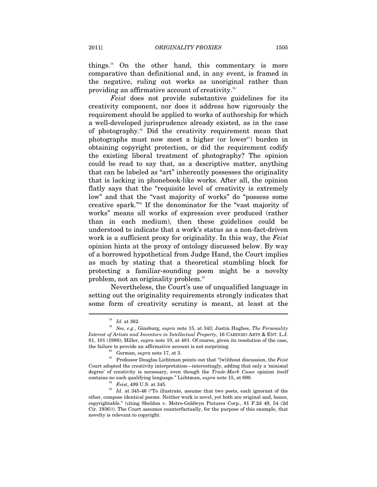things.<sup>78</sup> On the other hand, this commentary is more comparative than definitional and, in any event, is framed in the negative, ruling out works as unoriginal rather than providing an affirmative account of creativity.79

*Feist* does not provide substantive guidelines for its creativity component, nor does it address how rigorously the requirement should be applied to works of authorship for which a well-developed jurisprudence already existed, as in the case of photography.80 Did the creativity requirement mean that photographs must now meet a higher (or lower<sup>81</sup>) burden in obtaining copyright protection, or did the requirement codify the existing liberal treatment of photography? The opinion could be read to say that, as a descriptive matter, anything that can be labeled as "art" inherently possesses the originality that is lacking in phonebook-like works. After all, the opinion flatly says that the "requisite level of creativity is extremely low" and that the "vast majority of works" do "possess some creative spark."82 If the denominator for the "vast majority of works" means all works of expression ever produced (rather than in each medium), then these guidelines could be understood to indicate that a work's status as a non-fact-driven work is a sufficient proxy for originality. In this way, the *Feist* opinion hints at the proxy of ontology discussed below. By way of a borrowed hypothetical from Judge Hand, the Court implies as much by stating that a theoretical stumbling block for protecting a familiar-sounding poem might be a novelty problem, not an originality problem.<sup>83</sup>

Nevertheless, the Court's use of unqualified language in setting out the originality requirements strongly indicates that some form of creativity scrutiny is meant, at least at the

<sup>78</sup> *Id.* at 362. 79 *See, e.g.*, Ginsburg, *supra* note 15, at 343; Justin Hughes, *The Personality Interest of Artists and Inventors in Intellectual Property*, 16 CARDOZO ARTS & ENT. L.J. 81, 101 (1998); Miller, *supra* note 10, at 481. Of course, given its resolution of the case,

the failure to provide an affirmative account is not surprising.<br><sup>80</sup> Gorman, *supra* note 17, at 3.<br>Professor Douglas Lichtman points out that "[w]ithout discussion, the *Feist* Court adopted the creativity interpretation—interestingly, adding that only a 'minimal degree' of creativity is necessary, even though the *Trade-Mark Cases* opinion itself %contains no such qualifying language." Lichtman, *supra* note 15, at 698.<br><sup>82</sup> *Feist*, 499 U.S. at 345. *Id.* at 345-46 ("To illustrate, assume that two poets, each ignorant of the

other, compose identical poems. Neither work is novel, yet both are original and, hence, copyrightable." (citing Sheldon v. Metro-Goldwyn Pictures Corp., 81 F.2d 49, 54 (2d Cir. 1936))). The Court assumes counterfactually, for the purpose of this example, that novelty is relevant to copyright.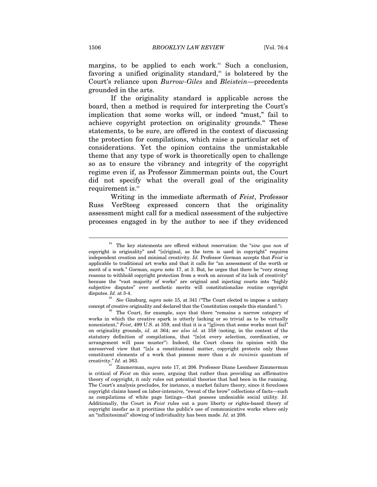margins, to be applied to each work. $84$  Such a conclusion, favoring a unified originality standard,<sup> $\delta$ </sup> is bolstered by the Court's reliance upon *Burrow-Giles* and *Bleistein*—precedents grounded in the arts.

If the originality standard is applicable across the board, then a method is required for interpreting the Court's implication that some works will, or indeed "must," fail to achieve copyright protection on originality grounds.<sup>86</sup> These statements, to be sure, are offered in the context of discussing the protection for compilations, which raise a particular set of considerations. Yet the opinion contains the unmistakable theme that any type of work is theoretically open to challenge so as to ensure the vibrancy and integrity of the copyright regime even if, as Professor Zimmerman points out, the Court did not specify what the overall goal of the originality requirement is.<sup>87</sup>

Writing in the immediate aftermath of *Feist*, Professor Russ VerSteeg expressed concern that the originality assessment might call for a medical assessment of the subjective processes engaged in by the author to see if they evidenced

concept of creative originality and declared that the Constitution compels this standard."). 86 The Court, for example, says that there "remains a narrow category of

<sup>84</sup> The key statements are offered without reservation: the "*sine qua non* of copyright is originality" and "[o]riginal, as the term is used in copyright" requires independent creation and minimal creativity. *Id.* Professor Gorman accepts that *Feist* is applicable to traditional art works and that it calls for "an assessment of the worth or merit of a work." Gorman, *supra* note 17, at 3. But, he urges that there be "very strong reasons to withhold copyright protection from a work on account of its lack of creativity" because the "vast majority of works" are original and injecting courts into "highly subjective disputes" over aesthetic merits will constitutionalize routine copyright disputes. *Id.* at 3-4.<br><sup>85</sup> *See* Ginsburg, *supra* note 15, at 341 ("The Court elected to impose a unitary

works in which the creative spark is utterly lacking or so trivial as to be virtually nonexistent," *Feist*, 499 U.S. at 359, and that it is a "[g]iven that some works must fail" on originality grounds, *id.* at 364; *see also id.* at 358 (noting, in the context of the statutory definition of compilations, that "[n]ot every selection, coordination, or arrangement will pass muster"). Indeed, the Court closes its opinion with the unreserved view that "[a]s a constitutional matter, copyright protects only those constituent elements of a work that possess more than a *de minimis* quantum of

creativity." *Id.* at 363. 87 Zimmerman, *supra* note 17, at 206. Professor Diane Leenheer Zimmerman is critical of *Feist* on this score, arguing that rather than providing an affirmative theory of copyright, it only rules out potential theories that had been in the running. The Court's analysis precludes, for instance, a market failure theory, since it forecloses copyright claims based on labor-intensive, "sweat of the brow" collections of facts—such as compilations of white page listings—that possess undeniable social utility. *Id.* Additionally, the Court in *Feist* rules out a pure liberty or rights-based theory of copyright insofar as it prioritizes the public's use of communicative works where only an "infinitesimal" showing of individuality has been made. *Id.* at 208.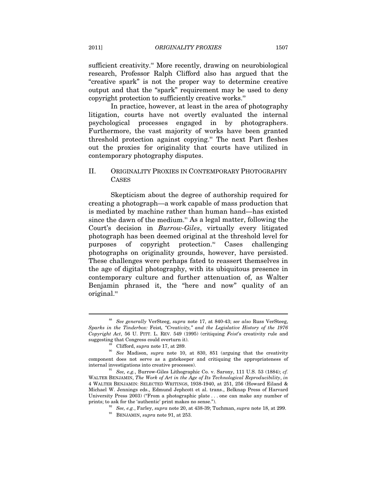sufficient creativity.<sup>88</sup> More recently, drawing on neurobiological research, Professor Ralph Clifford also has argued that the "creative spark" is not the proper way to determine creative output and that the "spark" requirement may be used to deny copyright protection to sufficiently creative works.<sup>89</sup>

In practice, however, at least in the area of photography litigation, courts have not overtly evaluated the internal psychological processes engaged in by photographers. Furthermore, the vast majority of works have been granted threshold protection against copying.<sup>90</sup> The next Part fleshes out the proxies for originality that courts have utilized in contemporary photography disputes.

# II. ORIGINALITY PROXIES IN CONTEMPORARY PHOTOGRAPHY CASES

Skepticism about the degree of authorship required for creating a photograph—a work capable of mass production that is mediated by machine rather than human hand—has existed since the dawn of the medium.<sup>91</sup> As a legal matter, following the Court's decision in *Burrow-Giles*, virtually every litigated photograph has been deemed original at the threshold level for purposes of copyright protection.<sup>92</sup> Cases challenging photographs on originality grounds, however, have persisted. These challenges were perhaps fated to reassert themselves in the age of digital photography, with its ubiquitous presence in contemporary culture and further attenuation of, as Walter Benjamin phrased it, the "here and now" quality of an original.<sup>93</sup>

<sup>88</sup> *See generally* VerSteeg, *supra* note 17, at 840-43; *see also* Russ VerSteeg, *Sparks in the Tinderbox:* Feist*, "Creativity," and the Legislative History of the 1976 Copyright Act*, 56 U. PITT. L. REV. 549 (1995) (critiquing *Feist*'s creativity rule and

suggesting that Congress could overturn it).<br><sup>89</sup> Clifford, *supra* note 17, at 289.<br><sup>90</sup> *See* Madison, *supra* note 10, at 830, 851 (arguing that the creativity component does not serve as a gatekeeper and critiquing the appropriateness of internal investigations into creative processes).

<sup>91</sup> *See, e.g.*, Burrow-Giles Lithographic Co. v. Sarony, 111 U.S. 53 (1884); *cf.* WALTER BENJAMIN, *The Work of Art in the Age of Its Technological Reproducibility*, *in* 4 WALTER BENJAMIN: SELECTED WRITINGS, 1938-1940, at 251, 256 (Howard Eiland & Michael W. Jennings eds., Edmund Jephcott et al. trans., Belknap Press of Harvard University Press 2003) ("From a photographic plate . . . one can make any number of prints; to ask for the 'authentic' print makes no sense.").

prints; to ask for the 'authentic' print makes no sense."). 92 *See, e.g.*, Farley, *supra* note 20, at 438-39; Tuchman, *supra* note 18, at 299. 93 BENJAMIN, *supra* note 91, at 253.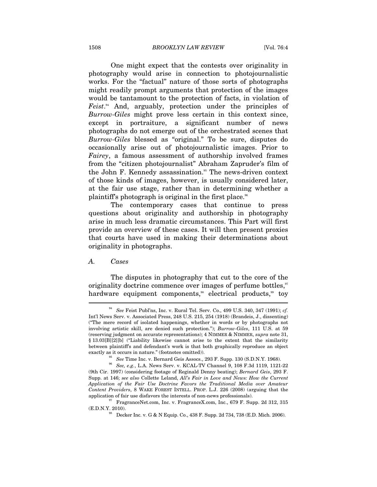#### 1508 *BROOKLYN LAW REVIEW* [Vol. 76:4

One might expect that the contests over originality in photography would arise in connection to photojournalistic works. For the "factual" nature of those sorts of photographs might readily prompt arguments that protection of the images would be tantamount to the protection of facts, in violation of *Feist*. 94 And, arguably, protection under the principles of *Burrow-Giles* might prove less certain in this context since, except in portraiture, a significant number of news photographs do not emerge out of the orchestrated scenes that *Burrow-Giles* blessed as "original." To be sure, disputes do occasionally arise out of photojournalistic images. Prior to *Fairey*, a famous assessment of authorship involved frames from the "citizen photojournalist" Abraham Zapruder's film of the John F. Kennedy assassination.<sup>95</sup> The news-driven context of those kinds of images, however, is usually considered later, at the fair use stage, rather than in determining whether a plaintiff's photograph is original in the first place.<sup>96</sup>

The contemporary cases that continue to press questions about originality and authorship in photography arise in much less dramatic circumstances. This Part will first provide an overview of these cases. It will then present proxies that courts have used in making their determinations about originality in photographs.

#### *A. Cases*

The disputes in photography that cut to the core of the originality doctrine commence over images of perfume bottles, $\mathcal{I}$ hardware equipment components,<sup>98</sup> electrical products,<sup>99</sup> toy

<sup>94</sup> *See* Feist Publ'ns, Inc. v. Rural Tel. Serv. Co., 499 U.S. 340, 347 (1991); *cf.* Int'l News Serv. v. Associated Press, 248 U.S. 215, 254 (1918) (Brandeis, J., dissenting) ("The mere record of isolated happenings, whether in words or by photographs not involving artistic skill, are denied such protection."); *Burrow-Giles*, 111 U.S. at 59 (reserving judgment on accurate representations); 4 NIMMER & NIMMER, *supra* note 31, § 13.03[B][2][b] ("Liability likewise cannot arise to the extent that the similarity between plaintiff's and defendant's work is that both graphically reproduce an object

exactly as it occurs in nature." (footnotes omitted)). <sup>95</sup> *See* Time Inc. v. Bernard Geis Assocs., 293 F. Supp. 130 (S.D.N.Y. 1968). <sup>96</sup> *See, e.g.*, L.A. News Serv. v. KCAL-TV Channel 9, 108 F.3d 1119, 1121-22 (9th Cir. 1997) (considering footage of Reginald Denny beating); *Bernard Geis*, 293 F. Supp. at 146; *see also* Collette Leland, *All's Fair in Love and News: How the Current Application of the Fair Use Doctrine Favors the Traditional Media over Amateur Content Providers*, 8 WAKE FOREST INTELL. PROP. L.J. 226 (2008) (arguing that the application of fair use disfavors the interests of non-news professionals).  $$^{97}$  FragranceNet.com, Inc. v. FragranceX.com, Inc., 679 F. Supp. 2d 312, 315

 $\rm (E.D.N.Y.$  2010). <br> 98 Decker Inc. v. G & N Equip. Co., 438 F. Supp. 2d 734, 738 (E.D. Mich. 2006).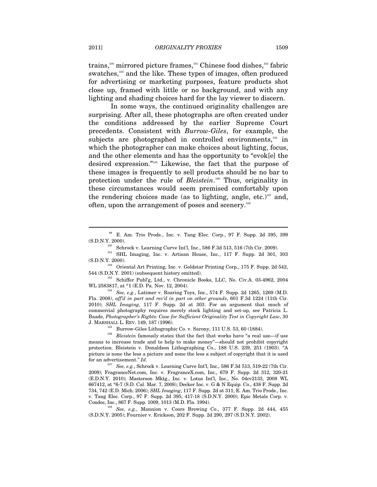trains,<sup>100</sup> mirrored picture frames,<sup>101</sup> Chinese food dishes,<sup>102</sup> fabric swatches,<sup>103</sup> and the like. These types of images, often produced for advertising or marketing purposes, feature products shot close up, framed with little or no background, and with any lighting and shading choices hard for the lay viewer to discern.

In some ways, the continued originality challenges are surprising. After all, these photographs are often created under the conditions addressed by the earlier Supreme Court precedents. Consistent with *Burrow-Giles*, for example, the subjects are photographed in controlled environments.<sup>104</sup> in which the photographer can make choices about lighting, focus, and the other elements and has the opportunity to "evok[e] the desired expression."105 Likewise, the fact that the purpose of these images is frequently to sell products should be no bar to protection under the rule of *Bleistein*. 106 Thus, originality in these circumstances would seem premised comfortably upon the rendering choices made (as to lighting, angle, etc.)<sup>107</sup> and, often, upon the arrangement of poses and scenery.108

<sup>100</sup> Schrock v. Learning Curve Int'l, Inc., 586 F.3d 513, 516 (7th Cir. 2009).<br><sup>101</sup> SHL Imaging, Inc. v. Artisan House, Inc., 117 F. Supp. 2d 301, 303

(S.D.N.Y. 2000).<br><sup>102</sup> Oriental Art Printing, Inc. v. Goldstar Printing Corp., 175 F. Supp. 2d 542,<br>544 (S.D.N.Y. 2001) (subsequent history omitted).

 $^{103}$  Schiffer Publ'g, Ltd., v. Chronicle Books, LLC, No. Civ.A. 03-4962, 2004 WL 2583817, at \*1 (E.D. Pa. Nov. 12, 2004).<br><sup>104</sup> *See, e.g.*, Latimer v. Roaring Toyz, Inc., 574 F. Supp. 2d 1265, 1269 (M.D.

Fla. 2008), *aff'd in part and rev'd in part on other grounds*, 601 F.3d 1224 (11th Cir. 2010); *SHL Imaging*, 117 F. Supp. 2d at 303. For an argument that much of commercial photography requires merely stock lighting and set-up, see Patricia L. Baade, *Photographer's Rights: Case for Sufficient Originality Test in Copyright Law*, 30

J. MARSHALL L. REV. 149, 187 (1996). 105 Burrow-Giles Lithographic Co. v. Sarony, 111 U.S. 53, 60 (1884). 106 *Bleistein* famously states that the fact that works have "a real use—if use means to increase trade and to help to make money"—should not prohibit copyright protection. Bleistein v. Donaldson Lithographing Co., 188 U.S. 239, 251 (1903). "A picture is none the less a picture and none the less a subject of copyright that it is used for an advertisement." *Id.*

 $^{107}$  See, e.g., Schrock v. Learning Curve Int'l, Inc., 586 F.3d 513, 519-22 (7th Cir. 2009); FragranceNet.com, Inc. v. FragranceX.com, Inc., 679 F. Supp. 2d 312, 320-21 (E.D.N.Y. 2010); Masterson Mktg., Inc. v. Lotus Int'l, Inc., No. 04cv2133, 2008 WL 667412, at \*6-7 (S.D. Cal. Mar. 7, 2008); Decker Inc. v. G & N Equip. Co., 438 F. Supp. 2d 734, 742 (E.D. Mich. 2006); *SHL Imaging*, 117 F. Supp. 2d at 311; E. Am. Trio Prods., Inc. v. Tang Elec. Corp., 97 F. Supp. 2d 395, 417-18 (S.D.N.Y. 2000); Epic Metals Corp. v.

<sup>108</sup> See, e.g., Mannion v. Coors Brewing Co., 377 F. Supp. 2d 444, 455 (S.D.N.Y. 2005); Fournier v. Erickson, 202 F. Supp. 2d 290, 297 (S.D.N.Y. 2002).

<sup>&</sup>lt;sup>99</sup> E. Am. Trio Prods., Inc. v. Tang Elec. Corp., 97 F. Supp. 2d 395, 399 (S.D.N.Y. 2000).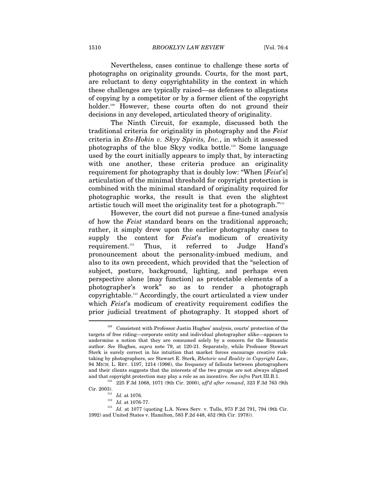1510 *BROOKLYN LAW REVIEW* [Vol. 76:4

Nevertheless, cases continue to challenge these sorts of photographs on originality grounds. Courts, for the most part, are reluctant to deny copyrightability in the context in which these challenges are typically raised—as defenses to allegations of copying by a competitor or by a former client of the copyright holder.<sup>109</sup> However, these courts often do not ground their decisions in any developed, articulated theory of originality.

The Ninth Circuit, for example, discussed both the traditional criteria for originality in photography and the *Feist* criteria in *Ets-Hokin v. Skyy Spirits, Inc.*, in which it assessed photographs of the blue Skyy vodka bottle.110 Some language used by the court initially appears to imply that, by interacting with one another, these criteria produce an originality requirement for photography that is doubly low: "When [*Feist*'s] articulation of the minimal threshold for copyright protection is combined with the minimal standard of originality required for photographic works, the result is that even the slightest artistic touch will meet the originality test for a photograph."<sup>111</sup>

However, the court did not pursue a fine-tuned analysis of how the *Feist* standard bears on the traditional approach; rather, it simply drew upon the earlier photography cases to supply the content for *Feist*'s modicum of creativity requirement.112 Thus, it referred to Judge Hand's pronouncement about the personality-imbued medium, and also to its own precedent, which provided that the "selection of subject, posture, background, lighting, and perhaps even perspective alone [may function] as protectable elements of a photographer's work" so as to render a photograph copyrightable.113 Accordingly, the court articulated a view under which *Feist*'s modicum of creativity requirement codifies the prior judicial treatment of photography. It stopped short of

<sup>109</sup> Consistent with Professor Justin Hughes' analysis, courts' protection of the targets of free riding—corporate entity and individual photographer alike—appears to undermine a notion that they are consumed solely by a concern for the Romantic author. *See* Hughes, *supra* note 79, at 120-21. Separately, while Professor Stewart Sterk is surely correct in his intuition that market forces encourage creative risktaking by photographers, *see* Stewart E. Sterk, *Rhetoric and Reality in Copyright Law*, 94 MICH. L. REV. 1197, 1214 (1996), the frequency of fallouts between photographers and their clients suggests that the interests of the two groups are not always aligned

and that copyright protection may play a role as an incentive. *See infra* Part III.B.1.<br><sup>110</sup> 225 F.3d 1068, 1071 (9th Cir. 2000), *aff'd after remand*, 323 F.3d 763 (9th<br>Cir. 2003).

<sup>&</sup>lt;sup>111</sup> *Id.* at 1076.<br><sup>112</sup> *Id.* at 1076-77.<br><sup>113</sup> *Id.* at 1077 (quoting L.A. News Serv. v. Tullo, 973 F.2d 791, 794 (9th Cir. 1992) and United States v. Hamilton, 583 F.2d 448, 452 (9th Cir. 1978)).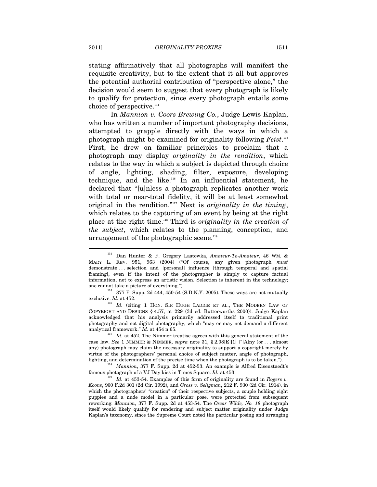stating affirmatively that all photographs will manifest the requisite creativity, but to the extent that it all but approves the potential authorial contribution of "perspective alone," the decision would seem to suggest that every photograph is likely to qualify for protection, since every photograph entails some choice of perspective.<sup>114</sup>

In *Mannion v. Coors Brewing Co.*, Judge Lewis Kaplan, who has written a number of important photography decisions, attempted to grapple directly with the ways in which a photograph might be examined for originality following *Feist*. 115 First, he drew on familiar principles to proclaim that a photograph may display *originality in the rendition*, which relates to the way in which a subject is depicted through choice of angle, lighting, shading, filter, exposure, developing technique, and the like.116 In an influential statement, he declared that "[u]nless a photograph replicates another work with total or near-total fidelity, it will be at least somewhat original in the rendition."117 Next is *originality in the timing*, which relates to the capturing of an event by being at the right place at the right time.118 Third is *originality in the creation of the subject*, which relates to the planning, conception, and arrangement of the photographic scene.<sup>119</sup>

analytical framework." *Id.* at 454 n.65. <sup>117</sup> *Id.* at 452. The Nimmer treatise agrees with this general statement of the case law. *See* 1 NIMMER & NIMMER, *supra* note 31, § 2.08[E][1] ("[A]ny (or . . . almost any) photograph may claim the necessary originality to support a copyright merely by virtue of the photographers' personal choice of subject matter, angle of photograph,

lighting, and determination of the precise time when the photograph is to be taken.").<br><sup>118</sup> *Mannion*, 377 F. Supp. 2d at 452-53. An example is Alfred Eisenstaedt's famous photograph of a VJ Day kiss in Times Square. *Id.* 

 $\overline{Id}$ . at 453-54. Examples of this form of originality are found in *Rogers v. Koons*, 960 F.2d 301 (2d Cir. 1992), and *Gross v. Seligman*, 212 F. 930 (2d Cir. 1914), in which the photographers' "creation" of their respective subjects, a couple holding eight puppies and a nude model in a particular pose, were protected from subsequent reworking. *Mannion*, 377 F. Supp. 2d at 453-54. The *Oscar Wilde, No. 18* photograph itself would likely qualify for rendering and subject matter originality under Judge Kaplan's taxonomy, since the Supreme Court noted the particular posing and arranging

<sup>114</sup> Dan Hunter & F. Gregory Lastowka, *Amateur-To-Amateur*, 46 WM. & MARY L. REV. 951, 963 (2004) ("Of course, any given photograph *must* demonstrate . . . selection and [personal] influence [through temporal and spatial framing], even if the intent of the photographer is simply to capture factual information, not to express an artistic vision. Selection is inherent in the technology;

one cannot take a picture of everything.").  $115$  377 F. Supp. 2d 444, 450-54 (S.D.N.Y. 2005). These ways are not mutually

exclusive. *Id.* at 452. 116 *Id.* (citing 1 HON. SIR HUGH LADDIE ET AL., THE MODERN LAW OF COPYRIGHT AND DESIGNS § 4.57, at 229 (3d ed. Butterworths 2000)). Judge Kaplan acknowledged that his analysis primarily addressed itself to traditional print photography and not digital photography, which "may or may not demand a different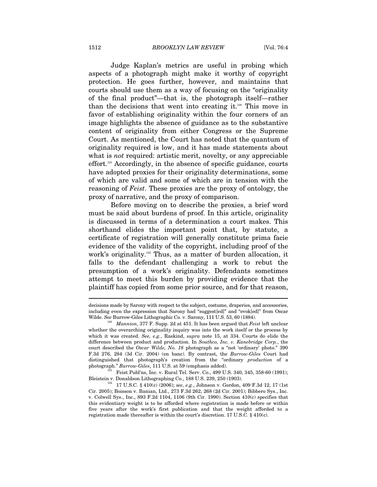Judge Kaplan's metrics are useful in probing which aspects of a photograph might make it worthy of copyright protection. He goes further, however, and maintains that courts should use them as a way of focusing on the "originality of the final product"—that is, the photograph itself—rather than the decisions that went into creating it.120 This move in favor of establishing originality within the four corners of an image highlights the absence of guidance as to the substantive content of originality from either Congress or the Supreme Court. As mentioned, the Court has noted that the quantum of originality required is low, and it has made statements about what is *not* required: artistic merit, novelty, or any appreciable effort.121 Accordingly, in the absence of specific guidance, courts have adopted proxies for their originality determinations, some of which are valid and some of which are in tension with the reasoning of *Feist*. These proxies are the proxy of ontology, the proxy of narrative, and the proxy of comparison.

Before moving on to describe the proxies, a brief word must be said about burdens of proof. In this article, originality is discussed in terms of a determination a court makes. This shorthand elides the important point that, by statute, a certificate of registration will generally constitute prima facie evidence of the validity of the copyright, including proof of the work's originality.<sup>122</sup> Thus, as a matter of burden allocation, it falls to the defendant challenging a work to rebut the presumption of a work's originality. Defendants sometimes attempt to meet this burden by providing evidence that the plaintiff has copied from some prior source, and for that reason,

decisions made by Sarony with respect to the subject, costume, draperies, and accessories, including even the expression that Sarony had "suggest[ed]" and "evok[ed]" from Oscar Wilde. *See* Burrow-Giles Lithographic Co. v. Sarony, 111 U.S. 53, 60 (1884). 120 *Mannion*, 377 F. Supp. 2d at 451. It has been argued that *Feist* left unclear

whether the overarching originality inquiry was into the work itself or the process by which it was created. *See, e.g.*, Raskind, *supra* note 15, at 334. Courts do elide the difference between product and production. In *Southco, Inc. v. Kanebridge Corp.*, the court described the *Oscar Wilde, No. 18* photograph as a "not 'ordinary' photo." 390 F.3d 276, 284 (3d Cir. 2004) (en banc). By contrast, the *Burrow-Giles* Court had distinguished that photograph's creation from the "ordinary *production* of a photograph." *Burrow-Giles*, 111 U.S. at 59 (emphasis added). 121 Feist Publ'ns, Inc. v. Rural Tel. Serv. Co., 499 U.S. 340, 345, 358-60 (1991);

Bleistein v. Donaldson Lithographing Co., 188 U.S. 239, 250 (1903).<br><sup>122</sup> 17 U.S.C. § 410(c) (2006); *see, e.g.*, Johnson v. Gordon, 409 F.3d 12, 17 (1st

Cir. 2005); Boisson v. Banian, Ltd., 273 F.3d 262, 268 (2d Cir. 2001); Bibbero Sys., Inc. v. Colwell Sys., Inc., 893 F.2d 1104, 1106 (9th Cir. 1990). Section 410(c) specifies that this evidentiary weight is to be afforded where registration is made before or within five years after the work's first publication and that the weight afforded to a registration made thereafter is within the court's discretion. 17 U.S.C. § 410(c).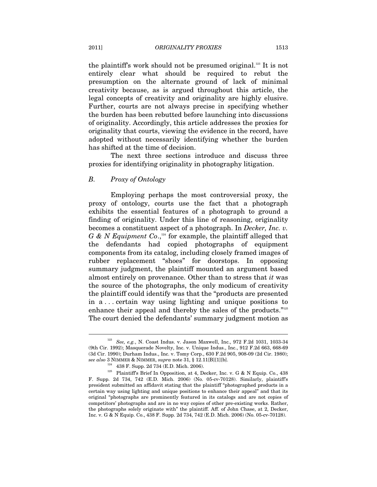the plaintiff's work should not be presumed original.<sup>123</sup> It is not entirely clear what should be required to rebut the presumption on the alternate ground of lack of minimal creativity because, as is argued throughout this article, the legal concepts of creativity and originality are highly elusive. Further, courts are not always precise in specifying whether the burden has been rebutted before launching into discussions of originality. Accordingly, this article addresses the proxies for originality that courts, viewing the evidence in the record, have adopted without necessarily identifying whether the burden has shifted at the time of decision.

The next three sections introduce and discuss three proxies for identifying originality in photography litigation.

# *B. Proxy of Ontology*

Employing perhaps the most controversial proxy, the proxy of ontology, courts use the fact that a photograph exhibits the essential features of a photograph to ground a finding of originality. Under this line of reasoning, originality becomes a constituent aspect of a photograph. In *Decker, Inc. v. G & N Equipment Co.*,<sup>124</sup> for example, the plaintiff alleged that the defendants had copied photographs of equipment components from its catalog, including closely framed images of rubber replacement "shoes" for doorstops. In opposing summary judgment, the plaintiff mounted an argument based almost entirely on provenance. Other than to stress that *it* was the source of the photographs, the only modicum of creativity the plaintiff could identify was that the "products are presented in a . . . certain way using lighting and unique positions to enhance their appeal and thereby the sales of the products."125 The court denied the defendants' summary judgment motion as

<sup>123</sup> *See, e.g.*, N. Coast Indus. v. Jason Maxwell, Inc., 972 F.2d 1031, 1033-34 (9th Cir. 1992); Masquerade Novelty, Inc. v. Unique Indus., Inc., 912 F.2d 663, 668-69 (3d Cir. 1990); Durham Indus., Inc. v. Tomy Corp., 630 F.2d 905, 908-09 (2d Cir. 1980);

 ${\rm sec}$ also 3 NIMMER & NIMMER, *supra* note 31, § 12.11[B][1][b]. <sup>124</sup> 438 F. Supp. 2d 734 (E.D. Mich. 2006). <sup>125</sup> Plaintiff's Brief In Opposition, at 4, Decker, Inc. v. G & N Equip. Co., 438 F. Supp. 2d 734, 742 (E.D. Mich. 2006) (No. 05-cv-70128). Similarly, plaintiff's president submitted an affidavit stating that the plaintiff "photographed products in a certain way using lighting and unique positions to enhance their appeal" and that its original "photographs are prominently featured in its catalogs and are not copies of competitors' photographs and are in no way copies of other pre-existing works. Rather, the photographs solely originate with" the plaintiff. Aff. of John Chase, at 2, Decker, Inc. v. G & N Equip. Co., 438 F. Supp. 2d 734, 742 (E.D. Mich. 2006) (No. 05-cv-70128).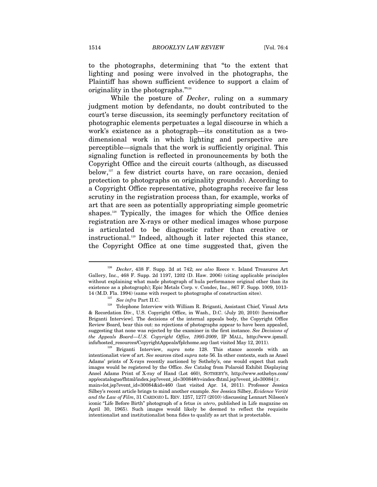to the photographs, determining that "to the extent that lighting and posing were involved in the photographs, the Plaintiff has shown sufficient evidence to support a claim of originality in the photographs."126

While the posture of *Decker*, ruling on a summary judgment motion by defendants, no doubt contributed to the court's terse discussion, its seemingly perfunctory recitation of photographic elements perpetuates a legal discourse in which a work's existence as a photograph—its constitution as a twodimensional work in which lighting and perspective are perceptible—signals that the work is sufficiently original. This signaling function is reflected in pronouncements by both the Copyright Office and the circuit courts (although, as discussed below, $127$  a few district courts have, on rare occasion, denied protection to photographs on originality grounds). According to a Copyright Office representative, photographs receive far less scrutiny in the registration process than, for example, works of art that are seen as potentially appropriating simple geometric shapes.<sup>128</sup> Typically, the images for which the Office denies registration are X-rays or other medical images whose purpose is articulated to be diagnostic rather than creative or instructional.129 Indeed, although it later rejected this stance, the Copyright Office at one time suggested that, given the

<sup>126</sup> *Decker*, 438 F. Supp. 2d at 742; *see also* Reece v. Island Treasures Art Gallery, Inc., 468 F. Supp. 2d 1197, 1202 (D. Haw. 2006) (citing applicable principles without explaining what made photograph of hula performance original other than its existence as a photograph); Epic Metals Corp. v. Condec, Inc., 867 F. Supp. 1009, 1013-

<sup>14 (</sup>M.D. Fla. 1994) (same with respect to photographs of construction sites).  $$^{127}$\,See\,in\,Fa$  Part II.C. Telephone Interview with William R. Briganti, Assistant Chief, Visual Arts & Recordation Div., U.S. Copyright Office, in Wash., D.C. (July 20, 2010) [hereinafter Briganti Interview]. The decisions of the internal appeals body, the Copyright Office Review Board, bear this out: no rejections of photographs appear to have been appealed, suggesting that none was rejected by the examiner in the first instance. *See Decisions of the Appeals Board—U.S. Copyright Office, 1995-2009*, IP MALL, http://www.ipmall. info/hosted\_resources/CopyrightAppeals/fplchome.asp (last visited May 12, 2011). 129 Briganti Interview, *supra* note 128. This stance accords with an

intentionalist view of art. *See* sources cited *supra* note 56. In other contexts, such as Ansel Adams' prints of X-rays recently auctioned by Sotheby's, one would expect that such images would be registered by the Office. *See* Catalog from Polaroid Exhibit Displaying Ansel Adams Print of X-ray of Hand (Lot 460), SOTHEBY'S, http://www.sothebys.com/ app/ecatalogue/fhtml/index.jsp?event\_id=30084#/r=index-fhtml.jsp?event\_id=30084|r. main=lot.jsp?event\_id=30084&id=460 (last visited Apr. 14, 2011). Professor Jessica Silbey's recent article brings to mind another example. *See* Jessica Silbey, *Evidence Verité and the Law of Film*, 31 CARDOZO L. REV. 1257, 1277 (2010) (discussing Lennart Nilsson's iconic "Life Before Birth" photograph of a fetus *in utero*, published in Life magazine on April 30, 1965). Such images would likely be deemed to reflect the requisite intentionalist and institutionalist bona fides to qualify as art that is protectable.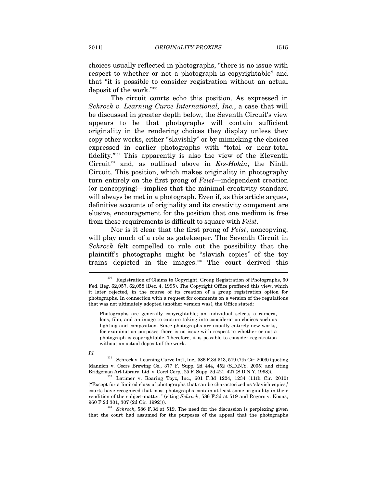choices usually reflected in photographs, "there is no issue with respect to whether or not a photograph is copyrightable" and that "it is possible to consider registration without an actual deposit of the work."130

The circuit courts echo this position. As expressed in *Schrock v. Learning Curve International, Inc.*, a case that will be discussed in greater depth below, the Seventh Circuit's view appears to be that photographs will contain sufficient originality in the rendering choices they display unless they copy other works, either "slavishly" or by mimicking the choices expressed in earlier photographs with "total or near-total fidelity."131 This apparently is also the view of the Eleventh Circuit<sup>132</sup> and, as outlined above in *Ets-Hokin*, the Ninth Circuit. This position, which makes originality in photography turn entirely on the first prong of *Feist*—independent creation (or noncopying)—implies that the minimal creativity standard will always be met in a photograph. Even if, as this article argues, definitive accounts of originality and its creativity component are elusive, encouragement for the position that one medium is free from these requirements is difficult to square with *Feist*.

Nor is it clear that the first prong of *Feist*, noncopying, will play much of a role as gate keeper. The Seventh Circuit in *Schrock* felt compelled to rule out the possibility that the plaintiff's photographs might be "slavish copies" of the toy trains depicted in the images.133 The court derived this

*Id.*

 $^{131}$  Schrock v. Learning Curve Int'l, Inc., 586 F.3d 513, 519 (7th Cir. 2009) (quoting Mannion v. Coors Brewing Co., 377 F. Supp. 2d 444, 452 (S.D.N.Y. 2005) and citing Bridgeman Art Library, Ltd. v. Corel Corp., 25 F. Supp. 2d 421, 427 (S.D.N.Y. 1998)).

<sup>132</sup> Latimer v. Roaring Toyz, Inc., 601 F.3d 1224, 1234 (11th Cir. 2010) ("Except for a limited class of photographs that can be characterized as 'slavish copies,' courts have recognized that most photographs contain at least some originality in their rendition of the subject-matter." (citing *Schrock*, 586 F.3d at 519 and Rogers v. Koons,

960 F.2d 301, 307 (2d Cir. 1992))). 133 *Schrock*, 586 F.3d at 519. The need for the discussion is perplexing given that the court had assumed for the purposes of the appeal that the photographs

<sup>&</sup>lt;sup>130</sup> Registration of Claims to Copyright, Group Registration of Photographs, 60 Fed. Reg. 62,057, 62,058 (Dec. 4, 1995). The Copyright Office proffered this view, which it later rejected, in the course of its creation of a group registration option for photographs. In connection with a request for comments on a version of the regulations that was not ultimately adopted (another version was), the Office stated:

Photographs are generally copyrightable; an individual selects a camera, lens, film, and an image to capture taking into consideration choices such as lighting and composition. Since photographs are usually entirely new works, for examination purposes there is no issue with respect to whether or not a photograph is copyrightable. Therefore, it is possible to consider registration without an actual deposit of the work.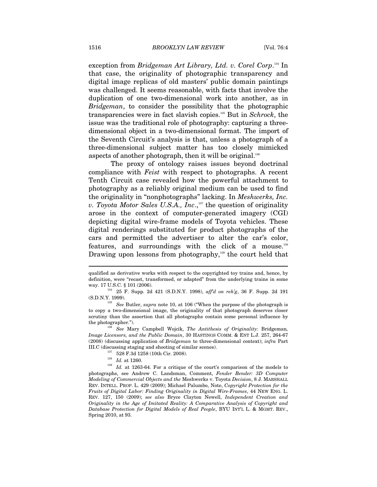exception from *Bridgeman Art Library, Ltd. v. Corel Corp*. 134 In that case, the originality of photographic transparency and digital image replicas of old masters' public domain paintings was challenged. It seems reasonable, with facts that involve the duplication of one two-dimensional work into another, as in *Bridgeman*, to consider the possibility that the photographic transparencies were in fact slavish copies.135 But in *Schrock*, the issue was the traditional role of photography: capturing a threedimensional object in a two-dimensional format. The import of the Seventh Circuit's analysis is that, unless a photograph of a three-dimensional subject matter has too closely mimicked aspects of another photograph, then it will be original.<sup>136</sup>

The proxy of ontology raises issues beyond doctrinal compliance with *Feist* with respect to photographs. A recent Tenth Circuit case revealed how the powerful attachment to photography as a reliably original medium can be used to find the originality in "nonphotographs" lacking. In *Meshwerks, Inc. v. Toyota Motor Sales U.S.A., Inc.*,<sup>137</sup> the question of originality arose in the context of computer-generated imagery (CGI) depicting digital wire-frame models of Toyota vehicles. These digital renderings substituted for product photographs of the cars and permitted the advertiser to alter the car's color, features, and surroundings with the click of a mouse.138 Drawing upon lessons from photography,<sup>139</sup> the court held that

qualified as derivative works with respect to the copyrighted toy trains and, hence, by definition, were "recast, transformed, or adapted" from the underlying trains in some

way. 17 U.S.C. § 101 (2006). 134 25 F. Supp. 2d 421 (S.D.N.Y. 1998), *aff'd on reh'g*, 36 F. Supp. 2d 191 (S.D.N.Y. 1999). 135 *See* Butler, *supra* note 10, at 106 ("When the purpose of the photograph is

to copy a two-dimensional image, the originality of that photograph deserves closer scrutiny than the assertion that all photographs contain some personal influence by the photographer."). 136 *See* Mary Campbell Wojcik, *The Antithesis of Originality:* Bridgeman*,* 

*Image Licensors, and the Public Domain*, 30 HASTINGS COMM. & ENT L.J. 257, 264-67 (2008) (discussing application of *Bridgeman* to three-dimensional context); *infra* Part III.C (discussing staging and shooting of similar scenes).<br><sup>137</sup> 528 F.3d 1258 (10th Cir. 2008).<br><sup>138</sup> *Id.* at 1260.<br><sup>139</sup> *Id.* at 1263-64. For a critique of the court's comparison of the models to

photographs, see Andrew C. Landsman, Comment, *Fender Bender: 3D Computer Modeling of Commercial Objects and the* Meshwerks v. Toyota *Decision*, 8 J. MARSHALL REV. INTELL. PROP. L. 429 (2009); Michael Palumbo, Note, *Copyright Protection for the Fruits of Digital Labor: Finding Originality in Digital Wire-Frames*, 44 NEW ENG. L. REV. 127, 150 (2009); *see also* Bryce Clayton Newell, *Independent Creation and Originality in the Age of Imitated Reality: A Comparative Analysis of Copyright and Database Protection for Digital Models of Real People*, BYU INT'L L. & MGMT. REV., Spring 2010, at 93.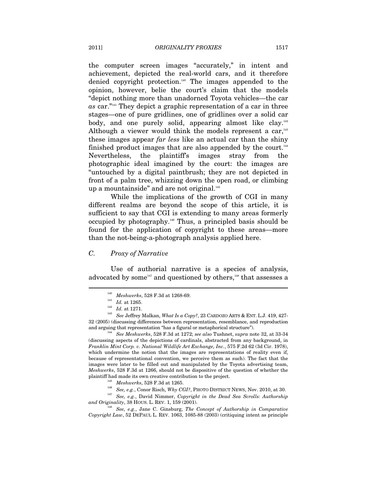the computer screen images "accurately," in intent and achievement, depicted the real-world cars, and it therefore denied copyright protection.140 The images appended to the opinion, however, belie the court's claim that the models "depict nothing more than unadorned Toyota vehicles—the car *as* car."141 They depict a graphic representation of a car in three stages—one of pure gridlines, one of gridlines over a solid car body, and one purely solid, appearing almost like clay.<sup>142</sup> Although a viewer would think the models represent a car, $143$ these images appear *far less* like an actual car than the shiny finished product images that are also appended by the court.<sup>144</sup> Nevertheless, the plaintiff's images stray from the photographic ideal imagined by the court: the images are "untouched by a digital paintbrush; they are not depicted in front of a palm tree, whizzing down the open road, or climbing up a mountainside" and are not original.<sup>145</sup>

While the implications of the growth of CGI in many different realms are beyond the scope of this article, it is sufficient to say that CGI is extending to many areas formerly occupied by photography.146 Thus, a principled basis should be found for the application of copyright to these areas—more than the not-being-a-photograph analysis applied here.

# *C. Proxy of Narrative*

Use of authorial narrative is a species of analysis, advocated by some<sup>147</sup> and questioned by others,<sup>148</sup> that assesses a

 $\overline{a}$ 

and arguing that representation "has a figural or metaphorical structure"). 144 *See Meshwerks*, 528 F.3d at 1272; *see also* Tushnet, *supra* note 32, at 33-34 (discussing aspects of the depictions of cardinals, abstracted from any background, in *Franklin Mint Corp. v. National Wildlife Art Exchange, Inc.*, 575 F.2d 62 (3d Cir. 1978), which undermine the notion that the images are representations of reality even if, because of representational convention, we perceive them as such). The fact that the images were later to be filled out and manipulated by the Toyota advertising team, *Meshwerks*, 528 F.3d at 1266, should not be dispositive of the question of whether the

plaintiff had made its own creative contribution to the project.<br>
<sup>145</sup> Meshwerks, 528 F.3d at 1265.<br>
<sup>146</sup> See, e.g., Conor Risch, Why CGI?, PHOTO DISTRICT NEWS, Nov. 2010, at 30.<br>
<sup>147</sup> See, e.g., David Nimmer, Copyrigh

<sup>148</sup> See, e.g., Jane C. Ginsburg, *The Concept of Authorship in Comparative Copyright Law*, 52 DEPAUL L. REV. 1063, 1085-88 (2003) (critiquing intent as principle

<sup>140</sup> *Meshwerks*, 528 F.3d at 1268-69. 141 *Id.* at 1265. 142 *Id.* at 1271. 143 *See* Jeffrey Malkan, *What Is a Copy?*, 23 CARDOZO ARTS & ENT. L.J. 419, 427- 32 (2005) (discussing differences between representation, resemblance, and reproduction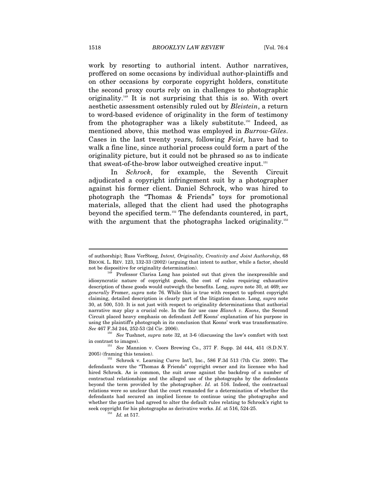work by resorting to authorial intent. Author narratives, proffered on some occasions by individual author-plaintiffs and on other occasions by corporate copyright holders, constitute the second proxy courts rely on in challenges to photographic originality.149 It is not surprising that this is so. With overt aesthetic assessment ostensibly ruled out by *Bleistein*, a return to word-based evidence of originality in the form of testimony from the photographer was a likely substitute.<sup>150</sup> Indeed, as mentioned above, this method was employed in *Burrow-Giles*. Cases in the last twenty years, following *Feist*, have had to walk a fine line, since authorial process could form a part of the originality picture, but it could not be phrased so as to indicate that sweat-of-the-brow labor outweighed creative input.<sup>151</sup>

In *Schrock*, for example, the Seventh Circuit adjudicated a copyright infringement suit by a photographer against his former client. Daniel Schrock, who was hired to photograph the "Thomas & Friends" toys for promotional materials, alleged that the client had used the photographs beyond the specified term.<sup>152</sup> The defendants countered, in part, with the argument that the photographs lacked originality.<sup>153</sup>

of authorship); Russ VerSteeg, *Intent, Originality, Creativity and Joint Authorship*, 68 BROOK. L. REV. 123, 132-33 (2002) (arguing that intent to author, while a factor, should not be dispositive for originality determination).<br><sup>149</sup> Professor Clarisa Long has pointed out that given the inexpressible and

idiosyncratic nature of copyright goods, the cost of rules requiring exhaustive description of these goods would outweigh the benefits. Long, *supra* note 30, at 469; *see generally* Fromer, *supra* note 76. While this is true with respect to upfront copyright claiming, detailed description is clearly part of the litigation dance. Long, *supra* note 30, at 500, 510. It is not just with respect to originality determinations that authorial narrative may play a crucial role. In the fair use case *Blanch v. Koons*, the Second Circuit placed heavy emphasis on defendant Jeff Koons' explanation of his purpose in using the plaintiff's photograph in its conclusion that Koons' work was transformative. See 467 F.3d 244, 252-53 (2d Cir. 2006).

<sup>&</sup>lt;sup>150</sup> See Tushnet, *supra* note 32, at 3-6 (discussing the law's comfort with text in contrast to images). 151 *See* Mannion v. Coors Brewing Co., 377 F. Supp. 2d 444, 451 (S.D.N.Y.

<sup>2005) (</sup>framing this tension). 152 Schrock v. Learning Curve Int'l, Inc., 586 F.3d 513 (7th Cir. 2009). The

defendants were the "Thomas & Friends" copyright owner and its licensee who had hired Schrock. As is common, the suit arose against the backdrop of a number of contractual relationships and the alleged use of the photographs by the defendants beyond the term provided by the photographer. *Id.* at 516. Indeed, the contractual relations were so unclear that the court remanded for a determination of whether the defendants had secured an implied license to continue using the photographs and whether the parties had agreed to alter the default rules relating to Schrock's right to seek copyright for his photographs as derivative works. *Id.* at 516, 524-25.  $Id.$  at 517.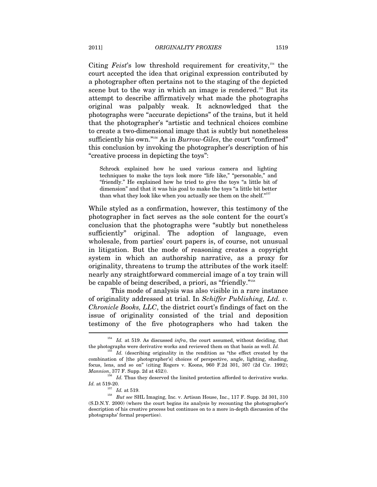Citing *Feist*'s low threshold requirement for creativity,<sup>154</sup> the court accepted the idea that original expression contributed by a photographer often pertains not to the staging of the depicted scene but to the way in which an image is rendered.<sup>155</sup> But its attempt to describe affirmatively what made the photographs original was palpably weak. It acknowledged that the photographs were "accurate depictions" of the trains, but it held that the photographer's "artistic and technical choices combine to create a two-dimensional image that is subtly but nonetheless sufficiently his own."156 As in *Burrow-Giles*, the court "confirmed" this conclusion by invoking the photographer's description of his "creative process in depicting the toys":

Schrock explained how he used various camera and lighting techniques to make the toys look more "life like," "personable," and "friendly." He explained how he tried to give the toys "a little bit of dimension" and that it was his goal to make the toys "a little bit better than what they look like when you actually see them on the shelf."<sup>157</sup>

While styled as a confirmation, however, this testimony of the photographer in fact serves as the sole content for the court's conclusion that the photographs were "subtly but nonetheless sufficiently" original. The adoption of language, even wholesale, from parties' court papers is, of course, not unusual in litigation. But the mode of reasoning creates a copyright system in which an authorship narrative, as a proxy for originality, threatens to trump the attributes of the work itself: nearly any straightforward commercial image of a toy train will be capable of being described, a priori, as "friendly."158

This mode of analysis was also visible in a rare instance of originality addressed at trial. In *Schiffer Publishing, Ltd. v. Chronicle Books, LLC*, the district court's findings of fact on the issue of originality consisted of the trial and deposition testimony of the five photographers who had taken the  $\overline{a}$ 

<sup>&</sup>lt;sup>154</sup> *Id.* at 519. As discussed *infra*, the court assumed, without deciding, that the photographs were derivative works and reviewed them on that basis as well. *Id.* 

<sup>&</sup>lt;sup>155</sup> *Id.* (describing originality in the rendition as "the effect created by the combination of [the photographer's] choices of perspective, angle, lighting, shading, focus, lens, and so on" (citing Rogers v. Koons, 960 F.2d 301, 307 (2d Cir. 1992); *Mannion*, 377 F. Supp. 2d at 452)).

 $^{156}$   $\,$   $\! Id.$  Thus they deserved the limited protection afforded to derivative works.  $\! Id.$  at 519-20.

 $I^{157}$   $\,$   $Id.$  at 519.  $\,$  But see SHL Imaging, Inc. v. Artisan House, Inc., 117 F. Supp. 2d 301, 310  $\,$ (S.D.N.Y. 2000) (where the court begins its analysis by recounting the photographer's description of his creative process but continues on to a more in-depth discussion of the photographs' formal properties).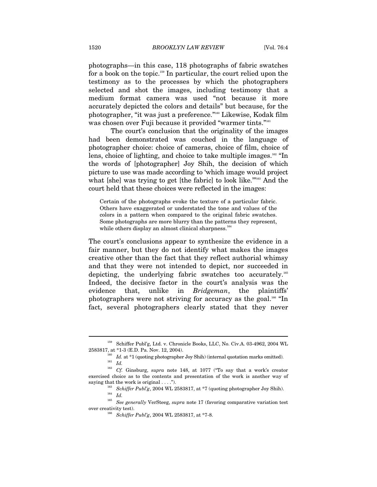photographs—in this case, 118 photographs of fabric swatches for a book on the topic.159 In particular, the court relied upon the testimony as to the processes by which the photographers selected and shot the images, including testimony that a medium format camera was used "not because it more accurately depicted the colors and details" but because, for the photographer, "it was just a preference."160 Likewise, Kodak film was chosen over Fuji because it provided "warmer tints."<sup>161</sup>

The court's conclusion that the originality of the images had been demonstrated was couched in the language of photographer choice: choice of cameras, choice of film, choice of lens, choice of lighting, and choice to take multiple images.<sup>162</sup> "In the words of [photographer] Joy Shih, the decision of which picture to use was made according to 'which image would project what [she] was trying to get [the fabric] to look like."<sup>163</sup> And the court held that these choices were reflected in the images:

Certain of the photographs evoke the texture of a particular fabric. Others have exaggerated or understated the tone and values of the colors in a pattern when compared to the original fabric swatches. Some photographs are more blurry than the patterns they represent, while others display an almost clinical sharpness.<sup>164</sup>

The court's conclusions appear to synthesize the evidence in a fair manner, but they do not identify what makes the images creative other than the fact that they reflect authorial whimsy and that they were not intended to depict, nor succeeded in depicting, the underlying fabric swatches too accurately.165 Indeed, the decisive factor in the court's analysis was the evidence that, unlike in *Bridgeman*, the plaintiffs' photographers were not striving for accuracy as the goal.166 "In fact, several photographers clearly stated that they never

<sup>159</sup> Schiffer Publ'g, Ltd. v. Chronicle Books, LLC, No. Civ.A. 03-4962, 2004 WL

<sup>2583817,</sup> at \*1-3 (E.D. Pa. Nov. 12, 2004).<br>
<sup>160</sup> *Id.* at \*1 (quoting photographer Joy Shih) (internal quotation marks omitted).<br>
<sup>161</sup> *Id.*<br>
<sup>162</sup> *Cf.* Ginsburg, *supra* note 148, at 1077 ("To say that a work's creato exercised choice as to the contents and presentation of the work is another way of

saying that the work is original ....").<br>
<sup>163</sup> Schiffer Publ'g, 2004 WL 2583817, at \*7 (quoting photographer Joy Shih).<br>
<sup>164</sup> Id.<br>
<sup>165</sup> See generally VerSteeg, supra note 17 (favoring comparative variation test

<sup>%</sup> over creativity test).  $\frac{166}{5}$  *Schiffer Publ'g*, 2004 WL 2583817, at \*7-8.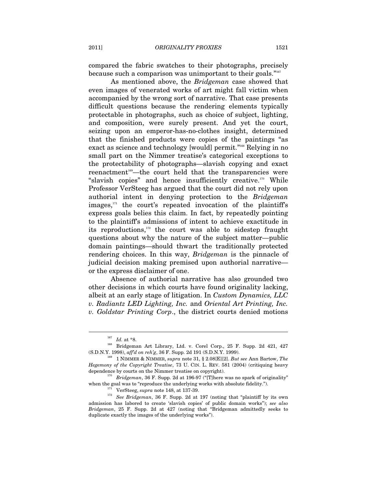compared the fabric swatches to their photographs, precisely because such a comparison was unimportant to their goals."<sup>167</sup>

As mentioned above, the *Bridgeman* case showed that even images of venerated works of art might fall victim when accompanied by the wrong sort of narrative. That case presents difficult questions because the rendering elements typically protectable in photographs, such as choice of subject, lighting, and composition, were surely present. And yet the court, seizing upon an emperor-has-no-clothes insight, determined that the finished products were copies of the paintings "as exact as science and technology [would] permit."<sup>168</sup> Relying in no small part on the Nimmer treatise's categorical exceptions to the protectability of photographs—slavish copying and exact reenactment<sup>169</sup>—the court held that the transparencies were "slavish copies" and hence insufficiently creative.170 While Professor VerSteeg has argued that the court did not rely upon authorial intent in denying protection to the *Bridgeman*  $images, <sup>171</sup>$  the court's repeated invocation of the plaintiff's express goals belies this claim. In fact, by repeatedly pointing to the plaintiff's admissions of intent to achieve exactitude in its reproductions, $172$  the court was able to sidestep fraught questions about why the nature of the subject matter—public domain paintings—should thwart the traditionally protected rendering choices. In this way, *Bridgeman* is the pinnacle of judicial decision making premised upon authorial narrative or the express disclaimer of one.

Absence of authorial narrative has also grounded two other decisions in which courts have found originality lacking, albeit at an early stage of litigation. In *Custom Dynamics, LLC v. Radiantz LED Lighting, Inc.* and *Oriental Art Printing, Inc. v. Goldstar Printing Corp*., the district courts denied motions

l

 $^{167}$   $Id.$  at \*8.  $^{168}$  Bridgeman Art Library, Ltd. v. Corel Corp., 25 F. Supp. 2d 421, 427 (S.D.N.Y. 1998), *aff'd on reh'g*, 36 F. Supp. 2d 191 (S.D.N.Y. 1999).<br><sup>169</sup> 1 NIMMER & NIMMER, *supra* note 31, § 2.08[E][2]. *But see* Ann Bartow, *The* 

*Hegemony of the Copyright Treatise*, 73 U. CIN. L. REV. 581 (2004) (critiquing heavy

dependence by courts on the Nimmer treatise on copyright).<br><sup>170</sup> *Bridgeman*, 36 F. Supp. 2d at 196-97 ("[T]here was no spark of originality" when the goal was to "reproduce the underlying works with absolute fidelity.").

<sup>&</sup>lt;sup>171</sup> VerSteeg, *supra* note 148, at 137-39.<br><sup>172</sup> *See Bridgeman*, 36 F. Supp. 2d at 197 (noting that "plaintiff by its own admission has labored to create 'slavish copies' of public domain works"); *see also Bridgeman*, 25 F. Supp. 2d at 427 (noting that "Bridgeman admittedly seeks to duplicate exactly the images of the underlying works").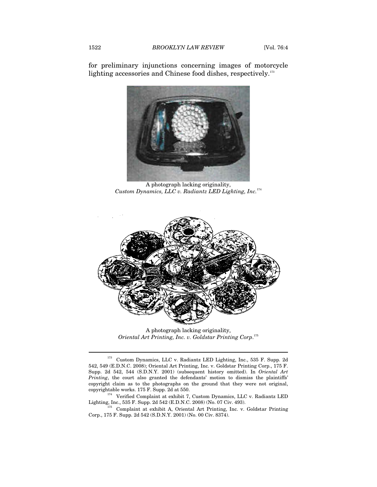for preliminary injunctions concerning images of motorcycle lighting accessories and Chinese food dishes, respectively.<sup>173</sup>



A photograph lacking originality, *Custom Dynamics, LLC v. Radiantz LED Lighting, Inc.*<sup>174</sup>



A photograph lacking originality, *Oriental Art Printing, Inc. v. Goldstar Printing Corp*. 175

 $^{173}\,$  Custom Dynamics, LLC v. Radiantz LED Lighting, Inc., 535 F. Supp. 2d 542, 549 (E.D.N.C. 2008); Oriental Art Printing, Inc. v. Goldstar Printing Corp., 175 F. Supp. 2d 542, 544 (S.D.N.Y. 2001) (subsequent history omitted). In *Oriental Art Printing*, the court also granted the defendants' motion to dismiss the plaintiffs' copyright claim as to the photographs on the ground that they were not original,

copyrightable works. 175 F. Supp. 2d at 551.<br>
174 Verified Complaint at exhibit 7, Custom Dynamics, LLC v. Radiantz LED<br>
Lighting, Inc., 535 F. Supp. 2d 542 (E.D.N.C. 2008) (No. 07 Civ. 493).

 $^{175}$  Complaint at exhibit A, Oriental Art Printing, Inc. v. Goldstar Printing Corp., 175 F. Supp. 2d 542 (S.D.N.Y. 2001) (No. 00 Civ. 8374).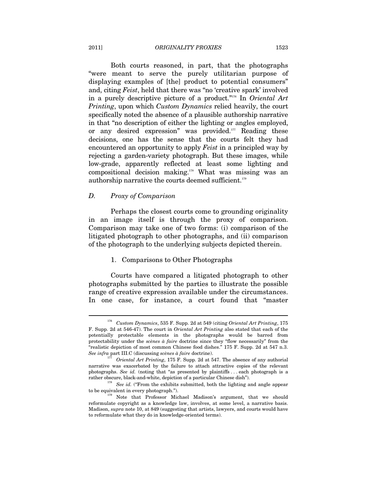#### 2011] *ORIGINALITY PROXIES* 1523

Both courts reasoned, in part, that the photographs "were meant to serve the purely utilitarian purpose of displaying examples of [the] product to potential consumers" and, citing *Feist*, held that there was "no 'creative spark' involved in a purely descriptive picture of a product."176 In *Oriental Art Printing*, upon which *Custom Dynamics* relied heavily, the court specifically noted the absence of a plausible authorship narrative in that "no description of either the lighting or angles employed, or any desired expression" was provided. $177$  Reading these decisions, one has the sense that the courts felt they had encountered an opportunity to apply *Feist* in a principled way by rejecting a garden-variety photograph. But these images, while low-grade, apparently reflected at least some lighting and compositional decision making.178 What was missing was an authorship narrative the courts deemed sufficient.179

# *D. Proxy of Comparison*

Perhaps the closest courts come to grounding originality in an image itself is through the proxy of comparison. Comparison may take one of two forms: (i) comparison of the litigated photograph to other photographs, and (ii) comparison of the photograph to the underlying subjects depicted therein.

# 1. Comparisons to Other Photographs

Courts have compared a litigated photograph to other photographs submitted by the parties to illustrate the possible range of creative expression available under the circumstances. In one case, for instance, a court found that "master

<sup>176</sup> *Custom Dynamics*, 535 F. Supp. 2d at 549 (citing *Oriental Art Printing*, 175 F. Supp. 2d at 546-47). The court in *Oriental Art Printing* also stated that each of the potentially protectable elements in the photographs would be barred from protectability under the *scènes à faire* doctrine since they "flow necessarily" from the "realistic depiction of most common Chinese food dishes." 175 F. Supp. 2d at 547 n.3. *See infra* part III.C (discussing *scènes à faire* doctrine). 177 *Oriental Art Printing*, 175 F. Supp. 2d at 547. The absence of any authorial

narrative was exacerbated by the failure to attach attractive copies of the relevant photographs. *See id.* (noting that "as presented by plaintiffs . . . each photograph is a

rather obscure, black-and-white, depiction of a particular Chinese dish").<br><sup>178</sup> *See id.* ("From the exhibits submitted, both the lighting and angle appear to be equivalent in every photograph.").

 $t^{179}$  Note that Professor Michael Madison's argument, that we should reformulate copyright as a knowledge law, involves, at some level, a narrative basis. Madison, *supra* note 10, at 849 (suggesting that artists, lawyers, and courts would have to reformulate what they do in knowledge-oriented terms).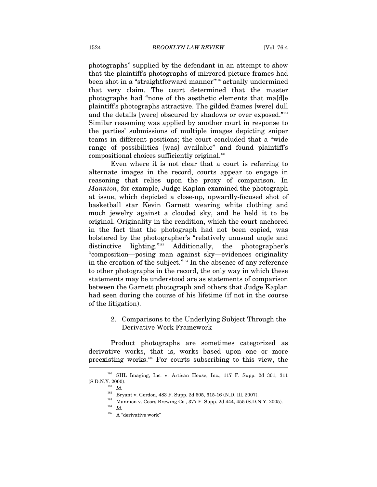photographs" supplied by the defendant in an attempt to show that the plaintiff's photographs of mirrored picture frames had been shot in a "straightforward manner"<sup>180</sup> actually undermined that very claim. The court determined that the master photographs had "none of the aesthetic elements that ma[d]e plaintiff's photographs attractive. The gilded frames [were] dull and the details [were] obscured by shadows or over exposed."<sup>181</sup> Similar reasoning was applied by another court in response to the parties' submissions of multiple images depicting sniper teams in different positions; the court concluded that a "wide range of possibilities [was] available" and found plaintiff's compositional choices sufficiently original.<sup>182</sup>

Even where it is not clear that a court is referring to alternate images in the record, courts appear to engage in reasoning that relies upon the proxy of comparison. In *Mannion*, for example, Judge Kaplan examined the photograph at issue, which depicted a close-up, upwardly-focused shot of basketball star Kevin Garnett wearing white clothing and much jewelry against a clouded sky, and he held it to be original. Originality in the rendition, which the court anchored in the fact that the photograph had not been copied, was bolstered by the photographer's "relatively unusual angle and distinctive lighting."183 Additionally, the photographer's "composition—posing man against sky—evidences originality in the creation of the subject."184 In the absence of any reference to other photographs in the record, the only way in which these statements may be understood are as statements of comparison between the Garnett photograph and others that Judge Kaplan had seen during the course of his lifetime (if not in the course of the litigation).

# 2. Comparisons to the Underlying Subject Through the Derivative Work Framework

Product photographs are sometimes categorized as derivative works, that is, works based upon one or more preexisting works.185 For courts subscribing to this view, the

<sup>180</sup> SHL Imaging, Inc. v. Artisan House, Inc., 117 F. Supp. 2d 301, 311 % (S.D.N.Y. 2000).  $I^{181}_{\rm 182}$   $Id.$  Bryant v. Gordon, 483 F. Supp. 2d 605, 615-16 (N.D. Ill. 2007).

<sup>183</sup> Mannion v. Coors Brewing Co., 377 F. Supp. 2d 444, 455 (S.D.N.Y. 2005).<br><sup>184</sup> *Id* 

 $^{185}$   $\,$  A "derivative work"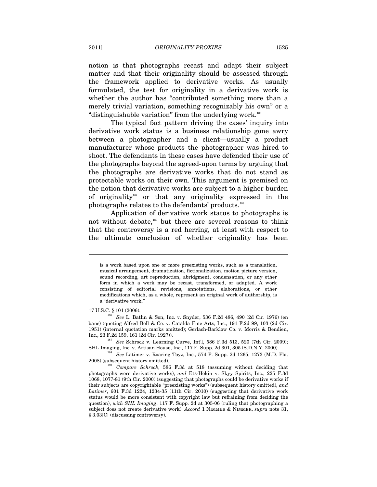notion is that photographs recast and adapt their subject matter and that their originality should be assessed through the framework applied to derivative works. As usually formulated, the test for originality in a derivative work is whether the author has "contributed something more than a merely trivial variation, something recognizably his own" or a "distinguishable variation" from the underlying work.186

The typical fact pattern driving the cases' inquiry into derivative work status is a business relationship gone awry between a photographer and a client—usually a product manufacturer whose products the photographer was hired to shoot. The defendants in these cases have defended their use of the photographs beyond the agreed-upon terms by arguing that the photographs are derivative works that do not stand as protectable works on their own. This argument is premised on the notion that derivative works are subject to a higher burden of originality<sup>187</sup> or that any originality expressed in the photographs relates to the defendants' products.188

Application of derivative work status to photographs is not without debate,<sup>189</sup> but there are several reasons to think that the controversy is a red herring, at least with respect to the ultimate conclusion of whether originality has been

 $\overline{a}$ 

Inc., 23 F.2d 159, 161 (2d Cir. 1927)).<br><sup>187</sup> *See* Schrock v. Learning Curve, Int'l, 586 F.3d 513, 520 (7th Cir. 2009);<br>SHL Imaging, Inc. v. Artisan House, Inc., 117 F. Supp. 2d 301, 305 (S.D.N.Y. 2000).

<sup>188</sup> See Latimer v. Roaring Toyz, Inc., 574 F. Supp. 2d 1265, 1273 (M.D. Fla.

is a work based upon one or more preexisting works, such as a translation, musical arrangement, dramatization, fictionalization, motion picture version, sound recording, art reproduction, abridgment, condensation, or any other form in which a work may be recast, transformed, or adapted. A work consisting of editorial revisions, annotations, elaborations, or other modifications which, as a whole, represent an original work of authorship, is a "derivative work."

<sup>17</sup> U.S.C. § 101 (2006). 186 *See* L. Batlin & Son, Inc. v. Snyder, 536 F.2d 486, 490 (2d Cir. 1976) (en banc) (quoting Alfred Bell & Co. v. Catalda Fine Arts, Inc., 191 F.2d 99, 103 (2d Cir. 1951) (internal quotation marks omitted); Gerlach-Barklow Co. v. Morris & Bendien,

<sup>2008) (</sup>subsequent history omitted). 189 *Compare Schrock*, 586 F.3d at 518 (assuming without deciding that photographs were derivative works), *and* Ets-Hokin v. Skyy Spirits, Inc., 225 F.3d 1068, 1077-81 (9th Cir. 2000) (suggesting that photographs could be derivative works if their subjects are copyrightable "preexisting works") (subsequent history omitted), *and Latimer*, 601 F.3d 1224, 1234-35 (11th Cir. 2010) (suggesting that derivative work status would be more consistent with copyright law but refraining from deciding the question), *with SHL Imaging*, 117 F. Supp. 2d at 305-06 (ruling that photographing a subject does not create derivative work). *Accord* 1 NIMMER & NIMMER, *supra* note 31, § 3.03[C] (discussing controversy).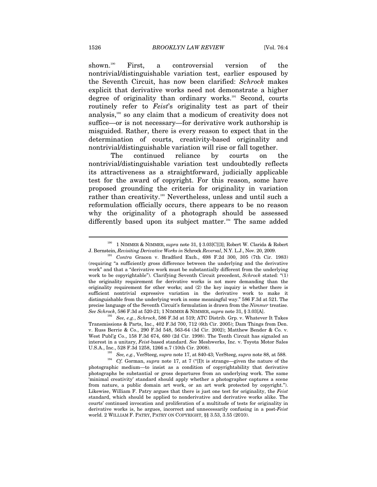shown.190 First, a controversial version of the nontrivial/distinguishable variation test, earlier espoused by the Seventh Circuit, has now been clarified: *Schrock* makes explicit that derivative works need not demonstrate a higher degree of originality than ordinary works.<sup>191</sup> Second, courts routinely refer to *Feist*'s originality test as part of their analysis,<sup>192</sup> so any claim that a modicum of creativity does not suffice—or is not necessary—for derivative work authorship is misguided. Rather, there is every reason to expect that in the determination of courts, creativity-based originality and nontrivial/distinguishable variation will rise or fall together.

The continued reliance by courts on the nontrivial/distinguishable variation test undoubtedly reflects its attractiveness as a straightforward, judicially applicable test for the award of copyright. For this reason, some have proposed grounding the criteria for originality in variation rather than creativity.<sup>193</sup> Nevertheless, unless and until such a reformulation officially occurs, there appears to be no reason why the originality of a photograph should be assessed differently based upon its subject matter.<sup>194</sup> The same added

Transmissions & Parts, Inc., 402 F.3d 700, 712 (6th Cir. 2005); Dam Things from Den. v. Russ Berrie & Co., 290 F.3d 548, 563-64 (3d Cir. 2002); Matthew Bender & Co. v. West Publ'g Co., 158 F.3d 674, 680 (2d Cir. 1998). The Tenth Circuit has signaled an interest in a unitary, *Feist*-based standard. *See* Meshwerks, Inc. v. Toyota Motor Sales

<sup>193</sup> See, e.g., VerSteeg, *supra* note 17, at 840-43; VerSteeg, *supra* note 88, at 588.<br><sup>194</sup> Cf. Gorman, *supra* note 17, at 7 ("[I]t is strange—given the nature of the photographic medium—to insist as a condition of copyrightability that derivative photographs be substantial or gross departures from an underlying work. The same 'minimal creativity' standard should apply whether a photographer captures a scene from nature, a public domain art work, or an art work protected by copyright."). Likewise, William F. Patry argues that there is just one test for originality, the *Feist* standard, which should be applied to nonderivative and derivative works alike. The courts' continued invocation and proliferation of a multitude of tests for originality in derivative works is, he argues, incorrect and unnecessarily confusing in a post-*Feist* world. 2 WILLIAM F. PATRY, PATRY ON COPYRIGHT, §§ 3.53, 3.55 (2010).

 $^{190}$  1 NIMMER & NIMMER,  $supra$  note 31,  $\S$  3.03[C][3]; Robert W. Clarida & Robert

J. Bernstein, *Revisiting Derivative Works in* Schrock *Reversal*, N.Y. L.J., Nov. 20, 2009. 191 *Contra* Gracen v. Bradford Exch., 698 F.2d 300, 305 (7th Cir. 1983) (requiring "a sufficiently gross difference between the underlying and the derivative work" and that a "derivative work must be substantially different from the underlying work to be copyrightable"). Clarifying Seventh Circuit precedent, *Schrock* stated: "(1) the originality requirement for derivative works is not more demanding than the originality requirement for other works; and (2) the key inquiry is whether there is sufficient nontrivial expressive variation in the derivative work to make it distinguishable from the underlying work in some meaningful way." 586 F.3d at 521. The precise language of the Seventh Circuit's formulation is drawn from the *Nimmer* treatise. *See Schrock*, 586 F.3d at 520-21; 1 NIMMER & NIMMER, *supra* note 31, § 3.03[A]. 192 *See, e.g.*, *Schrock*, 586 F.3d at 519; ATC Distrib. Grp. v. Whatever It Takes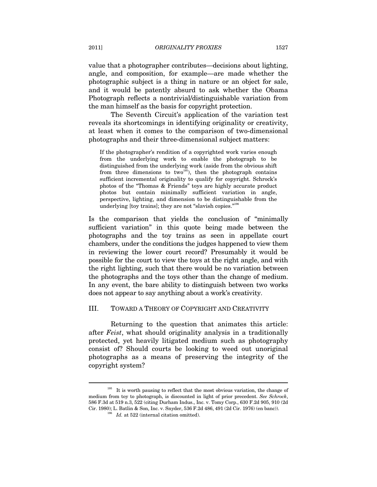value that a photographer contributes—decisions about lighting, angle, and composition, for example—are made whether the photographic subject is a thing in nature or an object for sale, and it would be patently absurd to ask whether the Obama Photograph reflects a nontrivial/distinguishable variation from the man himself as the basis for copyright protection.

The Seventh Circuit's application of the variation test reveals its shortcomings in identifying originality or creativity, at least when it comes to the comparison of two-dimensional photographs and their three-dimensional subject matters:

If the photographer's rendition of a copyrighted work varies enough from the underlying work to enable the photograph to be distinguished from the underlying work (aside from the obvious shift from three dimensions to two<sup>195</sup>), then the photograph contains sufficient incremental originality to qualify for copyright. Schrock's photos of the "Thomas & Friends" toys are highly accurate product photos but contain minimally sufficient variation in angle, perspective, lighting, and dimension to be distinguishable from the underlying [toy trains]; they are not "slavish copies."<sup>196</sup>

Is the comparison that yields the conclusion of "minimally sufficient variation" in this quote being made between the photographs and the toy trains as seen in appellate court chambers, under the conditions the judges happened to view them in reviewing the lower court record? Presumably it would be possible for the court to view the toys at the right angle, and with the right lighting, such that there would be no variation between the photographs and the toys other than the change of medium. In any event, the bare ability to distinguish between two works does not appear to say anything about a work's creativity.

#### III. TOWARD A THEORY OF COPYRIGHT AND CREATIVITY

Returning to the question that animates this article: after *Feist*, what should originality analysis in a traditionally protected, yet heavily litigated medium such as photography consist of? Should courts be looking to weed out unoriginal photographs as a means of preserving the integrity of the copyright system?

<sup>&</sup>lt;sup>195</sup> It is worth pausing to reflect that the most obvious variation, the change of medium from toy to photograph, is discounted in light of prior precedent. *See Schrock*, 586 F.3d at 519 n.3, 522 (citing Durham Indus., Inc. v. Tomy Corp., 630 F.2d 905, 910 (2d Cir. 1980); L. Batlin & Son, Inc. v. Snyder, 536 F.2d 486, 491 (2d Cir. 1976) (en banc)). 196 *Id.* at 522 (internal citation omitted).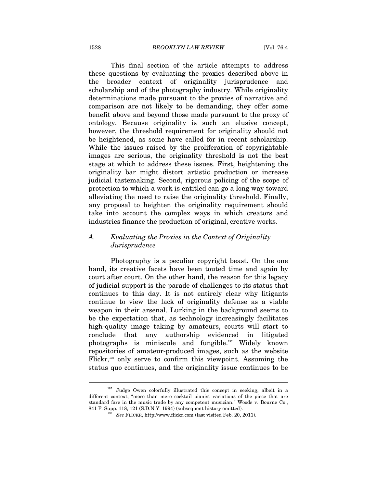This final section of the article attempts to address these questions by evaluating the proxies described above in the broader context of originality jurisprudence and scholarship and of the photography industry. While originality determinations made pursuant to the proxies of narrative and comparison are not likely to be demanding, they offer some benefit above and beyond those made pursuant to the proxy of ontology. Because originality is such an elusive concept, however, the threshold requirement for originality should not be heightened, as some have called for in recent scholarship. While the issues raised by the proliferation of copyrightable images are serious, the originality threshold is not the best stage at which to address these issues. First, heightening the originality bar might distort artistic production or increase judicial tastemaking. Second, rigorous policing of the scope of protection to which a work is entitled can go a long way toward alleviating the need to raise the originality threshold. Finally, any proposal to heighten the originality requirement should take into account the complex ways in which creators and industries finance the production of original, creative works.

# *A. Evaluating the Proxies in the Context of Originality Jurisprudence*

Photography is a peculiar copyright beast. On the one hand, its creative facets have been touted time and again by court after court. On the other hand, the reason for this legacy of judicial support is the parade of challenges to its status that continues to this day. It is not entirely clear why litigants continue to view the lack of originality defense as a viable weapon in their arsenal. Lurking in the background seems to be the expectation that, as technology increasingly facilitates high-quality image taking by amateurs, courts will start to conclude that any authorship evidenced in litigated photographs is miniscule and fungible.197 Widely known repositories of amateur-produced images, such as the website Flickr,<sup>198</sup> only serve to confirm this viewpoint. Assuming the status quo continues, and the originality issue continues to be

<sup>&</sup>lt;sup>197</sup> Judge Owen colorfully illustrated this concept in seeking, albeit in a different context, "more than mere cocktail pianist variations of the piece that are standard fare in the music trade by any competent musician." Woods v. Bourne Co., 841 F. Supp. 118, 121 (S.D.N.Y. 1994) (subsequent history omitted).

*See* FLICKR, http://www.flickr.com (last visited Feb. 20, 2011).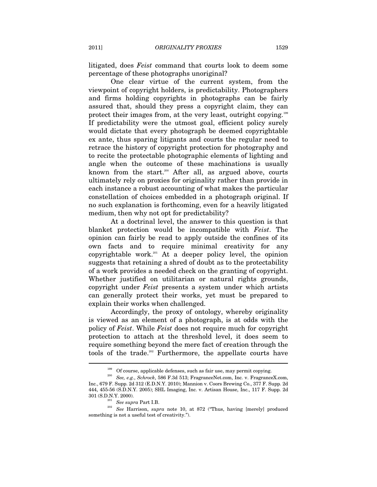litigated, does *Feist* command that courts look to deem some percentage of these photographs unoriginal?

One clear virtue of the current system, from the viewpoint of copyright holders, is predictability. Photographers and firms holding copyrights in photographs can be fairly assured that, should they press a copyright claim, they can protect their images from, at the very least, outright copying.199 If predictability were the utmost goal, efficient policy surely would dictate that every photograph be deemed copyrightable ex ante, thus sparing litigants and courts the regular need to retrace the history of copyright protection for photography and to recite the protectable photographic elements of lighting and angle when the outcome of these machinations is usually known from the start.<sup>200</sup> After all, as argued above, courts ultimately rely on proxies for originality rather than provide in each instance a robust accounting of what makes the particular constellation of choices embedded in a photograph original. If no such explanation is forthcoming, even for a heavily litigated medium, then why not opt for predictability?

At a doctrinal level, the answer to this question is that blanket protection would be incompatible with *Feist*. The opinion can fairly be read to apply outside the confines of its own facts and to require minimal creativity for any copyrightable work.<sup>201</sup> At a deeper policy level, the opinion suggests that retaining a shred of doubt as to the protectability of a work provides a needed check on the granting of copyright. Whether justified on utilitarian or natural rights grounds, copyright under *Feist* presents a system under which artists can generally protect their works, yet must be prepared to explain their works when challenged.

Accordingly, the proxy of ontology, whereby originality is viewed as an element of a photograph, is at odds with the policy of *Feist*. While *Feist* does not require much for copyright protection to attach at the threshold level, it does seem to require something beyond the mere fact of creation through the tools of the trade.<sup>202</sup> Furthermore, the appellate courts have

<sup>199</sup> Of course, applicable defenses, such as fair use, may permit copying. 200 *See, e.g.*, *Schrock*, 586 F.3d 513; FragranceNet.com, Inc. v. FragranceX.com, Inc., 679 F. Supp. 2d 312 (E.D.N.Y. 2010); Mannion v. Coors Brewing Co., 377 F. Supp. 2d 444, 455-56 (S.D.N.Y. 2005); SHL Imaging, Inc. v. Artisan House, Inc., 117 F. Supp. 2d

<sup>301 (</sup>S.D.N.Y. 2000). 201 *See supra* Part I.B. 202 *See* Harrison, *supra* note 10, at 872 ("Thus, having [merely] produced something is not a useful test of creativity.").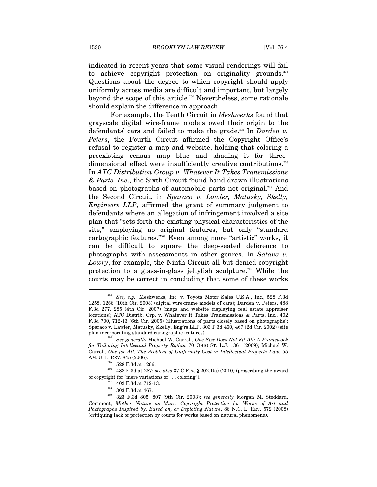indicated in recent years that some visual renderings will fail to achieve copyright protection on originality grounds.<sup>203</sup> Questions about the degree to which copyright should apply uniformly across media are difficult and important, but largely beyond the scope of this article.204 Nevertheless, some rationale should explain the difference in approach.

For example, the Tenth Circuit in *Meshwerks* found that grayscale digital wire-frame models owed their origin to the defendants' cars and failed to make the grade.<sup>205</sup> In *Darden v. Peters*, the Fourth Circuit affirmed the Copyright Office's refusal to register a map and website, holding that coloring a preexisting census map blue and shading it for threedimensional effect were insufficiently creative contributions.<sup>206</sup> In *ATC Distribution Group v. Whatever It Takes Transmissions & Parts, Inc*., the Sixth Circuit found hand-drawn illustrations based on photographs of automobile parts not original.<sup>207</sup> And the Second Circuit, in *Sparaco v. Lawler, Matusky, Skelly, Engineers LLP*, affirmed the grant of summary judgment to defendants where an allegation of infringement involved a site plan that "sets forth the existing physical characteristics of the site," employing no original features, but only "standard cartographic features."208 Even among more "artistic" works, it can be difficult to square the deep-seated deference to photographs with assessments in other genres. In *Satava v. Lowry*, for example, the Ninth Circuit all but denied copyright protection to a glass-in-glass jellyfish sculpture.<sup>209</sup> While the courts may be correct in concluding that some of these works

<sup>203</sup> *See, e.g.*, Meshwerks, Inc. v. Toyota Motor Sales U.S.A., Inc., 528 F.3d 1258, 1266 (10th Cir. 2008) (digital wire-frame models of cars); Darden v. Peters, 488 F.3d 277, 285 (4th Cir. 2007) (maps and website displaying real estate appraiser locations); ATC Distrib. Grp. v. Whatever It Takes Transmissions & Parts, Inc., 402 F.3d 700, 712-13 (6th Cir. 2005) (illustrations of parts closely based on photographs); Sparaco v. Lawler, Matusky, Skelly, Eng'rs LLP, 303 F.3d 460, 467 (2d Cir. 2002) (site plan incorporating standard cartographic features). 204 *See generally* Michael W. Carroll, *One Size Does Not Fit All: A Framework* 

*for Tailoring Intellectual Property Rights*, 70 OHIO ST. L.J. 1361 (2009); Michael W. Carroll, *One for All: The Problem of Uniformity Cost in Intellectual Property Law*, 55

AM. U. L. REV. 845 (2006). 205 528 F.3d at 1266. 206 488 F.3d at 287; *see also* 37 C.F.R. § 202.1(a) (2010) (proscribing the award

<sup>%</sup> of copyright for "mere variations of . . . coloring"). <br><sup>207</sup> 402 F.3d at 712-13. <br><sup>208</sup> 303 F.3d at 467. <br><sup>209</sup> 323 F.3d 805, 807 (9th Cir. 2003); *see generally* Morgan M. Stoddard, Comment, *Mother Nature as Muse: Copyright Protection for Works of Art and Photographs Inspired by, Based on, or Depicting Nature*, 86 N.C. L. REV. 572 (2008) (critiquing lack of protection by courts for works based on natural phenomena).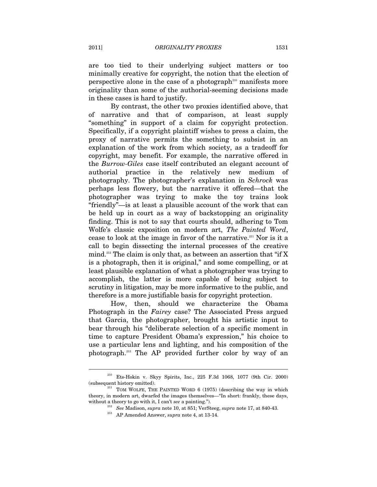are too tied to their underlying subject matters or too minimally creative for copyright, the notion that the election of perspective alone in the case of a photograph<sup>210</sup> manifests more originality than some of the authorial-seeming decisions made in these cases is hard to justify.

By contrast, the other two proxies identified above, that of narrative and that of comparison, at least supply "something" in support of a claim for copyright protection. Specifically, if a copyright plaintiff wishes to press a claim, the proxy of narrative permits the something to subsist in an explanation of the work from which society, as a tradeoff for copyright, may benefit. For example, the narrative offered in the *Burrow-Giles* case itself contributed an elegant account of authorial practice in the relatively new medium of photography. The photographer's explanation in *Schrock* was perhaps less flowery, but the narrative it offered—that the photographer was trying to make the toy trains look "friendly"—is at least a plausible account of the work that can be held up in court as a way of backstopping an originality finding. This is not to say that courts should, adhering to Tom Wolfe's classic exposition on modern art, *The Painted Word*, cease to look at the image in favor of the narrative.<sup>211</sup> Nor is it a call to begin dissecting the internal processes of the creative mind.<sup>212</sup> The claim is only that, as between an assertion that "if X is a photograph, then it is original," and some compelling, or at least plausible explanation of what a photographer was trying to accomplish, the latter is more capable of being subject to scrutiny in litigation, may be more informative to the public, and therefore is a more justifiable basis for copyright protection.

How, then, should we characterize the Obama Photograph in the *Fairey* case? The Associated Press argued that Garcia, the photographer, brought his artistic input to bear through his "deliberate selection of a specific moment in time to capture President Obama's expression," his choice to use a particular lens and lighting, and his composition of the photograph.213 The AP provided further color by way of an

<sup>210</sup> Ets-Hokin v. Skyy Spirits, Inc., 225 F.3d 1068, 1077 (9th Cir. 2000) (subsequent history omitted).  $^{211}$  TOM WOLFE, THE PAINTED WORD 6 (1975) (describing the way in which

theory, in modern art, dwarfed the images themselves—"In short: frankly, these days, without a theory to go with it, I can't *see* a painting.").<br><sup>212</sup> *See* Madison, *supra* note 10, at 851; VerSteeg, *supra* note 17, at 840-43.<br><sup>213</sup> AP Amended Answer, *supra* note 4, at 13-14.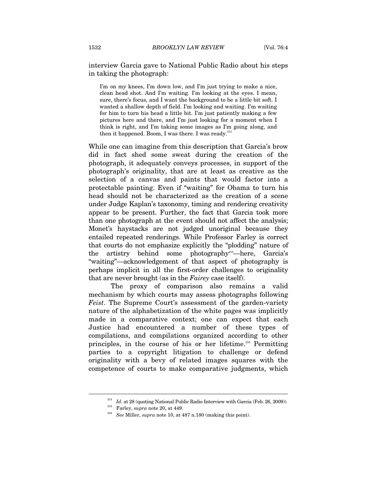## interview Garcia gave to National Public Radio about his steps in taking the photograph:

I'm on my knees, I'm down low, and I'm just trying to make a nice, clean head shot. And I'm waiting. I'm looking at the eyes. I mean, sure, there's focus, and I want the background to be a little bit soft. I wanted a shallow depth of field. I'm looking and waiting. I'm waiting for him to turn his head a little bit. I'm just patiently making a few pictures here and there, and I'm just looking for a moment when I think is right, and I'm taking some images as I'm going along, and then it happened. Boom, I was there. I was ready.<sup>214</sup>

While one can imagine from this description that Garcia's brow did in fact shed some sweat during the creation of the photograph, it adequately conveys processes, in support of the photograph's originality, that are at least as creative as the selection of a canvas and paints that would factor into a protectable painting. Even if "waiting" for Obama to turn his head should not be characterized as the creation of a scene under Judge Kaplan's taxonomy, timing and rendering creativity appear to be present. Further, the fact that Garcia took more than one photograph at the event should not affect the analysis; Monet's haystacks are not judged unoriginal because they entailed repeated renderings. While Professor Farley is correct that courts do not emphasize explicitly the "plodding" nature of the artistry behind some photography215—here, Garcia's "waiting"—acknowledgement of that aspect of photography is perhaps implicit in all the first-order challenges to originality that are never brought (as in the *Fairey* case itself).

The proxy of comparison also remains a valid mechanism by which courts may assess photographs following *Feist*. The Supreme Court's assessment of the garden-variety nature of the alphabetization of the white pages was implicitly made in a comparative context; one can expect that each Justice had encountered a number of these types of compilations, and compilations organized according to other principles, in the course of his or her lifetime.216 Permitting parties to a copyright litigation to challenge or defend originality with a bevy of related images squares with the competence of courts to make comparative judgments, which

<sup>214</sup> *Id.* at 28 (quoting National Public Radio Interview with Garcia (Feb. 26, 2009)). 215 Farley, *supra* note 20, at 449. 216 *See* Miller, *supra* note 10, at 487 n.180 (making this point).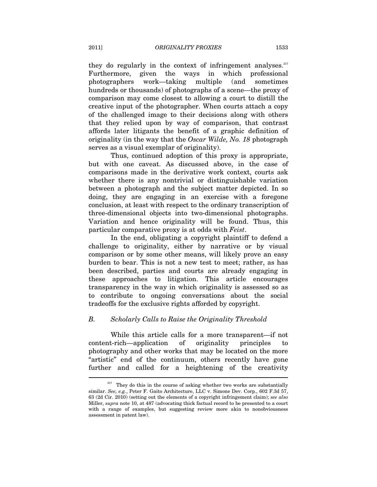they do regularly in the context of infringement analyses. $217$ Furthermore, given the ways in which professional photographers work—taking multiple (and sometimes hundreds or thousands) of photographs of a scene—the proxy of comparison may come closest to allowing a court to distill the creative input of the photographer. When courts attach a copy of the challenged image to their decisions along with others that they relied upon by way of comparison, that contrast affords later litigants the benefit of a graphic definition of originality (in the way that the *Oscar Wilde, No. 18* photograph serves as a visual exemplar of originality).

Thus, continued adoption of this proxy is appropriate, but with one caveat. As discussed above, in the case of comparisons made in the derivative work context, courts ask whether there is any nontrivial or distinguishable variation between a photograph and the subject matter depicted. In so doing, they are engaging in an exercise with a foregone conclusion, at least with respect to the ordinary transcription of three-dimensional objects into two-dimensional photographs. Variation and hence originality will be found. Thus, this particular comparative proxy is at odds with *Feist*.

In the end, obligating a copyright plaintiff to defend a challenge to originality, either by narrative or by visual comparison or by some other means, will likely prove an easy burden to bear. This is not a new test to meet; rather, as has been described, parties and courts are already engaging in these approaches to litigation. This article encourages transparency in the way in which originality is assessed so as to contribute to ongoing conversations about the social tradeoffs for the exclusive rights afforded by copyright.

# *B. Scholarly Calls to Raise the Originality Threshold*

While this article calls for a more transparent—if not content-rich—application of originality principles to photography and other works that may be located on the more "artistic" end of the continuum, others recently have gone further and called for a heightening of the creativity  $\overline{a}$ 

 $217$  They do this in the course of asking whether two works are substantially similar. *See, e.g.*, Peter F. Gaito Architecture, LLC v. Simone Dev. Corp., 602 F.3d 57, 63 (2d Cir. 2010) (setting out the elements of a copyright infringement claim); *see also* Miller, *supra* note 10, at 487 (advocating thick factual record to be presented to a court with a range of examples, but suggesting review more akin to nonobviousness assessment in patent law).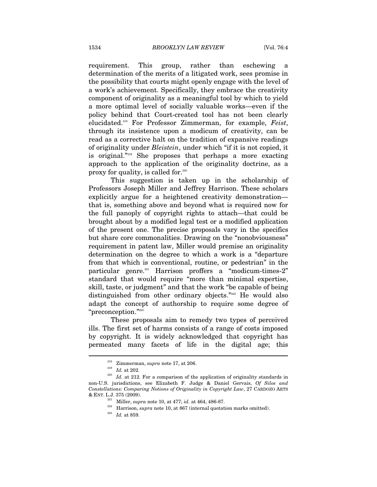requirement. This group, rather than eschewing a determination of the merits of a litigated work, sees promise in the possibility that courts might openly engage with the level of a work's achievement. Specifically, they embrace the creativity component of originality as a meaningful tool by which to yield a more optimal level of socially valuable works—even if the policy behind that Court-created tool has not been clearly elucidated.218 For Professor Zimmerman, for example, *Feist*, through its insistence upon a modicum of creativity, can be read as a corrective halt on the tradition of expansive readings of originality under *Bleistein*, under which "if it is not copied, it is original."219 She proposes that perhaps a more exacting approach to the application of the originality doctrine, as a proxy for quality, is called for. $220$ 

This suggestion is taken up in the scholarship of Professors Joseph Miller and Jeffrey Harrison. These scholars explicitly argue for a heightened creativity demonstration that is, something above and beyond what is required now for the full panoply of copyright rights to attach—that could be brought about by a modified legal test or a modified application of the present one. The precise proposals vary in the specifics but share core commonalities. Drawing on the "nonobviousness" requirement in patent law, Miller would premise an originality determination on the degree to which a work is a "departure from that which is conventional, routine, or pedestrian" in the particular genre.<sup>221</sup> Harrison proffers a "modicum-times-2" standard that would require "more than minimal expertise, skill, taste, or judgment" and that the work "be capable of being distinguished from other ordinary objects."<sup>222</sup> He would also adapt the concept of authorship to require some degree of  $\degree$ preconception." $^{223}$ 

These proposals aim to remedy two types of perceived ills. The first set of harms consists of a range of costs imposed by copyright. It is widely acknowledged that copyright has permeated many facets of life in the digital age; this

<sup>&</sup>lt;sup>218</sup> Zimmerman, *supra* note 17, at 206.<br><sup>219</sup> *Id.* at 202.<br><sup>220</sup> *Id.* at 212. For a comparison of the application of originality standards in non-U.S. jurisdictions, see Elizabeth F. Judge & Daniel Gervais, *Of Silos and Constellations: Comparing Notions of Originality in Copyright Law*, 27 CARDOZO ARTS & ENT. L.J. 375 (2009).<br>Miller, *supra* note 10, at 477; *id.* at 464, 486-87.

<sup>&</sup>lt;sup>222</sup> Harrison, *supra* note 10, at 867 (internal quotation marks omitted). *Id.* at 859.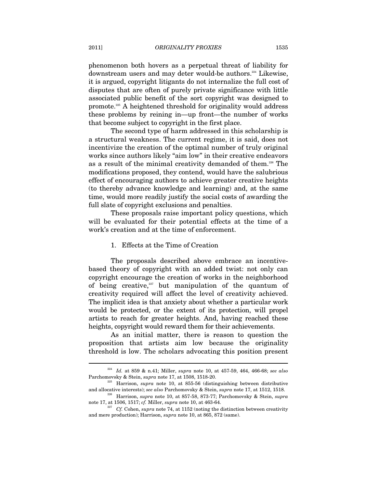phenomenon both hovers as a perpetual threat of liability for downstream users and may deter would-be authors.<sup>224</sup> Likewise, it is argued, copyright litigants do not internalize the full cost of disputes that are often of purely private significance with little associated public benefit of the sort copyright was designed to promote.225 A heightened threshold for originality would address these problems by reining in—up front—the number of works that become subject to copyright in the first place.

The second type of harm addressed in this scholarship is a structural weakness. The current regime, it is said, does not incentivize the creation of the optimal number of truly original works since authors likely "aim low" in their creative endeavors as a result of the minimal creativity demanded of them.<sup>226</sup> The modifications proposed, they contend, would have the salubrious effect of encouraging authors to achieve greater creative heights (to thereby advance knowledge and learning) and, at the same time, would more readily justify the social costs of awarding the full slate of copyright exclusions and penalties.

These proposals raise important policy questions, which will be evaluated for their potential effects at the time of a work's creation and at the time of enforcement.

#### 1. Effects at the Time of Creation

The proposals described above embrace an incentivebased theory of copyright with an added twist: not only can copyright encourage the creation of works in the neighborhood of being creative, $227$  but manipulation of the quantum of creativity required will affect the level of creativity achieved. The implicit idea is that anxiety about whether a particular work would be protected, or the extent of its protection, will propel artists to reach for greater heights. And, having reached these heights, copyright would reward them for their achievements.

As an initial matter, there is reason to question the proposition that artists aim low because the originality threshold is low. The scholars advocating this position present

<sup>224</sup> *Id.* at 859 & n.41; Miller, *supra* note 10, at 457-59, 464, 466-68; *see also* Parchomovsky & Stein, *supra* note 17, at 1508, 1518-20.<br><sup>225</sup> Harrison, *supra* note 10, at 855-56 (distinguishing between distributive

and allocative interests); *see also* Parchomovsky & Stein, *supra* note 17, at 1512, 1518. 226 Harrison, *supra* note 10, at 857-58, 873-77; Parchomovsky & Stein, *supra*

note 17, at 1506, 1517; *cf.* Miller, *supra* note 10, at 463-64.<br>*Cf.* Cohen, *supra* note 74, at 1152 (noting the distinction between creativity

and mere production); Harrison, *supra* note 10, at 865, 872 (same).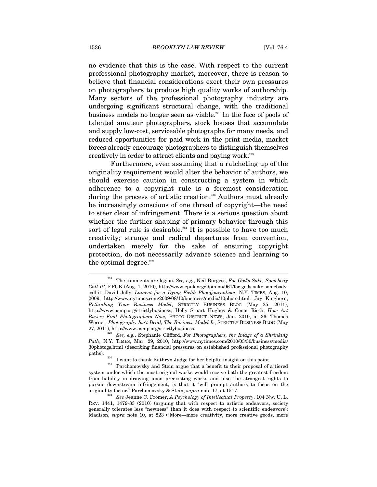no evidence that this is the case. With respect to the current professional photography market, moreover, there is reason to believe that financial considerations exert their own pressures on photographers to produce high quality works of authorship. Many sectors of the professional photography industry are undergoing significant structural change, with the traditional business models no longer seen as viable.<sup>228</sup> In the face of pools of talented amateur photographers, stock houses that accumulate and supply low-cost, serviceable photographs for many needs, and reduced opportunities for paid work in the print media, market forces already encourage photographers to distinguish themselves creatively in order to attract clients and paying work.229

Furthermore, even assuming that a ratcheting up of the originality requirement would alter the behavior of authors, we should exercise caution in constructing a system in which adherence to a copyright rule is a foremost consideration during the process of artistic creation.<sup>230</sup> Authors must already be increasingly conscious of one thread of copyright—the need to steer clear of infringement. There is a serious question about whether the further shaping of primary behavior through this sort of legal rule is desirable.<sup>231</sup> It is possible to have too much creativity; strange and radical departures from convention, undertaken merely for the sake of ensuring copyright protection, do not necessarily advance science and learning to the optimal degree. $232$ 

<sup>228</sup> The comments are legion. *See, e.g.*, Neil Burgess, *For God's Sake, Somebody Call It!*, EPUK (Aug. 1, 2010), http://www.epuk.org/Opinion/961/for-gods-sake-somebodycall-it; David Jolly, *Lament for a Dying Field: Photojournalism*, N.Y. TIMES, Aug. 10, 2009, http://www.nytimes.com/2009/08/10/business/media/10photo.html; Jay Kinghorn, *Rethinking Your Business Model*, STRICTLY BUSINESS BLOG (May 25, 2011), http://www.asmp.org/strictlybusiness; Holly Stuart Hughes & Conor Risch, *How Art Buyers Find Photographers Now*, PHOTO DISTRICT NEWS, Jan. 2010, at 36; Thomas Werner, *Photography Isn't Dead, The Business Model Is*, STRICTLY BUSINESS BLOG (May

<sup>&</sup>lt;sup>229</sup> See, e.g., Stephanie Clifford, For Photographers, the Image of a Shrinking *Path*, N.Y. TIMES, Mar. 29, 2010, http://www.nytimes.com/2010/03/30/business/media/ 30photogs.html (describing financial pressures on established professional photography

paths). 230 I want to thank Kathryn Judge for her helpful insight on this point. 231 Parchomovsky and Stein argue that a benefit to their proposal of a tiered system under which the most original works would receive both the greatest freedom from liability in drawing upon preexisting works and also the strongest rights to pursue downstream infringement, is that it "will prompt authors to focus on the

originality factor." Parchomovsky & Stein, *supra* note 17, at 1517. 232 *See* Jeanne C. Fromer, *A Psychology of Intellectual Property*, 104 NW. U. L. REV. 1441, 1479-83 (2010) (arguing that with respect to artistic endeavors, society generally tolerates less "newness" than it does with respect to scientific endeavors); Madison, *supra* note 10, at 823 ("More—more creativity, more creative goods, more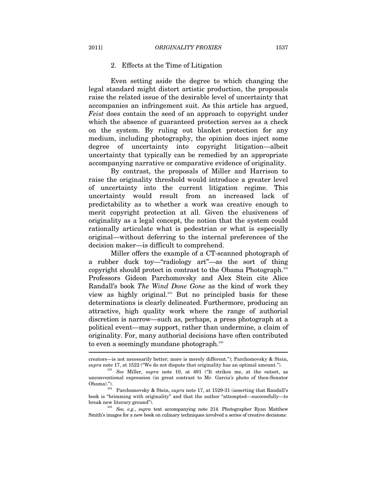#### 2. Effects at the Time of Litigation

Even setting aside the degree to which changing the legal standard might distort artistic production, the proposals raise the related issue of the desirable level of uncertainty that accompanies an infringement suit. As this article has argued, *Feist* does contain the seed of an approach to copyright under which the absence of guaranteed protection serves as a check on the system. By ruling out blanket protection for any medium, including photography, the opinion does inject some degree of uncertainty into copyright litigation—albeit uncertainty that typically can be remedied by an appropriate accompanying narrative or comparative evidence of originality.

By contrast, the proposals of Miller and Harrison to raise the originality threshold would introduce a greater level of uncertainty into the current litigation regime. This uncertainty would result from an increased lack of predictability as to whether a work was creative enough to merit copyright protection at all. Given the elusiveness of originality as a legal concept, the notion that the system could rationally articulate what is pedestrian or what is especially original—without deferring to the internal preferences of the decision maker—is difficult to comprehend.

Miller offers the example of a CT-scanned photograph of a rubber duck toy—"radiology art"—as the sort of thing copyright should protect in contrast to the Obama Photograph.233 Professors Gideon Parchomovsky and Alex Stein cite Alice Randall's book *The Wind Done Gone* as the kind of work they view as highly original.234 But no principled basis for these determinations is clearly delineated. Furthermore, producing an attractive, high quality work where the range of authorial discretion is narrow—such as, perhaps, a press photograph at a political event—may support, rather than undermine, a claim of originality. For, many authorial decisions have often contributed to even a seemingly mundane photograph.<sup>235</sup>

creators—is not necessarily better; more is merely different."); Parchomovsky & Stein, *supra* note 17, at 1522 ("We do not dispute that originality has an optimal amount.").

*See* Miller, *supra* note 10, at 491 ("It strikes me, at the outset, as unconventional expression (in great contrast to Mr. Garcia's photo of then-Senator Obama)."). 234 Parchomovsky & Stein, *supra* note 17, at 1529-31 (asserting that Randall's

book is "brimming with originality" and that the author "attempted—successfully—to break new literary ground"). 235 *See, e.g.*, *supra* text accompanying note 214. Photographer Ryan Matthew

Smith's images for a new book on culinary techniques involved a series of creative decisions: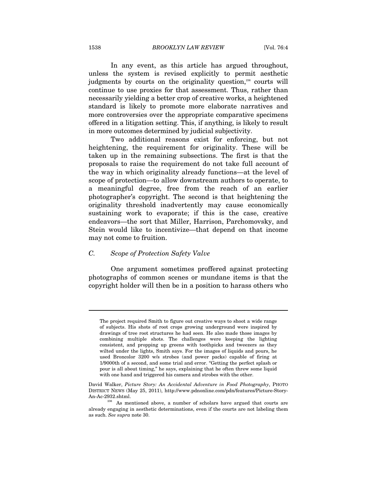In any event, as this article has argued throughout, unless the system is revised explicitly to permit aesthetic judgments by courts on the originality question,<sup>236</sup> courts will continue to use proxies for that assessment. Thus, rather than necessarily yielding a better crop of creative works, a heightened standard is likely to promote more elaborate narratives and more controversies over the appropriate comparative specimens offered in a litigation setting. This, if anything, is likely to result in more outcomes determined by judicial subjectivity.

Two additional reasons exist for enforcing, but not heightening, the requirement for originality. These will be taken up in the remaining subsections. The first is that the proposals to raise the requirement do not take full account of the way in which originality already functions—at the level of scope of protection—to allow downstream authors to operate, to a meaningful degree, free from the reach of an earlier photographer's copyright. The second is that heightening the originality threshold inadvertently may cause economically sustaining work to evaporate; if this is the case, creative endeavors—the sort that Miller, Harrison, Parchomovsky, and Stein would like to incentivize—that depend on that income may not come to fruition.

# *C. Scope of Protection Safety Valve*

One argument sometimes proffered against protecting photographs of common scenes or mundane items is that the copyright holder will then be in a position to harass others who

The project required Smith to figure out creative ways to shoot a wide range of subjects. His shots of root crops growing underground were inspired by drawings of tree root structures he had seen. He also made those images by combining multiple shots. The challenges were keeping the lighting consistent, and propping up greens with toothpicks and tweezers as they wilted under the lights, Smith says. For the images of liquids and pours, he used Broncolor 3200 w/s strobes (and power packs) capable of firing at 1/9000th of a second, and some trial and error. "Getting the perfect splash or pour is all about timing," he says, explaining that he often threw some liquid with one hand and triggered his camera and strobes with the other.

David Walker, *Picture Story: An Accidental Adventure in Food Photography*, PHOTO DISTRICT NEWS (May 25, 2011), http://www.pdnonline.com/pdn/features/Picture-Story-

An-Ac-2932.shtml.  $$\mbox{236}$$  As mentioned above, a number of scholars have argued that courts are already engaging in aesthetic determinations, even if the courts are not labeling them as such. *See supra* note 30.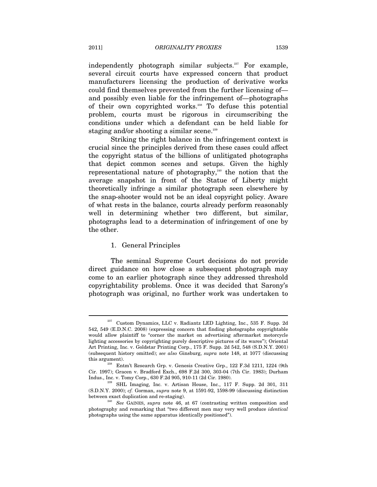independently photograph similar subjects.<sup>237</sup> For example, several circuit courts have expressed concern that product manufacturers licensing the production of derivative works could find themselves prevented from the further licensing of and possibly even liable for the infringement of—photographs of their own copyrighted works.238 To defuse this potential problem, courts must be rigorous in circumscribing the conditions under which a defendant can be held liable for staging and/or shooting a similar scene.<sup>239</sup>

Striking the right balance in the infringement context is crucial since the principles derived from these cases could affect the copyright status of the billions of unlitigated photographs that depict common scenes and setups. Given the highly representational nature of photography, $240$  the notion that the average snapshot in front of the Statue of Liberty might theoretically infringe a similar photograph seen elsewhere by the snap-shooter would not be an ideal copyright policy. Aware of what rests in the balance, courts already perform reasonably well in determining whether two different, but similar, photographs lead to a determination of infringement of one by the other.

#### 1. General Principles

The seminal Supreme Court decisions do not provide direct guidance on how close a subsequent photograph may come to an earlier photograph since they addressed threshold copyrightability problems. Once it was decided that Sarony's photograph was original, no further work was undertaken to

 $^{237}$  Custom Dynamics, LLC v. Radiantz LED Lighting, Inc., 535 F. Supp. 2d 542, 549 (E.D.N.C. 2008) (expressing concern that finding photographs copyrightable would allow plaintiff to "corner the market on advertising aftermarket motorcycle lighting accessories by copyrighting purely descriptive pictures of its wares"); Oriental Art Printing, Inc. v. Goldstar Printing Corp., 175 F. Supp. 2d 542, 548 (S.D.N.Y. 2001) (subsequent history omitted); *see also* Ginsburg, *supra* note 148, at 1077 (discussing this argument). 238 Entm't Research Grp. v. Genesis Creative Grp., 122 F.3d 1211, 1224 (9th

Cir. 1997); Gracen v. Bradford Exch., 698 F.2d 300, 303-04 (7th Cir. 1983); Durham Indus., Inc. v. Tomy Corp., 630 F.2d 905, 910-11 (2d Cir. 1980). 239 SHL Imaging, Inc. v. Artisan House, Inc., 117 F. Supp. 2d 301, 311

<sup>(</sup>S.D.N.Y. 2000); *cf.* Gorman, *supra* note 9, at 1591-92, 1598-99 (discussing distinction between exact duplication and re-staging). 240 *See* GAINES, *supra* note 46, at 67 (contrasting written composition and

photography and remarking that "two different men may very well produce *identical* photographs using the same apparatus identically positioned").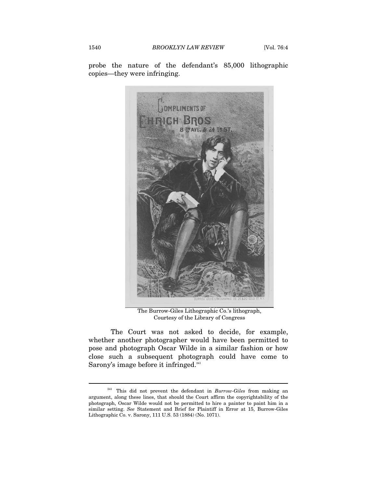probe the nature of the defendant's 85,000 lithographic copies—they were infringing.



The Burrow-Giles Lithographic Co.'s lithograph, Courtesy of the Library of Congress

The Court was not asked to decide, for example, whether another photographer would have been permitted to pose and photograph Oscar Wilde in a similar fashion or how close such a subsequent photograph could have come to Sarony's image before it infringed.<sup>241</sup>

<sup>241</sup> This did not prevent the defendant in *Burrow-Giles* from making an argument, along these lines, that should the Court affirm the copyrightability of the photograph, Oscar Wilde would not be permitted to hire a painter to paint him in a similar setting. *See* Statement and Brief for Plaintiff in Error at 15, Burrow-Giles Lithographic Co. v. Sarony, 111 U.S. 53 (1884) (No. 1071).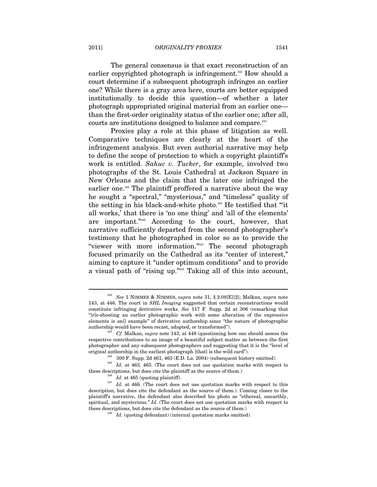2011] *ORIGINALITY PROXIES* 1541

The general consensus is that exact reconstruction of an earlier copyrighted photograph is infringement.<sup>242</sup> How should a court determine if a subsequent photograph infringes an earlier one? While there is a gray area here, courts are better equipped institutionally to decide this question—of whether a later photograph appropriated original material from an earlier one than the first-order originality status of the earlier one; after all, courts are institutions designed to balance and compare.<sup>243</sup>

Proxies play a role at this phase of litigation as well. Comparative techniques are clearly at the heart of the infringement analysis. But even authorial narrative may help to define the scope of protection to which a copyright plaintiff's work is entitled. *Sahuc v. Tucker*, for example, involved two photographs of the St. Louis Cathedral at Jackson Square in New Orleans and the claim that the later one infringed the earlier one.<sup>244</sup> The plaintiff proffered a narrative about the way he sought a "spectral," "mysterious," and "timeless" quality of the setting in his black-and-white photo.245 He testified that "'it all works,' that there is 'no one thing' and 'all of the elements' are important."246 According to the court, however, that narrative sufficiently departed from the second photographer's testimony that he photographed in color so as to provide the "viewer with more information."247 The second photograph focused primarily on the Cathedral as its "center of interest," aiming to capture it "under optimum conditions" and to provide a visual path of "rising up."248 Taking all of this into account,

<sup>242</sup> *See* 1 NIMMER & NIMMER, *supra* note 31, § 2.08[E][2]; Malkan, *supra* note 143, at 446. The court in *SHL Imaging* suggested that certain reconstructions would constitute infringing derivative works. *See* 117 F. Supp. 2d at 306 (remarking that "[r]e-shooting an earlier photographic work with some alteration of the expressive elements is an[] example" of derivative authorship since "the nature of photographic authorship would have been recast, adapted, or transformed"). 243 *Cf.* Malkan, *supra* note 143, at 448 (questioning how one should assess the

respective contributions to an image of a beautiful subject matter as between the first photographer and any subsequent photographers and suggesting that it is the "level of

<sup>%</sup> original authorship in the earliest photograph [that] is the wild card").<br><sup>244</sup> 300 F. Supp. 2d 461, 463 (E.D. La. 2004) (subsequent history omitted).<br><sup>245</sup> *Id.* at 463, 465. (The court does not use quotation marks wit

<sup>&</sup>lt;sup>246</sup> *Id.* at 465 (quoting plaintiff). <sup>247</sup> *Id.* at 466. (The court does not use quotation marks with respect to this description, but does cite the defendant as the source of them.). Coming closer to the plaintiff's narrative, the defendant also described his photo as "ethereal, unearthly, spiritual, and mysterious." *Id.* (The court does not use quotation marks with respect to these descriptions, but does cite the defendant as the source of them.) 248 *Id.* (quoting defendant) (internal quotation marks omitted).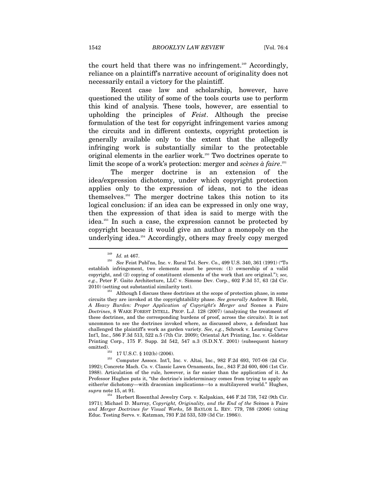the court held that there was no infringement.<sup>249</sup> Accordingly, reliance on a plaintiff's narrative account of originality does not necessarily entail a victory for the plaintiff.

Recent case law and scholarship, however, have questioned the utility of some of the tools courts use to perform this kind of analysis. These tools, however, are essential to upholding the principles of *Feist*. Although the precise formulation of the test for copyright infringement varies among the circuits and in different contexts, copyright protection is generally available only to the extent that the allegedly infringing work is substantially similar to the protectable original elements in the earlier work.<sup>250</sup> Two doctrines operate to limit the scope of a work's protection: merger and *scènes à faire*. 251

The merger doctrine is an extension of the idea/expression dichotomy, under which copyright protection applies only to the expression of ideas, not to the ideas themselves.252 The merger doctrine takes this notion to its logical conclusion: if an idea can be expressed in only one way, then the expression of that idea is said to merge with the idea.253 In such a case, the expression cannot be protected by copyright because it would give an author a monopoly on the underlying idea.<sup>254</sup> Accordingly, others may freely copy merged

 $^{249}$   $\,$   $Id.$  at 467.  $^{250}$   $\,$   $\,$  See Feist Publ'ns, Inc. v. Rural Tel. Serv. Co., 499 U.S. 340, 361 (1991) ("To  $\,$ establish infringement, two elements must be proven: (1) ownership of a valid copyright, and (2) copying of constituent elements of the work that are original."); *see, e.g.*, Peter F. Gaito Architecture, LLC v. Simone Dev. Corp., 602 F.3d 57, 63 (2d Cir.

 $2010)$  (setting out substantial similarity test). <br> 251 Although I discuss these doctrines at the scope of protection phase, in some circuits they are invoked at the copyrightability phase. *See generally* Andrew B. Hebl, *A Heavy Burden: Proper Application of Copyright's Merger and* Scenes a Faire *Doctrines*, 8 WAKE FOREST INTELL. PROP. L.J. 128 (2007) (analyzing the treatment of these doctrines, and the corresponding burdens of proof, across the circuits). It is not uncommon to see the doctrines invoked where, as discussed above, a defendant has challenged the plaintiff's work as garden variety. *See, e.g.*, Schrock v. Learning Curve Int'l, Inc., 586 F.3d 513, 522 n.5 (7th Cir. 2009); Oriental Art Printing, Inc. v. Goldstar Printing Corp., 175 F. Supp. 2d 542, 547 n.3 (S.D.N.Y. 2001) (subsequent history omitted).<br><sup>252</sup> 17 U.S.C. § 102(b) (2006).<br><sup>253</sup> Computer Assocs. Int'l, Inc. v. Altai, Inc., 982 F.2d 693, 707-08 (2d Cir.

<sup>1992);</sup> Concrete Mach. Co. v. Classic Lawn Ornaments, Inc., 843 F.2d 600, 606 (1st Cir. 1988). Articulation of the rule, however, is far easier than the application of it. As Professor Hughes puts it, "the doctrine's indeterminacy comes from trying to apply an either/or dichotomy—with draconian implications—to a multilayered world." Hughes, *supra* note 15, at 91. 254 Herbert Rosenthal Jewelry Corp. v. Kalpakian, 446 F.2d 738, 742 (9th Cir.

<sup>1971);</sup> Michael D. Murray, *Copyright, Originality, and the End of the* Scènes à Faire *and Merger Doctrines for Visual Works*, 58 BAYLOR L. REV. 779, 788 (2006) (citing Educ. Testing Servs. v. Katzman, 793 F.2d 533, 539 (3d Cir. 1986)).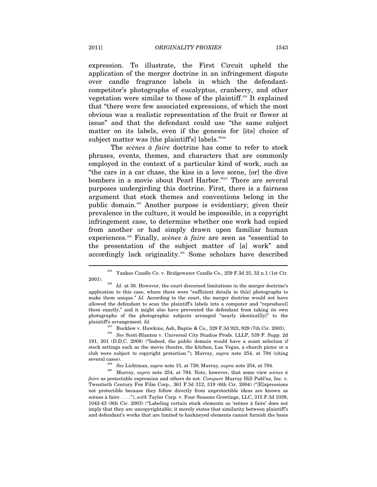expression. To illustrate, the First Circuit upheld the application of the merger doctrine in an infringement dispute over candle fragrance labels in which the defendantcompetitor's photographs of eucalyptus, cranberry, and other vegetation were similar to those of the plaintiff.255 It explained that "there were few associated expressions, of which the most obvious was a realistic representation of the fruit or flower at issue" and that the defendant could use "the same subject matter on its labels, even if the genesis for [its] choice of subject matter was [the plaintiff's] labels."<sup>256</sup>

The *scènes à faire* doctrine has come to refer to stock phrases, events, themes, and characters that are commonly employed in the context of a particular kind of work, such as "the cars in a car chase, the kiss in a love scene, [or] the dive bombers in a movie about Pearl Harbor."257 There are several purposes undergirding this doctrine. First, there is a fairness argument that stock themes and conventions belong in the public domain.258 Another purpose is evidentiary; given their prevalence in the culture, it would be impossible, in a copyright infringement case, to determine whether one work had copied from another or had simply drawn upon familiar human experiences.259 Finally, *scènes à faire* are seen as "essential to the presentation of the subject matter of [a] work" and accordingly lack originality.<sup>260</sup> Some scholars have described

<sup>255</sup> Yankee Candle Co. v. Bridgewater Candle Co., 259 F.3d 25, 32 n.1 (1st Cir. 2001). 256 *Id.* at 36. However, the court discerned limitations in the merger doctrine's

application to this case, where there were "sufficient details in th[e] photographs to make them unique." *Id.* According to the court, the merger doctrine would not have allowed the defendant to scan the plaintiff's labels into a computer and "reproduce[] them exactly," and it might also have prevented the defendant from taking its own photographs of the photographic subjects arranged "nearly identical[ly]" to the plaintiff's arrangement. *Id.* Bucklew v. Hawkins, Ash, Baptie & Co., 329 F.3d 923, 929 (7th Cir. 2003).

<sup>&</sup>lt;sup>258</sup> See Scott-Blanton v. Universal City Studios Prods. LLLP, 539 F. Supp. 2d 191, 201 (D.D.C. 2008) ("Indeed, the public domain would have a scant selection if stock settings such as the movie theatre, the kitchen, Las Vegas, a church picnic or a club were subject to copyright protection."); Murray, *supra* note 254, at 794 (citing

several cases). 259 *See* Lichtman, *supra* note 15, at 739; Murray, *supra* note 254, at 794. 260 Murray, *supra* note 254, at 794. Note, however, that some view *scènes à faire* as protectable expression and others do not. *Compare* Murray Hill Publ'ns, Inc. v. Twentieth Century Fox Film Corp., 361 F.3d 312, 319 (6th Cir. 2004) ("[E]xpressions not protectible because they follow directly from unprotectible ideas are known as scènes à faire . . . ."), *with* Taylor Corp. v. Four Seasons Greetings, LLC, 315 F.3d 1039, 1042-43 (8th Cir. 2003) ("Labeling certain stock elements as 'scènes à faire' does not imply that they are uncopyrightable; it merely states that similarity between plaintiff's and defendant's works that are limited to hackneyed elements cannot furnish the basis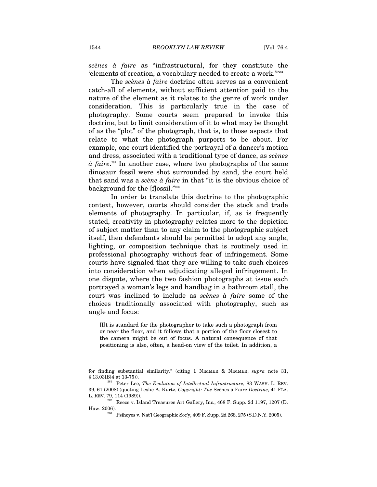*scènes à faire* as "infrastructural, for they constitute the 'elements of creation, a vocabulary needed to create a work.'"261

The *scènes à faire* doctrine often serves as a convenient catch-all of elements, without sufficient attention paid to the nature of the element as it relates to the genre of work under consideration. This is particularly true in the case of photography. Some courts seem prepared to invoke this doctrine, but to limit consideration of it to what may be thought of as the "plot" of the photograph, that is, to those aspects that relate to what the photograph purports to be about. For example, one court identified the portrayal of a dancer's motion and dress, associated with a traditional type of dance, as *scènes*   $\hat{a}$  *faire*.<sup>862</sup> In another case, where two photographs of the same dinosaur fossil were shot surrounded by sand, the court held that sand was a *scène à faire* in that "it is the obvious choice of background for the [f]ossil."263

In order to translate this doctrine to the photographic context, however, courts should consider the stock and trade elements of photography. In particular, if, as is frequently stated, creativity in photography relates more to the depiction of subject matter than to any claim to the photographic subject itself, then defendants should be permitted to adopt any angle, lighting, or composition technique that is routinely used in professional photography without fear of infringement. Some courts have signaled that they are willing to take such choices into consideration when adjudicating alleged infringement. In one dispute, where the two fashion photographs at issue each portrayed a woman's legs and handbag in a bathroom stall, the court was inclined to include as *scènes à faire* some of the choices traditionally associated with photography, such as angle and focus:

[I]t is standard for the photographer to take such a photograph from or near the floor, and it follows that a portion of the floor closest to the camera might be out of focus. A natural consequence of that positioning is also, often, a head-on view of the toilet. In addition, a

for finding substantial similarity." (citing 1 NIMMER & NIMMER, *supra* note 31, § 13.03[B]4 at 13-75)). 261 Peter Lee, *The Evolution of Intellectual Infrastructure*, 83 WASH. L. REV.

<sup>39, 61 (2008) (</sup>quoting Leslie A. Kurtz, *Copyright: The* Scènes à Faire *Doctrine*, 41 FLA. L. REV. 79, 114 (1989)).

 $^{262}$  Reece v. Island Treasures Art Gallery, Inc., 468 F. Supp. 2d 1197, 1207 (D. Haw. 2006). 263 Psihoyos v. Nat'l Geographic Soc'y, 409 F. Supp. 2d 268, 275 (S.D.N.Y. 2005).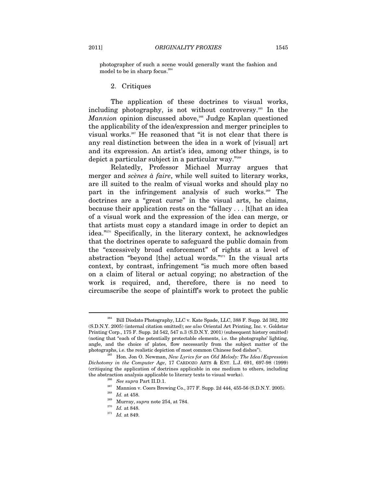photographer of such a scene would generally want the fashion and model to be in sharp focus.<sup>264</sup>

2. Critiques

The application of these doctrines to visual works, including photography, is not without controversy.<sup>265</sup> In the *Mannion* opinion discussed above,<sup>266</sup> Judge Kaplan questioned the applicability of the idea/expression and merger principles to visual works.267 He reasoned that "it is not clear that there is any real distinction between the idea in a work of [visual] art and its expression. An artist's idea, among other things, is to depict a particular subject in a particular way."268

Relatedly, Professor Michael Murray argues that merger and *scènes à faire*, while well suited to literary works, are ill suited to the realm of visual works and should play no part in the infringement analysis of such works.<sup>269</sup> The doctrines are a "great curse" in the visual arts, he claims, because their application rests on the "fallacy . . . [t]hat an idea of a visual work and the expression of the idea can merge, or that artists must copy a standard image in order to depict an idea."270 Specifically, in the literary context, he acknowledges that the doctrines operate to safeguard the public domain from the "excessively broad enforcement" of rights at a level of abstraction "beyond [the] actual words."271 In the visual arts context, by contrast, infringement "is much more often based on a claim of literal or actual copying; no abstraction of the work is required, and, therefore, there is no need to circumscribe the scope of plaintiff's work to protect the public

<sup>264</sup> Bill Diodato Photography, LLC v. Kate Spade, LLC, 388 F. Supp. 2d 382, 392 (S.D.N.Y. 2005) (internal citation omitted); *see also* Oriental Art Printing, Inc. v. Goldstar Printing Corp., 175 F. Supp. 2d 542, 547 n.3 (S.D.N.Y. 2001) (subsequent history omitted) (noting that "each of the potentially protectable elements, i.e. the photographs' lighting, angle, and the choice of plates, flow necessarily from the subject matter of the photographs, i.e. the realistic depiction of most common Chinese food dishes"). 265 Hon. Jon O. Newman, *New Lyrics for an Old Melody: The Idea/Expression* 

*Dichotomy in the Computer Age*, 17 CARDOZO ARTS & ENT. L.J. 691, 697-98 (1999) (critiquing the application of doctrines applicable in one medium to others, including the abstraction analysis applicable to literary texts to visual works).<br>
<sup>266</sup> See supra Part II.D.1.<br>
<sup>267</sup> Mannion v. Coors Brewing Co., 377 F. Supp. 2d 444, 455-56 (S.D.N.Y. 2005).<br> *Id.* at 458.<br>
<sup>269</sup> Murray, *supra* 

 $^{271}\,$   $Id.\,$  at 849.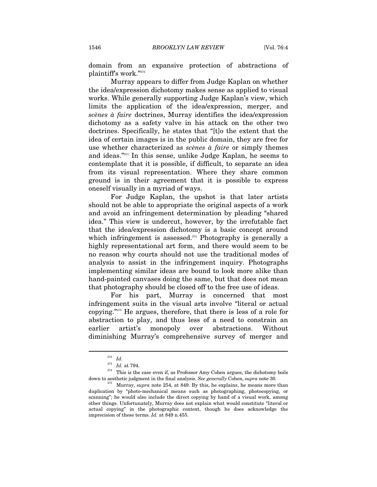domain from an expansive protection of abstractions of plaintiff's work."272

Murray appears to differ from Judge Kaplan on whether the idea/expression dichotomy makes sense as applied to visual works. While generally supporting Judge Kaplan's view, which limits the application of the idea/expression, merger, and *scènes à faire* doctrines, Murray identifies the idea/expression dichotomy as a safety valve in his attack on the other two doctrines. Specifically, he states that "[t]o the extent that the idea of certain images is in the public domain, they are free for use whether characterized as *scènes à faire* or simply themes and ideas."273 In this sense, unlike Judge Kaplan, he seems to contemplate that it is possible, if difficult, to separate an idea from its visual representation. Where they share common ground is in their agreement that it is possible to express oneself visually in a myriad of ways.

For Judge Kaplan, the upshot is that later artists should not be able to appropriate the original aspects of a work and avoid an infringement determination by pleading "shared idea." This view is undercut, however, by the irrefutable fact that the idea/expression dichotomy is a basic concept around which infringement is assessed.<sup>274</sup> Photography is generally a highly representational art form, and there would seem to be no reason why courts should not use the traditional modes of analysis to assist in the infringement inquiry. Photographs implementing similar ideas are bound to look more alike than hand-painted canvases doing the same, but that does not mean that photography should be closed off to the free use of ideas.

For his part, Murray is concerned that most infringement suits in the visual arts involve "literal or actual copying."275 He argues, therefore, that there is less of a role for abstraction to play, and thus less of a need to constrain an earlier artist's monopoly over abstractions. Without diminishing Murray's comprehensive survey of merger and

 $\frac{^{272}}{^{273}}$  *Id.* at 794.

 $^{274}\,$  This is the case even if, as Professor Amy Cohen argues, the dichotomy boils down to aesthetic judgment in the final analysis. *See generally* Cohen, *supra* note 30. 275 Murray, *supra* note 254, at 849. By this, he explains, he means more than

duplication by "photo-mechanical means such as photographing, photocopying, or scanning"; he would also include the direct copying by hand of a visual work, among other things. Unfortunately, Murray does not explain what would constitute "literal or actual copying" in the photographic context, though he does acknowledge the imprecision of these terms. *Id.* at 849 n.455.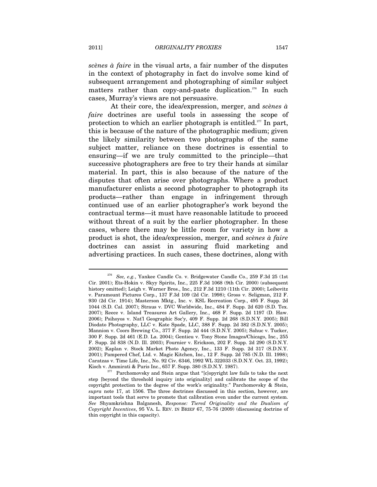*scènes à faire* in the visual arts, a fair number of the disputes in the context of photography in fact do involve some kind of subsequent arrangement and photographing of similar subject matters rather than copy-and-paste duplication.<sup>276</sup> In such cases, Murray's views are not persuasive.

At their core, the idea/expression, merger, and *scènes à faire* doctrines are useful tools in assessing the scope of protection to which an earlier photograph is entitled.277 In part, this is because of the nature of the photographic medium; given the likely similarity between two photographs of the same subject matter, reliance on these doctrines is essential to ensuring—if we are truly committed to the principle—that successive photographers are free to try their hands at similar material. In part, this is also because of the nature of the disputes that often arise over photographs. Where a product manufacturer enlists a second photographer to photograph its products—rather than engage in infringement through continued use of an earlier photographer's work beyond the contractual terms—it must have reasonable latitude to proceed without threat of a suit by the earlier photographer. In these cases, where there may be little room for variety in how a product is shot, the idea/expression, merger, and *scènes à faire* doctrines can assist in assuring fluid marketing and advertising practices. In such cases, these doctrines, along with

<sup>276</sup> *See, e.g.*, Yankee Candle Co. v. Bridgewater Candle Co., 259 F.3d 25 (1st Cir. 2001); Ets-Hokin v. Skyy Spirits, Inc., 225 F.3d 1068 (9th Cir. 2000) (subsequent history omitted); Leigh v. Warner Bros., Inc., 212 F.3d 1210 (11th Cir. 2000); Leibovitz v. Paramount Pictures Corp., 137 F.3d 109 (2d Cir. 1998); Gross v. Seligman, 212 F. 930 (2d Cir. 1914); Masterson Mktg., Inc. v. KSL Recreation Corp., 495 F. Supp. 2d 1044 (S.D. Cal. 2007); Straus v. DVC Worldwide, Inc., 484 F. Supp. 2d 620 (S.D. Tex. 2007); Reece v. Island Treasures Art Gallery, Inc., 468 F. Supp. 2d 1197 (D. Haw. 2006); Psihoyos v. Nat'l Geographic Soc'y, 409 F. Supp. 2d 268 (S.D.N.Y. 2005); Bill Diodato Photography, LLC v. Kate Spade, LLC, 388 F. Supp. 2d 382 (S.D.N.Y. 2005); Mannion v. Coors Brewing Co., 377 F. Supp. 2d 444 (S.D.N.Y. 2005); Sahuc v. Tucker, 300 F. Supp. 2d 461 (E.D. La. 2004); Gentieu v. Tony Stone Images/Chicago, Inc., 255 F. Supp. 2d 838 (N.D. Ill. 2003); Fournier v. Erickson, 202 F. Supp. 2d 290 (S.D.N.Y. 2002); Kaplan v. Stock Market Photo Agency, Inc., 133 F. Supp. 2d 317 (S.D.N.Y. 2001); Pampered Chef, Ltd. v. Magic Kitchen, Inc., 12 F. Supp. 2d 785 (N.D. Ill. 1998); Caratzas v. Time Life, Inc., No. 92 Civ. 6346, 1992 WL 322033 (S.D.N.Y. Oct. 23, 1992); Kisch v. Ammirati & Puris Inc., 657 F. Supp. 380 (S.D.N.Y. 1987). 277 Parchomovsky and Stein argue that "[c]opyright law fails to take the next

step [beyond the threshold inquiry into originality] and calibrate the scope of the copyright protection to the degree of the work's originality." Parchomovsky & Stein, *supra* note 17, at 1506. The three doctrines discussed in this section, however, are important tools that serve to promote that calibration even under the current system. *See* Shyamkrishna Balganesh, *Response: Tiered Originality and the Dualism of Copyright Incentives*, 95 VA. L. REV. IN BRIEF 67, 75-76 (2009) (discussing doctrine of thin copyright in this capacity).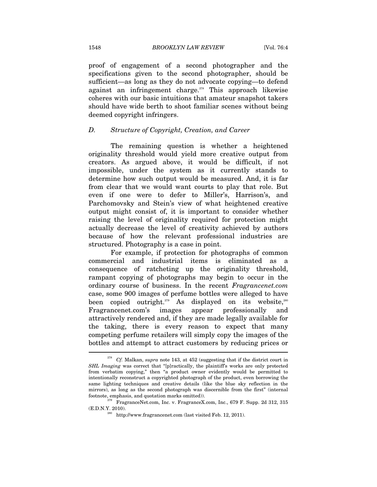proof of engagement of a second photographer and the specifications given to the second photographer, should be sufficient—as long as they do not advocate copying—to defend against an infringement charge.<sup>278</sup> This approach likewise coheres with our basic intuitions that amateur snapshot takers should have wide berth to shoot familiar scenes without being deemed copyright infringers.

# *D. Structure of Copyright, Creation, and Career*

The remaining question is whether a heightened originality threshold would yield more creative output from creators. As argued above, it would be difficult, if not impossible, under the system as it currently stands to determine how such output would be measured. And, it is far from clear that we would want courts to play that role. But even if one were to defer to Miller's, Harrison's, and Parchomovsky and Stein's view of what heightened creative output might consist of, it is important to consider whether raising the level of originality required for protection might actually decrease the level of creativity achieved by authors because of how the relevant professional industries are structured. Photography is a case in point.

For example, if protection for photographs of common commercial and industrial items is eliminated as a consequence of ratcheting up the originality threshold, rampant copying of photographs may begin to occur in the ordinary course of business. In the recent *Fragrancenet.com* case, some 900 images of perfume bottles were alleged to have been copied outright.<sup>279</sup> As displayed on its website,<sup>280</sup> Fragrancenet.com's images appear professionally and attractively rendered and, if they are made legally available for the taking, there is every reason to expect that many competing perfume retailers will simply copy the images of the bottles and attempt to attract customers by reducing prices or  $\overline{a}$ 

<sup>278</sup> *Cf.* Malkan, *supra* note 143, at 452 (suggesting that if the district court in *SHL Imaging* was correct that "[p]ractically, the plaintiff's works are only protected from verbatim copying," then "a product owner evidently would be permitted to intentionally reconstruct a copyrighted photograph of the product, even borrowing the same lighting techniques and creative details (like the blue sky reflection in the mirrors), as long as the second photograph was discernible from the first" (internal

footnote, emphasis, and quotation marks omitted)). 279 FragranceNet.com, Inc. v. FragranceX.com, Inc., 679 F. Supp. 2d 312, 315 (E.D.N.Y. 2010).  $^{280}$  http://www.fragrancenet.com (last visited Feb. 12, 2011).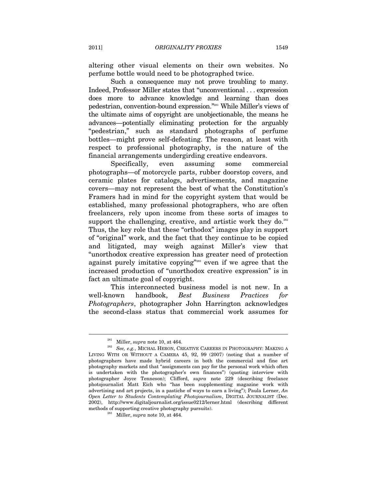altering other visual elements on their own websites. No perfume bottle would need to be photographed twice.

Such a consequence may not prove troubling to many. Indeed, Professor Miller states that "unconventional . . . expression does more to advance knowledge and learning than does pedestrian, convention-bound expression."281 While Miller's views of the ultimate aims of copyright are unobjectionable, the means he advances—potentially eliminating protection for the arguably "pedestrian," such as standard photographs of perfume bottles—might prove self-defeating. The reason, at least with respect to professional photography, is the nature of the financial arrangements undergirding creative endeavors.

Specifically, even assuming some commercial photographs—of motorcycle parts, rubber doorstop covers, and ceramic plates for catalogs, advertisements, and magazine covers—may not represent the best of what the Constitution's Framers had in mind for the copyright system that would be established, many professional photographers, who are often freelancers, rely upon income from these sorts of images to support the challenging, creative, and artistic work they do. $282$ Thus, the key role that these "orthodox" images play in support of "original" work, and the fact that they continue to be copied and litigated, may weigh against Miller's view that "unorthodox creative expression has greater need of protection against purely imitative copying"<sup>283</sup> even if we agree that the increased production of "unorthodox creative expression" is in fact an ultimate goal of copyright.

This interconnected business model is not new. In a well-known handbook, *Best Business Practices for Photographers*, photographer John Harrington acknowledges the second-class status that commercial work assumes for

 $^{281}$  Miller,  $supra$  note 10, at 464.  $^{282}$   $\,$   $\,$  See, e.g., MICHAL HERON, CREATIVE CAREERS IN PHOTOGRAPHY: MAKING A LIVING WITH OR WITHOUT A CAMERA 45, 92, 99 (2007) (noting that a number of photographers have made hybrid careers in both the commercial and fine art photography markets and that "assignments can pay for the personal work which often is undertaken with the photographer's own finances") (quoting interview with photographer Joyce Tenneson); Clifford, *supra* note 229 (describing freelance photojournalist Matt Eich who "has been supplementing magazine work with advertising and art projects, in a pastiche of ways to earn a living"); Paula Lerner, *An Open Letter to Students Contemplating Photojournalism*, DIGITAL JOURNALIST (Dec. 2002), http://www.digitaljournalist.org/issue0212/lerner.html (describing different methods of supporting creative photography pursuits). 283 Miller, *supra* note 10, at 464.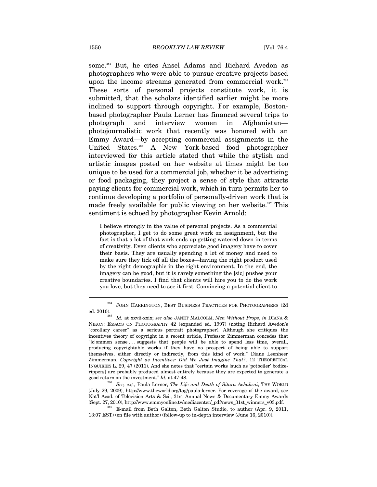some.<sup>284</sup> But, he cites Ansel Adams and Richard Avedon as photographers who were able to pursue creative projects based upon the income streams generated from commercial work.<sup>285</sup> These sorts of personal projects constitute work, it is submitted, that the scholars identified earlier might be more inclined to support through copyright. For example, Bostonbased photographer Paula Lerner has financed several trips to photograph and interview women in Afghanistan photojournalistic work that recently was honored with an Emmy Award—by accepting commercial assignments in the United States.<sup>286</sup> A New York-based food photographer interviewed for this article stated that while the stylish and artistic images posted on her website at times might be too unique to be used for a commercial job, whether it be advertising or food packaging, they project a sense of style that attracts paying clients for commercial work, which in turn permits her to continue developing a portfolio of personally-driven work that is made freely available for public viewing on her website.<sup>287</sup> This sentiment is echoed by photographer Kevin Arnold:

I believe strongly in the value of personal projects. As a commercial photographer, I get to do some great work on assignment, but the fact is that a lot of that work ends up getting watered down in terms of creativity. Even clients who appreciate good imagery have to cover their basis. They are usually spending a lot of money and need to make sure they tick off all the boxes—having the right product used by the right demographic in the right environment. In the end, the imagery can be good, but it is rarely something the [sic] pushes your creative boundaries. I find that clients will hire you to do the work you love, but they need to see it first. Convincing a potential client to

(July 29, 2009), http://www.theworld.org/tag/paula-lerner. For coverage of the award, see Nat'l Acad. of Television Arts & Sci., 31st Annual News & Documentary Emmy Awards

(Sept. 27, 2010), http://www.emmyonline.tv/mediacenter/\_pdf/news\_31st\_winners\_v03.pdf. 287 E-mail from Beth Galton, Beth Galton Studio, to author (Apr. 9, 2011, 13:07 EST) (on file with author) (follow-up to in-depth interview (June 16, 2010)).

<sup>284</sup> JOHN HARRINGTON, BEST BUSINESS PRACTICES FOR PHOTOGRAPHERS (2d ed. 2010). 285 *Id.* at xxvii-xxix; *see also* JANET MALCOLM, *Men Without Props*, *in* DIANA &

NIKON: ESSAYS ON PHOTOGRAPHY 42 (expanded ed. 1997) (noting Richard Avedon's "corollary career" as a serious portrait photographer). Although she critiques the incentives theory of copyright in a recent article, Professor Zimmerman concedes that "[c]ommon sense . . . suggests that people will be able to spend less time, overall, producing copyrightable works if they have no prospect of being able to support themselves, either directly or indirectly, from this kind of work." Diane Leenheer Zimmerman, *Copyright as Incentives: Did We Just Imagine That?*, 12 THEORETICAL INQUIRIES L. 29, 47 (2011). And she notes that "certain works [such as 'potboiler' bodicerippers] are probably produced almost entirely because they are expected to generate a good return on the investment." *Id.* at 47-48.<br><sup>286</sup> See, e.g., Paula Lerner, *The Life and Death of Sitara Achakzai*, THE WORLD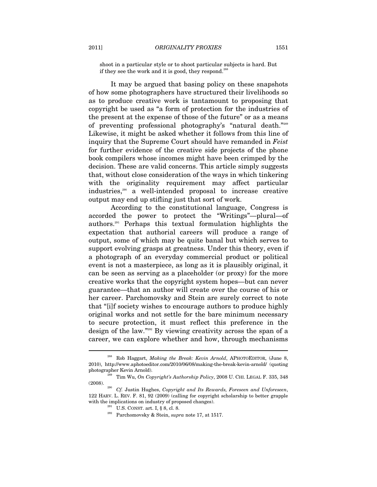shoot in a particular style or to shoot particular subjects is hard. But if they see the work and it is good, they respond.<sup>288</sup>

It may be argued that basing policy on these snapshots of how some photographers have structured their livelihoods so as to produce creative work is tantamount to proposing that copyright be used as "a form of protection for the industries of the present at the expense of those of the future" or as a means of preventing professional photography's "natural death."289 Likewise, it might be asked whether it follows from this line of inquiry that the Supreme Court should have remanded in *Feist* for further evidence of the creative side projects of the phone book compilers whose incomes might have been crimped by the decision. These are valid concerns. This article simply suggests that, without close consideration of the ways in which tinkering with the originality requirement may affect particular industries,290 a well-intended proposal to increase creative output may end up stifling just that sort of work.

According to the constitutional language, Congress is accorded the power to protect the "Writings"—plural—of authors.291 Perhaps this textual formulation highlights the expectation that authorial careers will produce a range of output, some of which may be quite banal but which serves to support evolving grasps at greatness. Under this theory, even if a photograph of an everyday commercial product or political event is not a masterpiece, as long as it is plausibly original, it can be seen as serving as a placeholder (or proxy) for the more creative works that the copyright system hopes—but can never guarantee—that an author will create over the course of his or her career. Parchomovsky and Stein are surely correct to note that "[i]f society wishes to encourage authors to produce highly original works and not settle for the bare minimum necessary to secure protection, it must reflect this preference in the design of the law."292 By viewing creativity across the span of a career, we can explore whether and how, through mechanisms

<sup>288</sup> Rob Haggart, *Making the Break: Kevin Arnold*, APHOTOEDITOR, (June 8, 2010), http://www.aphotoeditor.com/2010/06/08/making-the-break-kevin-arnold/ (quoting

photographer Kevin Arnold).<br><sup>289</sup> Tim Wu, *On Copyright's Authorship Policy*, 2008 U. CHI. LEGAL F. 335, 348 (2008).

<sup>(2008). 290</sup> *Cf.* Justin Hughes, *Copyright and Its Rewards, Foreseen and Unforeseen*, 122 HARV. L. REV. F. 81, 92 (2009) (calling for copyright scholarship to better grapple with the implications on industry of proposed changes).<br><sup>291</sup> U.S. CONST. art. I, § 8, cl. 8.<br><sup>292</sup> Parchomovsky & Stein, *supra* note 17, at 1517.